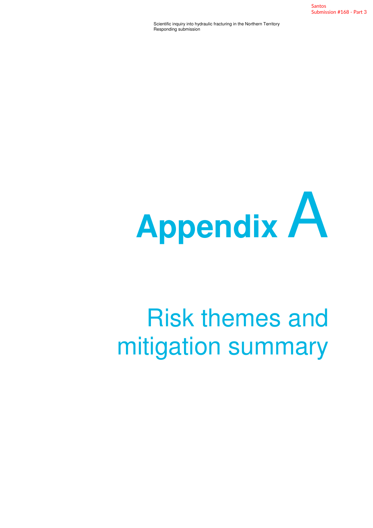Santos Submission #168 - Part 3

Scientific inquiry into hydraulic fracturing in the Northern Territory Responding submission



## Risk themes and mitigation summary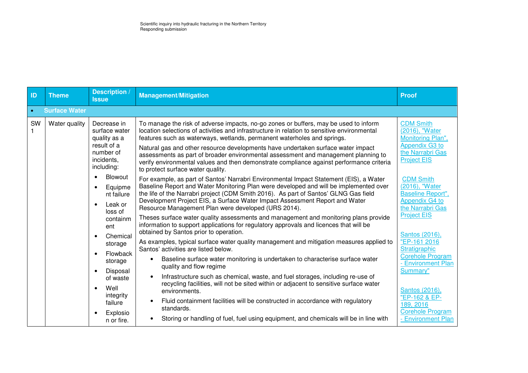| ID        | <b>Theme</b>         | Description /<br><b>Issue</b>                                                                                                                                                                                    | <b>Management/Mitigation</b>                                                                                                                                                                                                                                                                                                                                                                                                                                                                                                                                                                                                         | <b>Proof</b>                                                                                                                                                                                                                                                                                                                                                                                                                                               |
|-----------|----------------------|------------------------------------------------------------------------------------------------------------------------------------------------------------------------------------------------------------------|--------------------------------------------------------------------------------------------------------------------------------------------------------------------------------------------------------------------------------------------------------------------------------------------------------------------------------------------------------------------------------------------------------------------------------------------------------------------------------------------------------------------------------------------------------------------------------------------------------------------------------------|------------------------------------------------------------------------------------------------------------------------------------------------------------------------------------------------------------------------------------------------------------------------------------------------------------------------------------------------------------------------------------------------------------------------------------------------------------|
| $\bullet$ | <b>Surface Water</b> |                                                                                                                                                                                                                  |                                                                                                                                                                                                                                                                                                                                                                                                                                                                                                                                                                                                                                      |                                                                                                                                                                                                                                                                                                                                                                                                                                                            |
| SW        | Water quality        | Decrease in<br>surface water<br>quality as a<br>result of a<br>number of<br>incidents,<br>including:                                                                                                             | To manage the risk of adverse impacts, no-go zones or buffers, may be used to inform<br>location selections of activities and infrastructure in relation to sensitive environmental<br>features such as waterways, wetlands, permanent waterholes and springs.<br>Natural gas and other resource developments have undertaken surface water impact<br>assessments as part of broader environmental assessment and management planning to<br>verify environmental values and then demonstrate compliance against performance criteria<br>to protect surface water quality.                                                            | <b>CDM Smith</b><br>(2016), "Water<br>Monitoring Plan",<br><b>Appendix G3 to</b><br>the Narrabri Gas<br><b>Project EIS</b><br><b>CDM Smith</b><br>(2016), "Water<br><b>Baseline Report",</b><br><b>Appendix G4 to</b><br>the Narrabri Gas<br><b>Project EIS</b><br>Santos (2016),<br>"EP-161 2016<br>Stratigraphic<br><b>Corehole Program</b><br>- Environment Plan<br>Summary"<br>Santos (2016),<br>"EP-162 & EP-<br>189, 2016<br><b>Corehole Program</b> |
|           |                      | Blowout<br>$\bullet$<br>Equipme<br>nt failure<br>Leak or<br>Resource Management Plan were developed (URS 2014).<br>loss of<br>containm<br>ent<br>obtained by Santos prior to operation.<br>Chemical<br>$\bullet$ | For example, as part of Santos' Narrabri Environmental Impact Statement (EIS), a Water<br>Baseline Report and Water Monitoring Plan were developed and will be implemented over<br>the life of the Narrabri project (CDM Smith 2016). As part of Santos' GLNG Gas field<br>Development Project EIS, a Surface Water Impact Assessment Report and Water<br>Theses surface water quality assessments and management and monitoring plans provide<br>information to support applications for regulatory approvals and licences that will be<br>As examples, typical surface water quality management and mitigation measures applied to |                                                                                                                                                                                                                                                                                                                                                                                                                                                            |
|           |                      | storage<br>Flowback<br>storage<br>Disposal<br>$\bullet$<br>of waste<br>Well<br>integrity<br>failure<br>Explosio<br>n or fire.                                                                                    | Santos' activities are listed below.<br>Baseline surface water monitoring is undertaken to characterise surface water<br>$\bullet$<br>quality and flow regime<br>Infrastructure such as chemical, waste, and fuel storages, including re-use of<br>$\bullet$<br>recycling facilities, will not be sited within or adjacent to sensitive surface water<br>environments.<br>Fluid containment facilities will be constructed in accordance with regulatory<br>$\bullet$<br>standards.<br>Storing or handling of fuel, fuel using equipment, and chemicals will be in line with<br>$\bullet$                                            | - Environment Plan                                                                                                                                                                                                                                                                                                                                                                                                                                         |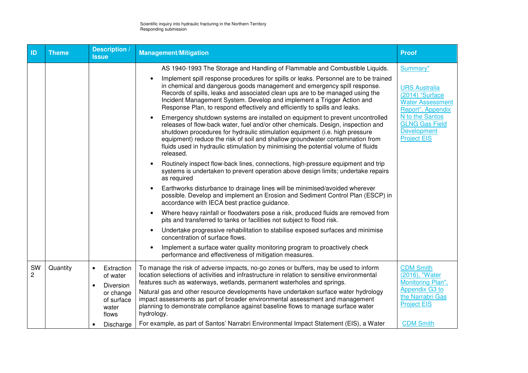| ID                   | <b>Theme</b> | <b>Description</b> /<br><b>Issue</b>                                                                                                 | <b>Management/Mitigation</b>                                                                                                                                                                                                                                                                                                                                                                                                                                                                                                                                                                                                                                                                                                                                                                                                                                                                                                                                                                                                                                                                                                                                                                                                                                                                                                                                                                                                                                                                                                                                                                                                                                                                                                                                                     | <b>Proof</b>                                                                                                                                                                                |
|----------------------|--------------|--------------------------------------------------------------------------------------------------------------------------------------|----------------------------------------------------------------------------------------------------------------------------------------------------------------------------------------------------------------------------------------------------------------------------------------------------------------------------------------------------------------------------------------------------------------------------------------------------------------------------------------------------------------------------------------------------------------------------------------------------------------------------------------------------------------------------------------------------------------------------------------------------------------------------------------------------------------------------------------------------------------------------------------------------------------------------------------------------------------------------------------------------------------------------------------------------------------------------------------------------------------------------------------------------------------------------------------------------------------------------------------------------------------------------------------------------------------------------------------------------------------------------------------------------------------------------------------------------------------------------------------------------------------------------------------------------------------------------------------------------------------------------------------------------------------------------------------------------------------------------------------------------------------------------------|---------------------------------------------------------------------------------------------------------------------------------------------------------------------------------------------|
|                      |              |                                                                                                                                      | AS 1940-1993 The Storage and Handling of Flammable and Combustible Liquids.<br>Implement spill response procedures for spills or leaks. Personnel are to be trained<br>in chemical and dangerous goods management and emergency spill response.<br>Records of spills, leaks and associated clean ups are to be managed using the<br>Incident Management System. Develop and implement a Trigger Action and<br>Response Plan, to respond effectively and efficiently to spills and leaks.<br>Emergency shutdown systems are installed on equipment to prevent uncontrolled<br>releases of flow-back water, fuel and/or other chemicals. Design, inspection and<br>shutdown procedures for hydraulic stimulation equipment (i.e. high pressure<br>equipment) reduce the risk of soil and shallow groundwater contamination from<br>fluids used in hydraulic stimulation by minimising the potential volume of fluids<br>released.<br>Routinely inspect flow-back lines, connections, high-pressure equipment and trip<br>systems is undertaken to prevent operation above design limits; undertake repairs<br>as required<br>Earthworks disturbance to drainage lines will be minimised/avoided wherever<br>possible. Develop and implement an Erosion and Sediment Control Plan (ESCP) in<br>accordance with IECA best practice guidance.<br>Where heavy rainfall or floodwaters pose a risk, produced fluids are removed from<br>$\bullet$<br>pits and transferred to tanks or facilities not subject to flood risk.<br>Undertake progressive rehabilitation to stabilise exposed surfaces and minimise<br>concentration of surface flows.<br>Implement a surface water quality monitoring program to proactively check<br>performance and effectiveness of mitigation measures. | Summary"<br><b>URS Australia</b><br>(2014) "Surface<br><b>Water Assessment</b><br>Report", Appendix<br>N to the Santos<br><b>GLNG Gas Field</b><br><b>Development</b><br><b>Project EIS</b> |
| SW<br>$\overline{2}$ | Quantity     | Extraction<br>$\bullet$<br>of water<br>Diversion<br>$\bullet$<br>or change<br>of surface<br>water<br>flows<br>Discharge<br>$\bullet$ | To manage the risk of adverse impacts, no-go zones or buffers, may be used to inform<br>location selections of activities and infrastructure in relation to sensitive environmental<br>features such as waterways, wetlands, permanent waterholes and springs.<br>Natural gas and other resource developments have undertaken surface water hydrology<br>impact assessments as part of broader environmental assessment and management<br>planning to demonstrate compliance against baseline flows to manage surface water<br>hydrology.<br>For example, as part of Santos' Narrabri Environmental Impact Statement (EIS), a Water                                                                                                                                                                                                                                                                                                                                                                                                                                                                                                                                                                                                                                                                                                                                                                                                                                                                                                                                                                                                                                                                                                                                              | <b>CDM Smith</b><br>(2016), "Water<br>Monitoring Plan",<br><b>Appendix G3 to</b><br>the Narrabri Gas<br><b>Project EIS</b><br><b>CDM Smith</b>                                              |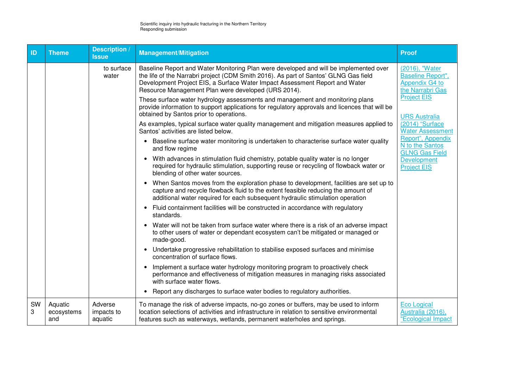| ID      | <b>Theme</b>                 | Description<br><b>Issue</b>      | <b>Management/Mitigation</b>                                                                                                                                                                                                                                                                                        | <b>Proof</b>                                                                     |
|---------|------------------------------|----------------------------------|---------------------------------------------------------------------------------------------------------------------------------------------------------------------------------------------------------------------------------------------------------------------------------------------------------------------|----------------------------------------------------------------------------------|
|         |                              | to surface<br>water              | Baseline Report and Water Monitoring Plan were developed and will be implemented over<br>the life of the Narrabri project (CDM Smith 2016). As part of Santos' GLNG Gas field<br>Development Project EIS, a Surface Water Impact Assessment Report and Water<br>Resource Management Plan were developed (URS 2014). | (2016), "Water<br><b>Baseline Report",</b><br>Appendix G4 to<br>the Narrabri Gas |
|         |                              |                                  | These surface water hydrology assessments and management and monitoring plans<br>provide information to support applications for regulatory approvals and licences that will be<br>obtained by Santos prior to operations.                                                                                          | <b>Project EIS</b><br><b>URS Australia</b>                                       |
|         |                              |                                  | As examples, typical surface water quality management and mitigation measures applied to<br>Santos' activities are listed below.                                                                                                                                                                                    | (2014) "Surface<br><b>Water Assessment</b>                                       |
|         |                              |                                  | Baseline surface water monitoring is undertaken to characterise surface water quality<br>and flow regime                                                                                                                                                                                                            | Report", Appendix<br>N to the Santos<br><b>GLNG Gas Field</b>                    |
|         |                              |                                  | With advances in stimulation fluid chemistry, potable quality water is no longer<br>$\bullet$<br>required for hydraulic stimulation, supporting reuse or recycling of flowback water or<br>blending of other water sources.                                                                                         | Development<br><b>Project EIS</b>                                                |
|         |                              |                                  | When Santos moves from the exploration phase to development, facilities are set up to<br>capture and recycle flowback fluid to the extent feasible reducing the amount of<br>additional water required for each subsequent hydraulic stimulation operation                                                          |                                                                                  |
|         |                              |                                  | Fluid containment facilities will be constructed in accordance with regulatory<br>$\bullet$<br>standards.                                                                                                                                                                                                           |                                                                                  |
|         |                              |                                  | Water will not be taken from surface water where there is a risk of an adverse impact<br>to other users of water or dependant ecosystem can't be mitigated or managed or<br>made-good.                                                                                                                              |                                                                                  |
|         |                              |                                  | Undertake progressive rehabilitation to stabilise exposed surfaces and minimise<br>$\bullet$<br>concentration of surface flows.                                                                                                                                                                                     |                                                                                  |
|         |                              |                                  | Implement a surface water hydrology monitoring program to proactively check<br>$\bullet$<br>performance and effectiveness of mitigation measures in managing risks associated<br>with surface water flows.                                                                                                          |                                                                                  |
|         |                              |                                  | Report any discharges to surface water bodies to regulatory authorities.<br>$\bullet$                                                                                                                                                                                                                               |                                                                                  |
| SW<br>3 | Aquatic<br>ecosystems<br>and | Adverse<br>impacts to<br>aquatic | To manage the risk of adverse impacts, no-go zones or buffers, may be used to inform<br>location selections of activities and infrastructure in relation to sensitive environmental<br>features such as waterways, wetlands, permanent waterholes and springs.                                                      | <b>Eco Logical</b><br>Australia (2016),<br>"Ecological Impact                    |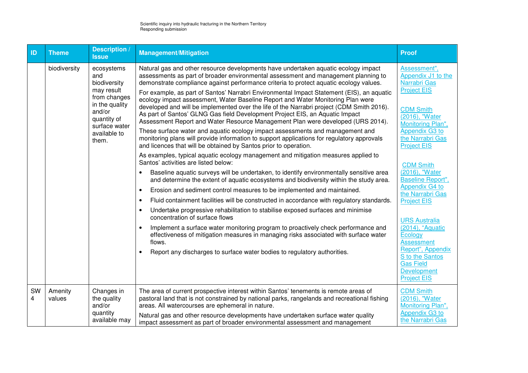| ID      | <b>Theme</b>      | <b>Description</b><br><b>Issue</b>                                                                                                                   | <b>Management/Mitigation</b>                                                                                                                                                                                                                                                                                                                                                                                                                                                                                                                                                                                                                                                                                                                                                                                                                                                                                                                                                                                                                                                                                                                                                                                                                                                                                                                                                                                                                                                                                                                                                                                                                                                                                                                                                                                                                                                                                                           | <b>Proof</b>                                                                                                                                                                                                                                                                                                                                                                                                                                                                                                      |
|---------|-------------------|------------------------------------------------------------------------------------------------------------------------------------------------------|----------------------------------------------------------------------------------------------------------------------------------------------------------------------------------------------------------------------------------------------------------------------------------------------------------------------------------------------------------------------------------------------------------------------------------------------------------------------------------------------------------------------------------------------------------------------------------------------------------------------------------------------------------------------------------------------------------------------------------------------------------------------------------------------------------------------------------------------------------------------------------------------------------------------------------------------------------------------------------------------------------------------------------------------------------------------------------------------------------------------------------------------------------------------------------------------------------------------------------------------------------------------------------------------------------------------------------------------------------------------------------------------------------------------------------------------------------------------------------------------------------------------------------------------------------------------------------------------------------------------------------------------------------------------------------------------------------------------------------------------------------------------------------------------------------------------------------------------------------------------------------------------------------------------------------------|-------------------------------------------------------------------------------------------------------------------------------------------------------------------------------------------------------------------------------------------------------------------------------------------------------------------------------------------------------------------------------------------------------------------------------------------------------------------------------------------------------------------|
|         | biodiversity      | ecosystems<br>and<br>biodiversity<br>may result<br>from changes<br>in the quality<br>and/or<br>quantity of<br>surface water<br>available to<br>them. | Natural gas and other resource developments have undertaken aquatic ecology impact<br>assessments as part of broader environmental assessment and management planning to<br>demonstrate compliance against performance criteria to protect aquatic ecology values.<br>For example, as part of Santos' Narrabri Environmental Impact Statement (EIS), an aquatic<br>ecology impact assessment, Water Baseline Report and Water Monitoring Plan were<br>developed and will be implemented over the life of the Narrabri project (CDM Smith 2016).<br>As part of Santos' GLNG Gas field Development Project EIS, an Aquatic Impact<br>Assessment Report and Water Resource Management Plan were developed (URS 2014).<br>These surface water and aquatic ecology impact assessments and management and<br>monitoring plans will provide information to support applications for regulatory approvals<br>and licences that will be obtained by Santos prior to operation.<br>As examples, typical aquatic ecology management and mitigation measures applied to<br>Santos' activities are listed below:<br>Baseline aquatic surveys will be undertaken, to identify environmentally sensitive area<br>$\bullet$<br>and determine the extent of aquatic ecosystems and biodiversity within the study area.<br>Erosion and sediment control measures to be implemented and maintained.<br>$\bullet$<br>Fluid containment facilities will be constructed in accordance with regulatory standards.<br>$\bullet$<br>Undertake progressive rehabilitation to stabilise exposed surfaces and minimise<br>$\bullet$<br>concentration of surface flows<br>Implement a surface water monitoring program to proactively check performance and<br>$\bullet$<br>effectiveness of mitigation measures in managing risks associated with surface water<br>flows.<br>Report any discharges to surface water bodies to regulatory authorities.<br>$\bullet$ | Assessment",<br>Appendix J1 to the<br>Narrabri Gas<br><b>Project EIS</b><br><b>CDM Smith</b><br>(2016), "Water<br>Monitoring Plan",<br>Appendix G3 to<br>the Narrabri Gas<br><b>Project EIS</b><br><b>CDM Smith</b><br>(2016), "Water<br><b>Baseline Report",</b><br>Appendix G4 to<br>the Narrabri Gas<br><b>Project EIS</b><br><b>URS Australia</b><br>(2014), "Aquatic<br>Ecology<br><b>Assessment</b><br>Report", Appendix<br>S to the Santos<br><b>Gas Field</b><br><b>Development</b><br><b>Project EIS</b> |
| SW<br>4 | Amenity<br>values | Changes in<br>the quality<br>and/or<br>quantity<br>available may                                                                                     | The area of current prospective interest within Santos' tenements is remote areas of<br>pastoral land that is not constrained by national parks, rangelands and recreational fishing<br>areas. All watercourses are ephemeral in nature.<br>Natural gas and other resource developments have undertaken surface water quality<br>impact assessment as part of broader environmental assessment and management                                                                                                                                                                                                                                                                                                                                                                                                                                                                                                                                                                                                                                                                                                                                                                                                                                                                                                                                                                                                                                                                                                                                                                                                                                                                                                                                                                                                                                                                                                                          | <b>CDM Smith</b><br>(2016), "Water<br>Monitoring Plan",<br><b>Appendix G3 to</b><br>the Narrabri Gas                                                                                                                                                                                                                                                                                                                                                                                                              |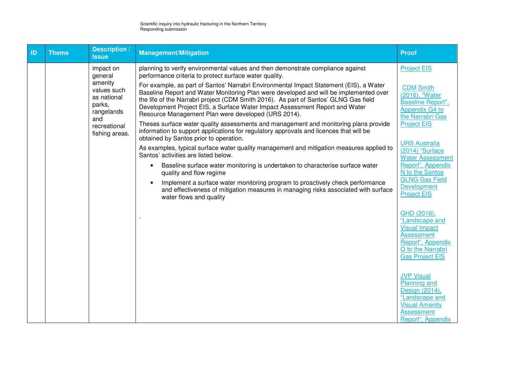| ID | <b>Theme</b> | <b>Description</b> /<br><b>Issue</b>                                 | <b>Management/Mitigation</b>                                                                                                                                                                                                                                                                                                                                                                                  | <b>Proof</b>                                                                                                                                    |
|----|--------------|----------------------------------------------------------------------|---------------------------------------------------------------------------------------------------------------------------------------------------------------------------------------------------------------------------------------------------------------------------------------------------------------------------------------------------------------------------------------------------------------|-------------------------------------------------------------------------------------------------------------------------------------------------|
|    |              | impact on<br>general                                                 | planning to verify environmental values and then demonstrate compliance against<br>performance criteria to protect surface water quality.                                                                                                                                                                                                                                                                     | <b>Project EIS</b>                                                                                                                              |
|    |              | amenity<br>values such<br>as national<br>parks,<br>rangelands<br>and | For example, as part of Santos' Narrabri Environmental Impact Statement (EIS), a Water<br>Baseline Report and Water Monitoring Plan were developed and will be implemented over<br>the life of the Narrabri project (CDM Smith 2016). As part of Santos' GLNG Gas field<br>Development Project EIS, a Surface Water Impact Assessment Report and Water<br>Resource Management Plan were developed (URS 2014). | <b>CDM Smith</b><br>(2016), "Water<br><b>Baseline Report",</b><br>Appendix G4 to<br>the Narrabri Gas                                            |
|    |              | recreational<br>fishing areas.                                       | Theses surface water quality assessments and management and monitoring plans provide<br>information to support applications for regulatory approvals and licences that will be<br>obtained by Santos prior to operation.                                                                                                                                                                                      | <b>Project EIS</b>                                                                                                                              |
|    |              |                                                                      | As examples, typical surface water quality management and mitigation measures applied to<br>Santos' activities are listed below.                                                                                                                                                                                                                                                                              | <b>URS Australia</b><br>(2014) "Surface<br><b>Water Assessment</b>                                                                              |
|    |              |                                                                      | Baseline surface water monitoring is undertaken to characterise surface water<br>quality and flow regime                                                                                                                                                                                                                                                                                                      | Report", Appendix<br>N to the Santos                                                                                                            |
|    |              |                                                                      | Implement a surface water monitoring program to proactively check performance<br>and effectiveness of mitigation measures in managing risks associated with surface<br>water flows and quality                                                                                                                                                                                                                | <b>GLNG Gas Field</b><br><b>Development</b><br><b>Project EIS</b>                                                                               |
|    |              |                                                                      |                                                                                                                                                                                                                                                                                                                                                                                                               | GHD (2016).<br>"Landscape and<br><b>Visual Impact</b><br><b>Assessment</b><br>Report", Appendix<br>Q to the Narrabri<br><b>Gas Project EIS</b>  |
|    |              |                                                                      |                                                                                                                                                                                                                                                                                                                                                                                                               | <b>JVP Visual</b><br><b>Planning and</b><br>Design (2014),<br>"Landscape and<br><b>Visual Amenity</b><br><b>Assessment</b><br>Report", Appendix |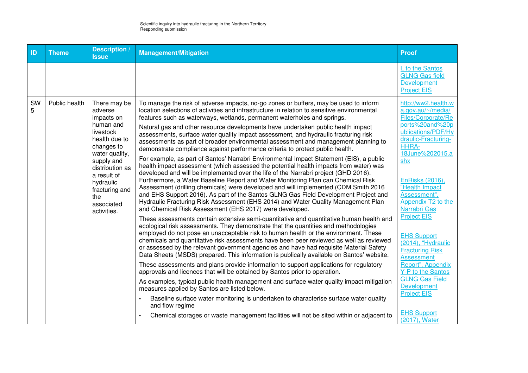| ID      | <b>Theme</b>  | <b>Description</b> /<br><b>Issue</b>                                                                                                                                                                                                | <b>Management/Mitigation</b>                                                                                                                                                                                                                                                                                                                                                                                                                                                                                                                                                                                                                                                                                                                                                                                                                                                                                                                                                                                                                                                                                                                                                                                                                                                                                                                                                                                                                                                                                                                                                                                                                                                                                                                                                                                                                                                                                                                                                                                                                                                                                                                                                                                                                                                                                                                                                                                       | <b>Proof</b>                                                                                                                                                                                                                                                                                                                                                                                                                                                                                                                        |
|---------|---------------|-------------------------------------------------------------------------------------------------------------------------------------------------------------------------------------------------------------------------------------|--------------------------------------------------------------------------------------------------------------------------------------------------------------------------------------------------------------------------------------------------------------------------------------------------------------------------------------------------------------------------------------------------------------------------------------------------------------------------------------------------------------------------------------------------------------------------------------------------------------------------------------------------------------------------------------------------------------------------------------------------------------------------------------------------------------------------------------------------------------------------------------------------------------------------------------------------------------------------------------------------------------------------------------------------------------------------------------------------------------------------------------------------------------------------------------------------------------------------------------------------------------------------------------------------------------------------------------------------------------------------------------------------------------------------------------------------------------------------------------------------------------------------------------------------------------------------------------------------------------------------------------------------------------------------------------------------------------------------------------------------------------------------------------------------------------------------------------------------------------------------------------------------------------------------------------------------------------------------------------------------------------------------------------------------------------------------------------------------------------------------------------------------------------------------------------------------------------------------------------------------------------------------------------------------------------------------------------------------------------------------------------------------------------------|-------------------------------------------------------------------------------------------------------------------------------------------------------------------------------------------------------------------------------------------------------------------------------------------------------------------------------------------------------------------------------------------------------------------------------------------------------------------------------------------------------------------------------------|
|         |               |                                                                                                                                                                                                                                     |                                                                                                                                                                                                                                                                                                                                                                                                                                                                                                                                                                                                                                                                                                                                                                                                                                                                                                                                                                                                                                                                                                                                                                                                                                                                                                                                                                                                                                                                                                                                                                                                                                                                                                                                                                                                                                                                                                                                                                                                                                                                                                                                                                                                                                                                                                                                                                                                                    | L to the Santos<br><b>GLNG Gas field</b><br><b>Development</b><br><b>Project EIS</b>                                                                                                                                                                                                                                                                                                                                                                                                                                                |
| SW<br>5 | Public health | There may be<br>adverse<br>impacts on<br>human and<br>livestock<br>health due to<br>changes to<br>water quality,<br>supply and<br>distribution as<br>a result of<br>hydraulic<br>fracturing and<br>the<br>associated<br>activities. | To manage the risk of adverse impacts, no-go zones or buffers, may be used to inform<br>location selections of activities and infrastructure in relation to sensitive environmental<br>features such as waterways, wetlands, permanent waterholes and springs.<br>Natural gas and other resource developments have undertaken public health impact<br>assessments, surface water quality impact assessment, and hydraulic fracturing risk<br>assessments as part of broader environmental assessment and management planning to<br>demonstrate compliance against performance criteria to protect public health.<br>For example, as part of Santos' Narrabri Environmental Impact Statement (EIS), a public<br>health impact assessment (which assessed the potential health impacts from water) was<br>developed and will be implemented over the life of the Narrabri project (GHD 2016).<br>Furthermore, a Water Baseline Report and Water Monitoring Plan can Chemical Risk<br>Assessment (drilling chemicals) were developed and will implemented (CDM Smith 2016<br>and EHS Support 2016). As part of the Santos GLNG Gas Field Development Project and<br>Hydraulic Fracturing Risk Assessment (EHS 2014) and Water Quality Management Plan<br>and Chemical Risk Assessment (EHS 2017) were developed.<br>These assessments contain extensive semi-quantitative and quantitative human health and<br>ecological risk assessments. They demonstrate that the quantities and methodologies<br>employed do not pose an unacceptable risk to human health or the environment. These<br>chemicals and quantitative risk assessments have been peer reviewed as well as reviewed<br>or assessed by the relevant government agencies and have had requisite Material Safety<br>Data Sheets (MSDS) prepared. This information is publically available on Santos' website.<br>These assessments and plans provide information to support applications for regulatory<br>approvals and licences that will be obtained by Santos prior to operation.<br>As examples, typical public health management and surface water quality impact mitigation<br>measures applied by Santos are listed below.<br>Baseline surface water monitoring is undertaken to characterise surface water quality<br>and flow regime<br>Chemical storages or waste management facilities will not be sited within or adjacent to<br>$\bullet$ | http://ww2.health.w<br>a.gov.au/~/media/<br>Files/Corporate/Re<br>ports%20and%20p<br>ublications/PDF/Hy<br>draulic-Fracturing-<br>HHRA-<br>18June%202015.a<br>shx<br>EnRisks (2016),<br>"Health Impact<br>Assessment",<br>Appendix T2 to the<br>Narrabri Gas<br><b>Project EIS</b><br><b>EHS Support</b><br>(2014), "Hydraulic<br><b>Fracturing Risk</b><br><b>Assessment</b><br>Report", Appendix<br>Y-P to the Santos<br><b>GLNG Gas Field</b><br><b>Development</b><br><b>Project EIS</b><br><b>EHS Support</b><br>(2017), Water |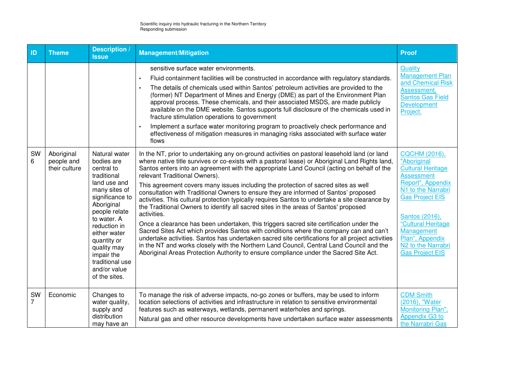| ID      | <b>Theme</b>                              | Description /<br><b>Issue</b>                                                                                                                                                                                                                                                              | <b>Management/Mitigation</b>                                                                                                                                                                                                                                                                                                                                                                                                                                                                                                                                                                                                                                                                                                                                                                                                                                                                                                                                                                                                                                                                                                                                                                          | <b>Proof</b>                                                                                                                                                                                                                                                                                   |
|---------|-------------------------------------------|--------------------------------------------------------------------------------------------------------------------------------------------------------------------------------------------------------------------------------------------------------------------------------------------|-------------------------------------------------------------------------------------------------------------------------------------------------------------------------------------------------------------------------------------------------------------------------------------------------------------------------------------------------------------------------------------------------------------------------------------------------------------------------------------------------------------------------------------------------------------------------------------------------------------------------------------------------------------------------------------------------------------------------------------------------------------------------------------------------------------------------------------------------------------------------------------------------------------------------------------------------------------------------------------------------------------------------------------------------------------------------------------------------------------------------------------------------------------------------------------------------------|------------------------------------------------------------------------------------------------------------------------------------------------------------------------------------------------------------------------------------------------------------------------------------------------|
|         |                                           |                                                                                                                                                                                                                                                                                            | sensitive surface water environments.<br>Fluid containment facilities will be constructed in accordance with regulatory standards.<br>The details of chemicals used within Santos' petroleum activities are provided to the<br>$\bullet$<br>(former) NT Department of Mines and Energy (DME) as part of the Environment Plan<br>approval process. These chemicals, and their associated MSDS, are made publicly<br>available on the DME website. Santos supports full disclosure of the chemicals used in<br>fracture stimulation operations to government<br>Implement a surface water monitoring program to proactively check performance and<br>$\bullet$<br>effectiveness of mitigation measures in managing risks associated with surface water<br>flows                                                                                                                                                                                                                                                                                                                                                                                                                                         | Quality<br>Management Plan<br>and Chemical Risk<br>Assessment,<br><b>Santos Gas Field</b><br>Development<br>Project.                                                                                                                                                                           |
| SW<br>6 | Aboriginal<br>people and<br>their culture | Natural water<br>bodies are<br>central to<br>traditional<br>land use and<br>many sites of<br>significance to<br>Aboriginal<br>people relate<br>to water. A<br>reduction in<br>either water<br>quantity or<br>quality may<br>impair the<br>traditional use<br>and/or value<br>of the sites. | In the NT, prior to undertaking any on-ground activities on pastoral leasehold land (or land<br>where native title survives or co-exists with a pastoral lease) or Aboriginal Land Rights land,<br>Santos enters into an agreement with the appropriate Land Council (acting on behalf of the<br>relevant Traditional Owners).<br>This agreement covers many issues including the protection of sacred sites as well<br>consultation with Traditional Owners to ensure they are informed of Santos' proposed<br>activities. This cultural protection typically requires Santos to undertake a site clearance by<br>the Traditional Owners to identify all sacred sites in the areas of Santos' proposed<br>activities.<br>Once a clearance has been undertaken, this triggers sacred site certification under the<br>Sacred Sites Act which provides Santos with conditions where the company can and can't<br>undertake activities. Santos has undertaken sacred site certifications for all project activities<br>in the NT and works closely with the Northern Land Council, Central Land Council and the<br>Aboriginal Areas Protection Authority to ensure compliance under the Sacred Site Act. | <b>CQCHM (2016),</b><br>"Aboriginal<br><b>Cultural Heritage</b><br><b>Assessment</b><br>Report", Appendix<br>N1 to the Narrabri<br><b>Gas Project EIS</b><br>Santos (2016),<br>"Cultural Heritage<br>Management<br>Plan", Appendix<br>N <sub>2</sub> to the Narrabri<br><b>Gas Project EIS</b> |
| SW<br>7 | Economic                                  | Changes to<br>water quality,<br>supply and<br>distribution<br>may have an                                                                                                                                                                                                                  | To manage the risk of adverse impacts, no-go zones or buffers, may be used to inform<br>location selections of activities and infrastructure in relation to sensitive environmental<br>features such as waterways, wetlands, permanent waterholes and springs.<br>Natural gas and other resource developments have undertaken surface water assessments                                                                                                                                                                                                                                                                                                                                                                                                                                                                                                                                                                                                                                                                                                                                                                                                                                               | <b>CDM Smith</b><br>(2016), "Water<br>Monitoring Plan",<br>Appendix G3 to<br>the Narrabri Gas                                                                                                                                                                                                  |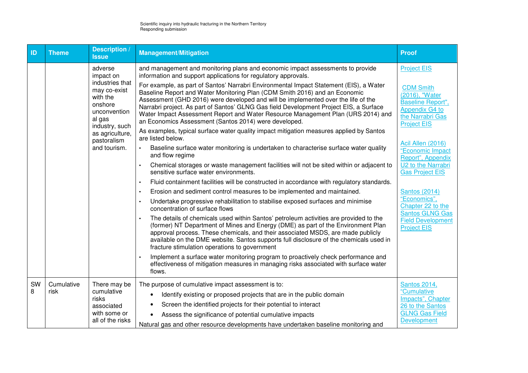| ID | <b>Theme</b> | <b>Description</b><br><b>Issue</b>                                                                 | <b>Management/Mitigation</b>                                                                                                                                                                                                                                                                                                                                                                                                                                                                     | <b>Proof</b>                                                                                                        |
|----|--------------|----------------------------------------------------------------------------------------------------|--------------------------------------------------------------------------------------------------------------------------------------------------------------------------------------------------------------------------------------------------------------------------------------------------------------------------------------------------------------------------------------------------------------------------------------------------------------------------------------------------|---------------------------------------------------------------------------------------------------------------------|
|    |              | adverse<br>impact on                                                                               | and management and monitoring plans and economic impact assessments to provide<br>information and support applications for regulatory approvals.                                                                                                                                                                                                                                                                                                                                                 | <b>Project EIS</b>                                                                                                  |
|    |              | industries that<br>may co-exist<br>with the<br>onshore<br>unconvention<br>al gas<br>industry, such | For example, as part of Santos' Narrabri Environmental Impact Statement (EIS), a Water<br>Baseline Report and Water Monitoring Plan (CDM Smith 2016) and an Economic<br>Assessment (GHD 2016) were developed and will be implemented over the life of the<br>Narrabri project. As part of Santos' GLNG Gas field Development Project EIS, a Surface<br>Water Impact Assessment Report and Water Resource Management Plan (URS 2014) and<br>an Economics Assessment (Santos 2014) were developed. | <b>CDM Smith</b><br>(2016), "Water<br>Baseline Report",<br>Appendix G4 to<br>the Narrabri Gas<br><b>Project EIS</b> |
|    |              | as agriculture,<br>pastoralism                                                                     | As examples, typical surface water quality impact mitigation measures applied by Santos<br>are listed below.                                                                                                                                                                                                                                                                                                                                                                                     | Acil Allen (2016)                                                                                                   |
|    |              | and tourism.                                                                                       | Baseline surface water monitoring is undertaken to characterise surface water quality<br>$\bullet$<br>and flow regime                                                                                                                                                                                                                                                                                                                                                                            | "Economic Impact<br>Report", Appendix                                                                               |
|    |              |                                                                                                    | Chemical storages or waste management facilities will not be sited within or adjacent to<br>sensitive surface water environments.                                                                                                                                                                                                                                                                                                                                                                | U2 to the Narrabri<br><b>Gas Project EIS</b>                                                                        |
|    |              |                                                                                                    | Fluid containment facilities will be constructed in accordance with regulatory standards.<br>$\bullet$                                                                                                                                                                                                                                                                                                                                                                                           |                                                                                                                     |
|    |              |                                                                                                    | Erosion and sediment control measures to be implemented and maintained.<br>$\bullet$                                                                                                                                                                                                                                                                                                                                                                                                             | <b>Santos (2014)</b>                                                                                                |
|    |              |                                                                                                    | Undertake progressive rehabilitation to stabilise exposed surfaces and minimise<br>concentration of surface flows                                                                                                                                                                                                                                                                                                                                                                                | "Economics",<br>Chapter 22 to the<br><b>Santos GLNG Gas</b>                                                         |
|    |              |                                                                                                    | The details of chemicals used within Santos' petroleum activities are provided to the<br>(former) NT Department of Mines and Energy (DME) as part of the Environment Plan<br>approval process. These chemicals, and their associated MSDS, are made publicly<br>available on the DME website. Santos supports full disclosure of the chemicals used in<br>fracture stimulation operations to government                                                                                          | <b>Field Development</b><br><b>Project EIS</b>                                                                      |
|    |              |                                                                                                    | Implement a surface water monitoring program to proactively check performance and<br>effectiveness of mitigation measures in managing risks associated with surface water<br>flows.                                                                                                                                                                                                                                                                                                              |                                                                                                                     |
| SW | Cumulative   | There may be                                                                                       | The purpose of cumulative impact assessment is to:                                                                                                                                                                                                                                                                                                                                                                                                                                               | <b>Santos 2014,</b>                                                                                                 |
| 8  | risk         | cumulative<br>risks                                                                                | Identify existing or proposed projects that are in the public domain                                                                                                                                                                                                                                                                                                                                                                                                                             | "Cumulative<br>Impacts", Chapter                                                                                    |
|    |              | associated                                                                                         | Screen the identified projects for their potential to interact                                                                                                                                                                                                                                                                                                                                                                                                                                   | 26 to the Santos                                                                                                    |
|    |              | with some or                                                                                       | Assess the significance of potential cumulative impacts                                                                                                                                                                                                                                                                                                                                                                                                                                          | <b>GLNG Gas Field</b>                                                                                               |
|    |              | all of the risks                                                                                   | Natural gas and other resource developments have undertaken baseline monitoring and                                                                                                                                                                                                                                                                                                                                                                                                              | Development                                                                                                         |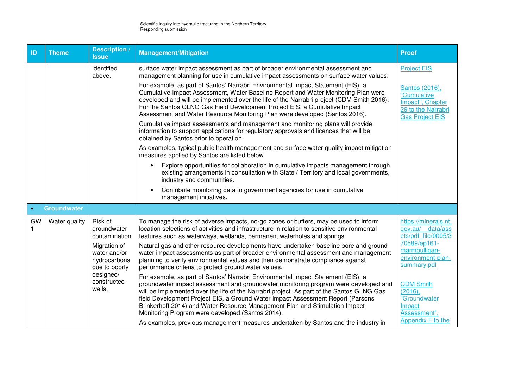| ID        | <b>Theme</b>       | <b>Description /</b><br><b>Issue</b>                          | <b>Management/Mitigation</b>                                                                                                                                                                                                                                                                                                                                                                                                                                                               | <b>Proof</b>                                                                                      |
|-----------|--------------------|---------------------------------------------------------------|--------------------------------------------------------------------------------------------------------------------------------------------------------------------------------------------------------------------------------------------------------------------------------------------------------------------------------------------------------------------------------------------------------------------------------------------------------------------------------------------|---------------------------------------------------------------------------------------------------|
|           |                    | identified<br>above.                                          | surface water impact assessment as part of broader environmental assessment and<br>management planning for use in cumulative impact assessments on surface water values.                                                                                                                                                                                                                                                                                                                   | Project EIS.                                                                                      |
|           |                    |                                                               | For example, as part of Santos' Narrabri Environmental Impact Statement (EIS), a<br>Cumulative Impact Assessment, Water Baseline Report and Water Monitoring Plan were<br>developed and will be implemented over the life of the Narrabri project (CDM Smith 2016).<br>For the Santos GLNG Gas Field Development Project EIS, a Cumulative Impact<br>Assessment and Water Resource Monitoring Plan were developed (Santos 2016).                                                           | Santos (2016),<br>"Cumulative<br>Impact", Chapter<br>29 to the Narrabri<br><b>Gas Project EIS</b> |
|           |                    |                                                               | Cumulative impact assessments and management and monitoring plans will provide<br>information to support applications for regulatory approvals and licences that will be<br>obtained by Santos prior to operation.                                                                                                                                                                                                                                                                         |                                                                                                   |
|           |                    |                                                               | As examples, typical public health management and surface water quality impact mitigation<br>measures applied by Santos are listed below                                                                                                                                                                                                                                                                                                                                                   |                                                                                                   |
|           |                    |                                                               | Explore opportunities for collaboration in cumulative impacts management through<br>$\bullet$<br>existing arrangements in consultation with State / Territory and local governments,<br>industry and communities.                                                                                                                                                                                                                                                                          |                                                                                                   |
|           |                    |                                                               | Contribute monitoring data to government agencies for use in cumulative<br>$\bullet$<br>management initiatives.                                                                                                                                                                                                                                                                                                                                                                            |                                                                                                   |
| $\bullet$ | <b>Groundwater</b> |                                                               |                                                                                                                                                                                                                                                                                                                                                                                                                                                                                            |                                                                                                   |
| GW        | Water quality      | Risk of<br>groundwater<br>contamination                       | To manage the risk of adverse impacts, no-go zones or buffers, may be used to inform<br>location selections of activities and infrastructure in relation to sensitive environmental<br>features such as waterways, wetlands, permanent waterholes and springs.                                                                                                                                                                                                                             | https://minerals.nt.<br>gov.au/ data/ass<br>ets/pdf file/0005/3                                   |
|           |                    | Migration of<br>water and/or<br>hydrocarbons<br>due to poorly | Natural gas and other resource developments have undertaken baseline bore and ground<br>water impact assessments as part of broader environmental assessment and management<br>planning to verify environmental values and then demonstrate compliance against<br>performance criteria to protect ground water values.                                                                                                                                                                     | 70589/ep161-<br>marmbulligan-<br>environment-plan-<br>summary.pdf                                 |
|           |                    | designed/<br>constructed<br>wells.                            | For example, as part of Santos' Narrabri Environmental Impact Statement (EIS), a<br>groundwater impact assessment and groundwater monitoring program were developed and<br>will be implemented over the life of the Narrabri project. As part of the Santos GLNG Gas<br>field Development Project EIS, a Ground Water Impact Assessment Report (Parsons<br>Brinkerhoff 2014) and Water Resource Management Plan and Stimulation Impact<br>Monitoring Program were developed (Santos 2014). | <b>CDM Smith</b><br>(2016),<br>"Groundwater<br>Impact<br>Assessment",<br>Appendix F to the        |
|           |                    |                                                               | As examples, previous management measures undertaken by Santos and the industry in                                                                                                                                                                                                                                                                                                                                                                                                         |                                                                                                   |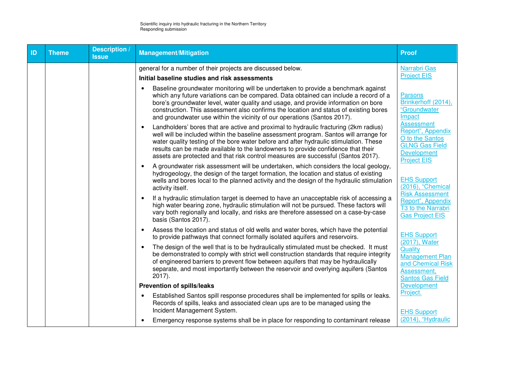| ID | <b>Theme</b> | <b>Description</b><br><b>Issue</b> | <b>Management/Mitigation</b>                                                                                                                                                                                                                                                                                                                                                                                                                    | <b>Proof</b>                                                                                                                   |
|----|--------------|------------------------------------|-------------------------------------------------------------------------------------------------------------------------------------------------------------------------------------------------------------------------------------------------------------------------------------------------------------------------------------------------------------------------------------------------------------------------------------------------|--------------------------------------------------------------------------------------------------------------------------------|
|    |              |                                    | general for a number of their projects are discussed below.<br>Initial baseline studies and risk assessments                                                                                                                                                                                                                                                                                                                                    | Narrabri Gas<br><b>Project EIS</b>                                                                                             |
|    |              |                                    | Baseline groundwater monitoring will be undertaken to provide a benchmark against<br>which any future variations can be compared. Data obtained can include a record of a<br>bore's groundwater level, water quality and usage, and provide information on bore<br>construction. This assessment also confirms the location and status of existing bores<br>and groundwater use within the vicinity of our operations (Santos 2017).            | Parsons<br>Brinkerhoff (2014),<br>"Groundwater<br>Impact                                                                       |
|    |              |                                    | Landholders' bores that are active and proximal to hydraulic fracturing (2km radius)<br>well will be included within the baseline assessment program. Santos will arrange for<br>water quality testing of the bore water before and after hydraulic stimulation. These<br>results can be made available to the landowners to provide confidence that their<br>assets are protected and that risk control measures are successful (Santos 2017). | <b>Assessment</b><br>Report", Appendix<br>O to the Santos<br><b>GLNG Gas Field</b><br><b>Development</b><br><b>Project EIS</b> |
|    |              |                                    | A groundwater risk assessment will be undertaken, which considers the local geology,<br>hydrogeology, the design of the target formation, the location and status of existing<br>wells and bores local to the planned activity and the design of the hydraulic stimulation<br>activity itself.                                                                                                                                                  | <b>EHS Support</b><br>$(2016)$ , "Chemical                                                                                     |
|    |              |                                    | If a hydraulic stimulation target is deemed to have an unacceptable risk of accessing a<br>high water bearing zone, hydraulic stimulation will not be pursued. These factors will<br>vary both regionally and locally, and risks are therefore assessed on a case-by-case<br>basis (Santos 2017).                                                                                                                                               | <b>Risk Assessment</b><br>Report", Appendix<br>T <sub>3</sub> to the Narrabri<br><b>Gas Project EIS</b>                        |
|    |              |                                    | Assess the location and status of old wells and water bores, which have the potential<br>to provide pathways that connect formally isolated aquifers and reservoirs.                                                                                                                                                                                                                                                                            | <b>EHS Support</b><br>(2017), Water                                                                                            |
|    |              |                                    | The design of the well that is to be hydraulically stimulated must be checked. It must<br>$\bullet$<br>be demonstrated to comply with strict well construction standards that require integrity<br>of engineered barriers to prevent flow between aquifers that may be hydraulically<br>separate, and most importantly between the reservoir and overlying aquifers (Santos<br>$2017$ ).                                                        | Quality<br><b>Management Plan</b><br>and Chemical Risk<br>Assessment,<br><b>Santos Gas Field</b>                               |
|    |              |                                    | Prevention of spills/leaks                                                                                                                                                                                                                                                                                                                                                                                                                      | Development                                                                                                                    |
|    |              |                                    | Established Santos spill response procedures shall be implemented for spills or leaks.<br>$\bullet$<br>Records of spills, leaks and associated clean ups are to be managed using the<br>Incident Management System.                                                                                                                                                                                                                             | Project.<br><b>EHS Support</b>                                                                                                 |
|    |              |                                    | Emergency response systems shall be in place for responding to contaminant release                                                                                                                                                                                                                                                                                                                                                              | (2014), "Hydraulic                                                                                                             |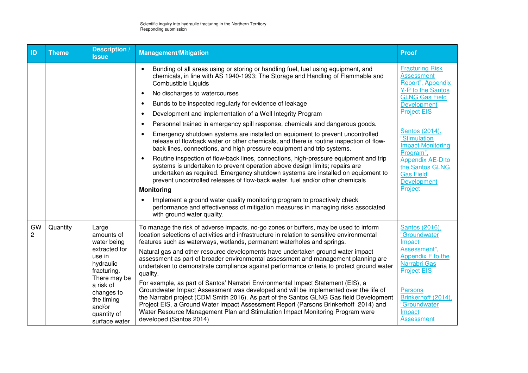| ID                   | <b>Theme</b>                                                        | <b>Description /</b><br><b>Issue</b>                                                                                                                                                                                                                                           | <b>Management/Mitigation</b>                                                                                                                                                                                                                                                                                                                                                                                                                                           | <b>Proof</b>                                                                         |
|----------------------|---------------------------------------------------------------------|--------------------------------------------------------------------------------------------------------------------------------------------------------------------------------------------------------------------------------------------------------------------------------|------------------------------------------------------------------------------------------------------------------------------------------------------------------------------------------------------------------------------------------------------------------------------------------------------------------------------------------------------------------------------------------------------------------------------------------------------------------------|--------------------------------------------------------------------------------------|
|                      |                                                                     |                                                                                                                                                                                                                                                                                | Bunding of all areas using or storing or handling fuel, fuel using equipment, and<br>$\bullet$<br>chemicals, in line with AS 1940-1993; The Storage and Handling of Flammable and<br><b>Combustible Liquids</b>                                                                                                                                                                                                                                                        | <b>Fracturing Risk</b><br><b>Assessment</b><br>Report", Appendix                     |
|                      |                                                                     |                                                                                                                                                                                                                                                                                | No discharges to watercourses                                                                                                                                                                                                                                                                                                                                                                                                                                          | <b>Y-P to the Santos</b><br><b>GLNG Gas Field</b>                                    |
|                      |                                                                     |                                                                                                                                                                                                                                                                                | Bunds to be inspected regularly for evidence of leakage<br>$\bullet$                                                                                                                                                                                                                                                                                                                                                                                                   | Development                                                                          |
|                      |                                                                     |                                                                                                                                                                                                                                                                                | Development and implementation of a Well Integrity Program<br>$\bullet$                                                                                                                                                                                                                                                                                                                                                                                                | <b>Project EIS</b>                                                                   |
|                      |                                                                     |                                                                                                                                                                                                                                                                                | Personnel trained in emergency spill response, chemicals and dangerous goods.<br>$\bullet$                                                                                                                                                                                                                                                                                                                                                                             |                                                                                      |
|                      |                                                                     |                                                                                                                                                                                                                                                                                | Emergency shutdown systems are installed on equipment to prevent uncontrolled<br>release of flowback water or other chemicals, and there is routine inspection of flow-<br>back lines, connections, and high pressure equipment and trip systems.                                                                                                                                                                                                                      | Santos (2014),<br>"Stimulation<br><b>Impact Monitoring</b><br>Program",              |
|                      |                                                                     |                                                                                                                                                                                                                                                                                | Routine inspection of flow-back lines, connections, high-pressure equipment and trip<br>$\bullet$<br>systems is undertaken to prevent operation above design limits; repairs are<br>undertaken as required. Emergency shutdown systems are installed on equipment to<br>prevent uncontrolled releases of flow-back water, fuel and/or other chemicals                                                                                                                  | Appendix AE-D to<br>the Santos GLNG<br><b>Gas Field</b><br>Development               |
|                      |                                                                     |                                                                                                                                                                                                                                                                                | <b>Monitoring</b>                                                                                                                                                                                                                                                                                                                                                                                                                                                      | Project                                                                              |
|                      |                                                                     |                                                                                                                                                                                                                                                                                | Implement a ground water quality monitoring program to proactively check<br>performance and effectiveness of mitigation measures in managing risks associated<br>with ground water quality.                                                                                                                                                                                                                                                                            |                                                                                      |
| GW<br>$\overline{c}$ | Quantity                                                            | Large<br>amounts of<br>water being                                                                                                                                                                                                                                             | To manage the risk of adverse impacts, no-go zones or buffers, may be used to inform<br>location selections of activities and infrastructure in relation to sensitive environmental<br>features such as waterways, wetlands, permanent waterholes and springs.                                                                                                                                                                                                         | Santos (2016),<br>"Groundwater<br>Impact                                             |
|                      | extracted for<br>use in<br>hydraulic<br>fracturing.<br>There may be | Natural gas and other resource developments have undertaken ground water impact<br>assessment as part of broader environmental assessment and management planning are<br>undertaken to demonstrate compliance against performance criteria to protect ground water<br>quality. | Assessment",<br>Appendix F to the<br>Narrabri Gas<br><b>Project EIS</b>                                                                                                                                                                                                                                                                                                                                                                                                |                                                                                      |
|                      |                                                                     | a risk of<br>changes to<br>the timing<br>and/or<br>quantity of<br>surface water                                                                                                                                                                                                | For example, as part of Santos' Narrabri Environmental Impact Statement (EIS), a<br>Groundwater Impact Assessment was developed and will be implemented over the life of<br>the Narrabri project (CDM Smith 2016). As part of the Santos GLNG Gas field Development<br>Project EIS, a Ground Water Impact Assessment Report (Parsons Brinkerhoff 2014) and<br>Water Resource Management Plan and Stimulation Impact Monitoring Program were<br>developed (Santos 2014) | <b>Parsons</b><br>Brinkerhoff (2014),<br>"Groundwater<br>Impact<br><b>Assessment</b> |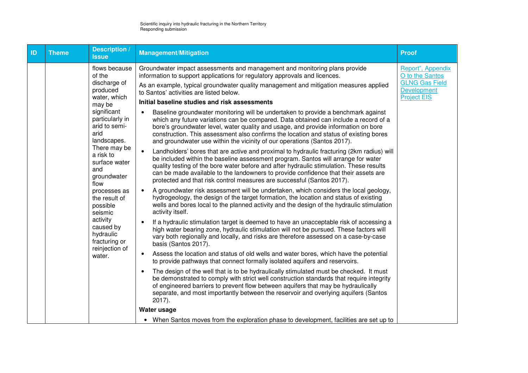| ID | <b>Theme</b> | Description /<br><b>Issue</b>                                                                                                                                                                                                                                                                                                                                        | <b>Management/Mitigation</b>                                                                                                                                                                                                                                                                                                                                                                                                                                                                                                                                                                                                                                                                                                                                                                                                                                                                                                                                                                                                                                                                                                                                                                                                                                                                                                                                                                                                                                                                                                                                                                                                                                                                                                                                                                                                                                                                   | <b>Proof</b>                                                                                              |
|----|--------------|----------------------------------------------------------------------------------------------------------------------------------------------------------------------------------------------------------------------------------------------------------------------------------------------------------------------------------------------------------------------|------------------------------------------------------------------------------------------------------------------------------------------------------------------------------------------------------------------------------------------------------------------------------------------------------------------------------------------------------------------------------------------------------------------------------------------------------------------------------------------------------------------------------------------------------------------------------------------------------------------------------------------------------------------------------------------------------------------------------------------------------------------------------------------------------------------------------------------------------------------------------------------------------------------------------------------------------------------------------------------------------------------------------------------------------------------------------------------------------------------------------------------------------------------------------------------------------------------------------------------------------------------------------------------------------------------------------------------------------------------------------------------------------------------------------------------------------------------------------------------------------------------------------------------------------------------------------------------------------------------------------------------------------------------------------------------------------------------------------------------------------------------------------------------------------------------------------------------------------------------------------------------------|-----------------------------------------------------------------------------------------------------------|
|    |              | flows because<br>of the<br>discharge of<br>produced<br>water, which<br>may be<br>significant<br>particularly in<br>arid to semi-<br>arid<br>landscapes.<br>There may be<br>a risk to<br>surface water<br>and<br>groundwater<br>flow<br>processes as<br>the result of<br>possible<br>seismic<br>activity<br>caused by<br>hydraulic<br>fracturing or<br>reinjection of | Groundwater impact assessments and management and monitoring plans provide<br>information to support applications for regulatory approvals and licences.<br>As an example, typical groundwater quality management and mitigation measures applied<br>to Santos' activities are listed below.<br>Initial baseline studies and risk assessments<br>Baseline groundwater monitoring will be undertaken to provide a benchmark against<br>$\bullet$<br>which any future variations can be compared. Data obtained can include a record of a<br>bore's groundwater level, water quality and usage, and provide information on bore<br>construction. This assessment also confirms the location and status of existing bores<br>and groundwater use within the vicinity of our operations (Santos 2017).<br>Landholders' bores that are active and proximal to hydraulic fracturing (2km radius) will<br>$\bullet$<br>be included within the baseline assessment program. Santos will arrange for water<br>quality testing of the bore water before and after hydraulic stimulation. These results<br>can be made available to the landowners to provide confidence that their assets are<br>protected and that risk control measures are successful (Santos 2017).<br>A groundwater risk assessment will be undertaken, which considers the local geology,<br>$\bullet$<br>hydrogeology, the design of the target formation, the location and status of existing<br>wells and bores local to the planned activity and the design of the hydraulic stimulation<br>activity itself.<br>If a hydraulic stimulation target is deemed to have an unacceptable risk of accessing a<br>$\bullet$<br>high water bearing zone, hydraulic stimulation will not be pursued. These factors will<br>vary both regionally and locally, and risks are therefore assessed on a case-by-case<br>basis (Santos 2017). | Report", Appendix<br>O to the Santos<br><b>GLNG Gas Field</b><br><b>Development</b><br><b>Project EIS</b> |
|    |              | water.                                                                                                                                                                                                                                                                                                                                                               | Assess the location and status of old wells and water bores, which have the potential<br>$\bullet$<br>to provide pathways that connect formally isolated aquifers and reservoirs.                                                                                                                                                                                                                                                                                                                                                                                                                                                                                                                                                                                                                                                                                                                                                                                                                                                                                                                                                                                                                                                                                                                                                                                                                                                                                                                                                                                                                                                                                                                                                                                                                                                                                                              |                                                                                                           |
|    |              |                                                                                                                                                                                                                                                                                                                                                                      | The design of the well that is to be hydraulically stimulated must be checked. It must<br>$\bullet$<br>be demonstrated to comply with strict well construction standards that require integrity<br>of engineered barriers to prevent flow between aquifers that may be hydraulically<br>separate, and most importantly between the reservoir and overlying aquifers (Santos<br>$2017$ ).                                                                                                                                                                                                                                                                                                                                                                                                                                                                                                                                                                                                                                                                                                                                                                                                                                                                                                                                                                                                                                                                                                                                                                                                                                                                                                                                                                                                                                                                                                       |                                                                                                           |
|    |              |                                                                                                                                                                                                                                                                                                                                                                      | Water usage                                                                                                                                                                                                                                                                                                                                                                                                                                                                                                                                                                                                                                                                                                                                                                                                                                                                                                                                                                                                                                                                                                                                                                                                                                                                                                                                                                                                                                                                                                                                                                                                                                                                                                                                                                                                                                                                                    |                                                                                                           |
|    |              |                                                                                                                                                                                                                                                                                                                                                                      | • When Santos moves from the exploration phase to development, facilities are set up to                                                                                                                                                                                                                                                                                                                                                                                                                                                                                                                                                                                                                                                                                                                                                                                                                                                                                                                                                                                                                                                                                                                                                                                                                                                                                                                                                                                                                                                                                                                                                                                                                                                                                                                                                                                                        |                                                                                                           |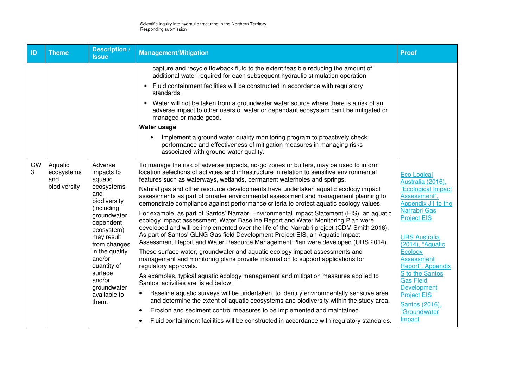| ID      | <b>Theme</b>                                 | Description /<br><b>Issue</b>                                                                                                                                                                                                                                       | <b>Management/Mitigation</b>                                                                                                                                                                                                                                                                                                                                                                                                                                                                                                                                                                                                                                                                                                                                                                                                                                                                                                                                                                                                                                                                                                                                                                                                                                                                                                                                                                                                                                                                                                                                                                                                                                                                         | <b>Proof</b>                                                                                                                                                                                                                                                                                                                                                       |
|---------|----------------------------------------------|---------------------------------------------------------------------------------------------------------------------------------------------------------------------------------------------------------------------------------------------------------------------|------------------------------------------------------------------------------------------------------------------------------------------------------------------------------------------------------------------------------------------------------------------------------------------------------------------------------------------------------------------------------------------------------------------------------------------------------------------------------------------------------------------------------------------------------------------------------------------------------------------------------------------------------------------------------------------------------------------------------------------------------------------------------------------------------------------------------------------------------------------------------------------------------------------------------------------------------------------------------------------------------------------------------------------------------------------------------------------------------------------------------------------------------------------------------------------------------------------------------------------------------------------------------------------------------------------------------------------------------------------------------------------------------------------------------------------------------------------------------------------------------------------------------------------------------------------------------------------------------------------------------------------------------------------------------------------------------|--------------------------------------------------------------------------------------------------------------------------------------------------------------------------------------------------------------------------------------------------------------------------------------------------------------------------------------------------------------------|
|         |                                              |                                                                                                                                                                                                                                                                     | capture and recycle flowback fluid to the extent feasible reducing the amount of<br>additional water required for each subsequent hydraulic stimulation operation<br>Fluid containment facilities will be constructed in accordance with regulatory<br>$\bullet$<br>standards.<br>Water will not be taken from a groundwater water source where there is a risk of an<br>$\bullet$<br>adverse impact to other users of water or dependant ecosystem can't be mitigated or<br>managed or made-good.<br>Water usage<br>Implement a ground water quality monitoring program to proactively check<br>performance and effectiveness of mitigation measures in managing risks<br>associated with ground water quality.                                                                                                                                                                                                                                                                                                                                                                                                                                                                                                                                                                                                                                                                                                                                                                                                                                                                                                                                                                                     |                                                                                                                                                                                                                                                                                                                                                                    |
| GW<br>3 | Aquatic<br>ecosystems<br>and<br>biodiversity | Adverse<br>impacts to<br>aquatic<br>ecosystems<br>and<br>biodiversity<br>(including<br>groundwater<br>dependent<br>ecosystem)<br>may result<br>from changes<br>in the quality<br>and/or<br>quantity of<br>surface<br>and/or<br>groundwater<br>available to<br>them. | To manage the risk of adverse impacts, no-go zones or buffers, may be used to inform<br>location selections of activities and infrastructure in relation to sensitive environmental<br>features such as waterways, wetlands, permanent waterholes and springs.<br>Natural gas and other resource developments have undertaken aquatic ecology impact<br>assessments as part of broader environmental assessment and management planning to<br>demonstrate compliance against performance criteria to protect aquatic ecology values.<br>For example, as part of Santos' Narrabri Environmental Impact Statement (EIS), an aquatic<br>ecology impact assessment, Water Baseline Report and Water Monitoring Plan were<br>developed and will be implemented over the life of the Narrabri project (CDM Smith 2016).<br>As part of Santos' GLNG Gas field Development Project EIS, an Aquatic Impact<br>Assessment Report and Water Resource Management Plan were developed (URS 2014).<br>These surface water, groundwater and aquatic ecology impact assessments and<br>management and monitoring plans provide information to support applications for<br>regulatory approvals.<br>As examples, typical aquatic ecology management and mitigation measures applied to<br>Santos' activities are listed below:<br>Baseline aquatic surveys will be undertaken, to identify environmentally sensitive area<br>and determine the extent of aquatic ecosystems and biodiversity within the study area.<br>Erosion and sediment control measures to be implemented and maintained.<br>$\bullet$<br>Fluid containment facilities will be constructed in accordance with regulatory standards.<br>$\bullet$ | <b>Eco Logical</b><br>Australia (2016),<br>"Ecological Impact<br>Assessment",<br>Appendix J1 to the<br>Narrabri Gas<br><b>Project EIS</b><br><b>URS Australia</b><br>(2014), "Aquatic<br>Ecology<br><b>Assessment</b><br>Report", Appendix<br>S to the Santos<br><b>Gas Field</b><br>Development<br><b>Project EIS</b><br>Santos (2016),<br>"Groundwater<br>Impact |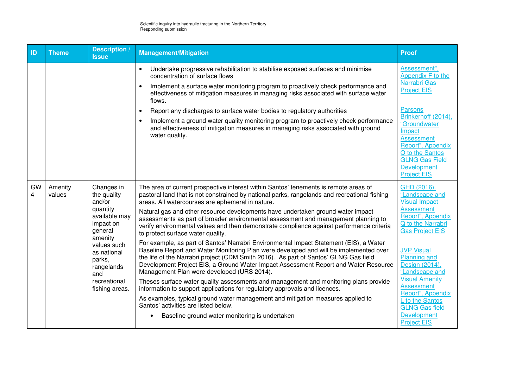| ID      | <b>Theme</b>      | <b>Description</b> /<br><b>Issue</b>                                                                                                                                                               | <b>Management/Mitigation</b>                                                                                                                                                                                                                                                                                                                                                                                                                                                                                                                                                                                                                                                                                                                                                                                                                                                                                                                                                                                                                                                                                                                                                                                                                                                                                          | <b>Proof</b>                                                                                                                                                                                                                                                                                                                                                                       |
|---------|-------------------|----------------------------------------------------------------------------------------------------------------------------------------------------------------------------------------------------|-----------------------------------------------------------------------------------------------------------------------------------------------------------------------------------------------------------------------------------------------------------------------------------------------------------------------------------------------------------------------------------------------------------------------------------------------------------------------------------------------------------------------------------------------------------------------------------------------------------------------------------------------------------------------------------------------------------------------------------------------------------------------------------------------------------------------------------------------------------------------------------------------------------------------------------------------------------------------------------------------------------------------------------------------------------------------------------------------------------------------------------------------------------------------------------------------------------------------------------------------------------------------------------------------------------------------|------------------------------------------------------------------------------------------------------------------------------------------------------------------------------------------------------------------------------------------------------------------------------------------------------------------------------------------------------------------------------------|
|         |                   |                                                                                                                                                                                                    | $\bullet$<br>Undertake progressive rehabilitation to stabilise exposed surfaces and minimise<br>concentration of surface flows<br>Implement a surface water monitoring program to proactively check performance and<br>effectiveness of mitigation measures in managing risks associated with surface water<br>flows.<br>Report any discharges to surface water bodies to regulatory authorities<br>$\bullet$<br>Implement a ground water quality monitoring program to proactively check performance<br>$\bullet$<br>and effectiveness of mitigation measures in managing risks associated with ground<br>water quality.                                                                                                                                                                                                                                                                                                                                                                                                                                                                                                                                                                                                                                                                                             | Assessment",<br>Appendix F to the<br>Narrabri Gas<br><b>Project EIS</b><br><b>Parsons</b><br>Brinkerhoff (2014),<br>"Groundwater<br>Impact<br><b>Assessment</b><br>Report", Appendix<br>O to the Santos<br><b>GLNG Gas Field</b><br><b>Development</b><br><b>Project EIS</b>                                                                                                       |
| GW<br>4 | Amenity<br>values | Changes in<br>the quality<br>and/or<br>quantity<br>available may<br>impact on<br>general<br>amenity<br>values such<br>as national<br>parks,<br>rangelands<br>and<br>recreational<br>fishing areas. | The area of current prospective interest within Santos' tenements is remote areas of<br>pastoral land that is not constrained by national parks, rangelands and recreational fishing<br>areas. All watercourses are ephemeral in nature.<br>Natural gas and other resource developments have undertaken ground water impact<br>assessments as part of broader environmental assessment and management planning to<br>verify environmental values and then demonstrate compliance against performance criteria<br>to protect surface water quality.<br>For example, as part of Santos' Narrabri Environmental Impact Statement (EIS), a Water<br>Baseline Report and Water Monitoring Plan were developed and will be implemented over<br>the life of the Narrabri project (CDM Smith 2016). As part of Santos' GLNG Gas field<br>Development Project EIS, a Ground Water Impact Assessment Report and Water Resource<br>Management Plan were developed (URS 2014).<br>Theses surface water quality assessments and management and monitoring plans provide<br>information to support applications for regulatory approvals and licences.<br>As examples, typical ground water management and mitigation measures applied to<br>Santos' activities are listed below.<br>Baseline ground water monitoring is undertaken | GHD (2016).<br>"Landscape and<br><b>Visual Impact</b><br><b>Assessment</b><br>Report", Appendix<br>Q to the Narrabri<br><b>Gas Project EIS</b><br><b>JVP Visual</b><br><b>Planning and</b><br>Design (2014),<br>"Landscape and<br><b>Visual Amenity</b><br><b>Assessment</b><br>Report", Appendix<br>L to the Santos<br><b>GLNG Gas field</b><br>Development<br><b>Project EIS</b> |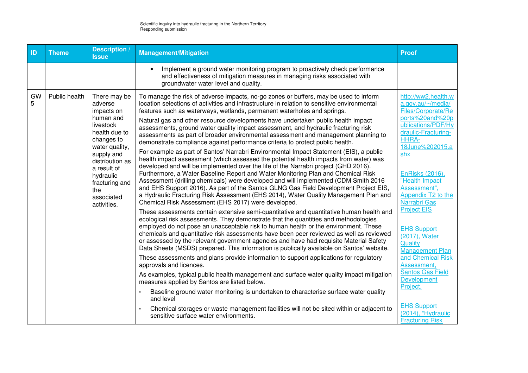| ID      | <b>Theme</b>  | <b>Description</b><br><b>Issue</b>                                                                                                                                                                                                  | <b>Management/Mitigation</b>                                                                                                                                                                                                                                                                                                                                                                                                                                                                                                                                                                                                                                                                                                                                                                                                                                                                                                                                                                                                                                                                                                                                                                                                                                                                                                                                                                                                                                                                                                                                                                                                                                                                                                                                                                                                                                                                                                                                                                                                                                                                                                                                                                                                                                                                                                                                                       | <b>Proof</b>                                                                                                                                                                                                                                                                                                                                                                                                                                                                                                                                               |
|---------|---------------|-------------------------------------------------------------------------------------------------------------------------------------------------------------------------------------------------------------------------------------|------------------------------------------------------------------------------------------------------------------------------------------------------------------------------------------------------------------------------------------------------------------------------------------------------------------------------------------------------------------------------------------------------------------------------------------------------------------------------------------------------------------------------------------------------------------------------------------------------------------------------------------------------------------------------------------------------------------------------------------------------------------------------------------------------------------------------------------------------------------------------------------------------------------------------------------------------------------------------------------------------------------------------------------------------------------------------------------------------------------------------------------------------------------------------------------------------------------------------------------------------------------------------------------------------------------------------------------------------------------------------------------------------------------------------------------------------------------------------------------------------------------------------------------------------------------------------------------------------------------------------------------------------------------------------------------------------------------------------------------------------------------------------------------------------------------------------------------------------------------------------------------------------------------------------------------------------------------------------------------------------------------------------------------------------------------------------------------------------------------------------------------------------------------------------------------------------------------------------------------------------------------------------------------------------------------------------------------------------------------------------------|------------------------------------------------------------------------------------------------------------------------------------------------------------------------------------------------------------------------------------------------------------------------------------------------------------------------------------------------------------------------------------------------------------------------------------------------------------------------------------------------------------------------------------------------------------|
|         |               |                                                                                                                                                                                                                                     | Implement a ground water monitoring program to proactively check performance<br>$\bullet$<br>and effectiveness of mitigation measures in managing risks associated with<br>groundwater water level and quality.                                                                                                                                                                                                                                                                                                                                                                                                                                                                                                                                                                                                                                                                                                                                                                                                                                                                                                                                                                                                                                                                                                                                                                                                                                                                                                                                                                                                                                                                                                                                                                                                                                                                                                                                                                                                                                                                                                                                                                                                                                                                                                                                                                    |                                                                                                                                                                                                                                                                                                                                                                                                                                                                                                                                                            |
| GW<br>5 | Public health | There may be<br>adverse<br>impacts on<br>human and<br>livestock<br>health due to<br>changes to<br>water quality,<br>supply and<br>distribution as<br>a result of<br>hydraulic<br>fracturing and<br>the<br>associated<br>activities. | To manage the risk of adverse impacts, no-go zones or buffers, may be used to inform<br>location selections of activities and infrastructure in relation to sensitive environmental<br>features such as waterways, wetlands, permanent waterholes and springs.<br>Natural gas and other resource developments have undertaken public health impact<br>assessments, ground water quality impact assessment, and hydraulic fracturing risk<br>assessments as part of broader environmental assessment and management planning to<br>demonstrate compliance against performance criteria to protect public health.<br>For example as part of Santos' Narrabri Environmental Impact Statement (EIS), a public<br>health impact assessment (which assessed the potential health impacts from water) was<br>developed and will be implemented over the life of the Narrabri project (GHD 2016).<br>Furthermore, a Water Baseline Report and Water Monitoring Plan and Chemical Risk<br>Assessment (drilling chemicals) were developed and will implemented (CDM Smith 2016<br>and EHS Support 2016). As part of the Santos GLNG Gas Field Development Project EIS,<br>a Hydraulic Fracturing Risk Assessment (EHS 2014), Water Quality Management Plan and<br>Chemical Risk Assessment (EHS 2017) were developed.<br>These assessments contain extensive semi-quantitative and quantitative human health and<br>ecological risk assessments. They demonstrate that the quantities and methodologies<br>employed do not pose an unacceptable risk to human health or the environment. These<br>chemicals and quantitative risk assessments have been peer reviewed as well as reviewed<br>or assessed by the relevant government agencies and have had requisite Material Safety<br>Data Sheets (MSDS) prepared. This information is publically available on Santos' website.<br>These assessments and plans provide information to support applications for regulatory<br>approvals and licences.<br>As examples, typical public health management and surface water quality impact mitigation<br>measures applied by Santos are listed below.<br>Baseline ground water monitoring is undertaken to characterise surface water quality<br>and level<br>Chemical storages or waste management facilities will not be sited within or adjacent to<br>sensitive surface water environments. | http://ww2.health.w<br>a.gov.au/~/media/<br>Files/Corporate/Re<br>ports%20and%20p<br>ublications/PDF/Hy<br>draulic-Fracturing-<br><b>HHRA-</b><br>18June%202015.a<br>shx<br><b>EnRisks (2016),</b><br>"Health Impact<br>Assessment",<br>Appendix T2 to the<br><b>Narrabri Gas</b><br><b>Project EIS</b><br><b>EHS Support</b><br>(2017), Water<br>Quality<br><b>Management Plan</b><br>and Chemical Risk<br>Assessment,<br><b>Santos Gas Field</b><br><b>Development</b><br>Project.<br><b>EHS Support</b><br>(2014), "Hydraulic<br><b>Fracturing Risk</b> |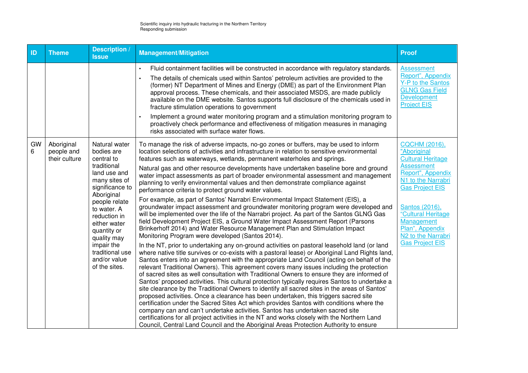| ID      | <b>Theme</b>                              | <b>Description /</b><br><b>Issue</b>                                                                                                                                                                                                                                      | <b>Management/Mitigation</b>                                                                                                                                                                                                                                                                                                                                                                                                                                                                                                                                                                                                                                                                                                                                                                                                                                                                                                                                                                                                                                                                                                                                                                                                                                                                                                                                                                                                                                                        | <b>Proof</b>                                                                                                                                                                                                                                                                                          |
|---------|-------------------------------------------|---------------------------------------------------------------------------------------------------------------------------------------------------------------------------------------------------------------------------------------------------------------------------|-------------------------------------------------------------------------------------------------------------------------------------------------------------------------------------------------------------------------------------------------------------------------------------------------------------------------------------------------------------------------------------------------------------------------------------------------------------------------------------------------------------------------------------------------------------------------------------------------------------------------------------------------------------------------------------------------------------------------------------------------------------------------------------------------------------------------------------------------------------------------------------------------------------------------------------------------------------------------------------------------------------------------------------------------------------------------------------------------------------------------------------------------------------------------------------------------------------------------------------------------------------------------------------------------------------------------------------------------------------------------------------------------------------------------------------------------------------------------------------|-------------------------------------------------------------------------------------------------------------------------------------------------------------------------------------------------------------------------------------------------------------------------------------------------------|
|         |                                           |                                                                                                                                                                                                                                                                           | Fluid containment facilities will be constructed in accordance with regulatory standards.<br>$\bullet$<br>The details of chemicals used within Santos' petroleum activities are provided to the<br>(former) NT Department of Mines and Energy (DME) as part of the Environment Plan<br>approval process. These chemicals, and their associated MSDS, are made publicly<br>available on the DME website. Santos supports full disclosure of the chemicals used in<br>fracture stimulation operations to government<br>Implement a ground water monitoring program and a stimulation monitoring program to<br>proactively check performance and effectiveness of mitigation measures in managing<br>risks associated with surface water flows.                                                                                                                                                                                                                                                                                                                                                                                                                                                                                                                                                                                                                                                                                                                                        | <b>Assessment</b><br>Report", Appendix<br>Y-P to the Santos<br><b>GLNG Gas Field</b><br><b>Development</b><br><b>Project EIS</b>                                                                                                                                                                      |
| GW<br>6 | Aboriginal<br>people and<br>their culture | Natural water<br>bodies are<br>central to<br>traditional<br>land use and<br>many sites of<br>significance to<br>Aboriginal<br>people relate<br>to water. A<br>reduction in<br>either water<br>quantity or<br>quality may<br>impair the<br>traditional use<br>and/or value | To manage the risk of adverse impacts, no-go zones or buffers, may be used to inform<br>location selections of activities and infrastructure in relation to sensitive environmental<br>features such as waterways, wetlands, permanent waterholes and springs.<br>Natural gas and other resource developments have undertaken baseline bore and ground<br>water impact assessments as part of broader environmental assessment and management<br>planning to verify environmental values and then demonstrate compliance against<br>performance criteria to protect ground water values.<br>For example, as part of Santos' Narrabri Environmental Impact Statement (EIS), a<br>groundwater impact assessment and groundwater monitoring program were developed and<br>will be implemented over the life of the Narrabri project. As part of the Santos GLNG Gas<br>field Development Project EIS, a Ground Water Impact Assessment Report (Parsons<br>Brinkerhoff 2014) and Water Resource Management Plan and Stimulation Impact<br>Monitoring Program were developed (Santos 2014).<br>In the NT, prior to undertaking any on-ground activities on pastoral leasehold land (or land<br>where native title survives or co-exists with a pastoral lease) or Aboriginal Land Rights land,<br>Santos enters into an agreement with the appropriate Land Council (acting on behalf of the<br>relevant Traditional Owners). This agreement covers many issues including the protection | <b>CQCHM (2016),</b><br>"Aboriginal<br><b>Cultural Heritage</b><br><b>Assessment</b><br>Report", Appendix<br>N1 to the Narrabri<br><b>Gas Project EIS</b><br>Santos (2016),<br>"Cultural Heritage<br><b>Management</b><br>Plan", Appendix<br>N <sub>2</sub> to the Narrabri<br><b>Gas Project EIS</b> |
|         |                                           |                                                                                                                                                                                                                                                                           | of sacred sites as well consultation with Traditional Owners to ensure they are informed of<br>Santos' proposed activities. This cultural protection typically requires Santos to undertake a<br>site clearance by the Traditional Owners to identify all sacred sites in the areas of Santos'<br>proposed activities. Once a clearance has been undertaken, this triggers sacred site<br>certification under the Sacred Sites Act which provides Santos with conditions where the<br>company can and can't undertake activities. Santos has undertaken sacred site<br>certifications for all project activities in the NT and works closely with the Northern Land<br>Council, Central Land Council and the Aboriginal Areas Protection Authority to ensure                                                                                                                                                                                                                                                                                                                                                                                                                                                                                                                                                                                                                                                                                                                        |                                                                                                                                                                                                                                                                                                       |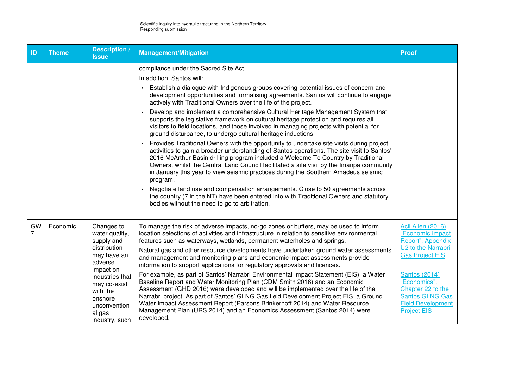| ID                   | <b>Theme</b> | <b>Description /</b><br><b>Issue</b>                                                                                                                                                                    | <b>Management/Mitigation</b>                                                                                                                                                                                                                                                                                                                                                                                                                                                                                                                                                                                                                                                                                                                                                                                                                                                                                                                                                                                                                                                                                                                                                                                                                                                                                                                                        | <b>Proof</b>                                                                                                                                                                                                                                        |
|----------------------|--------------|---------------------------------------------------------------------------------------------------------------------------------------------------------------------------------------------------------|---------------------------------------------------------------------------------------------------------------------------------------------------------------------------------------------------------------------------------------------------------------------------------------------------------------------------------------------------------------------------------------------------------------------------------------------------------------------------------------------------------------------------------------------------------------------------------------------------------------------------------------------------------------------------------------------------------------------------------------------------------------------------------------------------------------------------------------------------------------------------------------------------------------------------------------------------------------------------------------------------------------------------------------------------------------------------------------------------------------------------------------------------------------------------------------------------------------------------------------------------------------------------------------------------------------------------------------------------------------------|-----------------------------------------------------------------------------------------------------------------------------------------------------------------------------------------------------------------------------------------------------|
|                      |              |                                                                                                                                                                                                         | compliance under the Sacred Site Act.<br>In addition, Santos will:<br>Establish a dialogue with Indigenous groups covering potential issues of concern and<br>development opportunities and formalising agreements. Santos will continue to engage<br>actively with Traditional Owners over the life of the project.<br>Develop and implement a comprehensive Cultural Heritage Management System that<br>supports the legislative framework on cultural heritage protection and requires all<br>visitors to field locations, and those involved in managing projects with potential for<br>ground disturbance, to undergo cultural heritage inductions.<br>Provides Traditional Owners with the opportunity to undertake site visits during project<br>activities to gain a broader understanding of Santos operations. The site visit to Santos'<br>2016 McArthur Basin drilling program included a Welcome To Country by Traditional<br>Owners, whilst the Central Land Council facilitated a site visit by the Imanpa community<br>in January this year to view seismic practices during the Southern Amadeus seismic<br>program.<br>Negotiate land use and compensation arrangements. Close to 50 agreements across<br>the country (7 in the NT) have been entered into with Traditional Owners and statutory<br>bodies without the need to go to arbitration. |                                                                                                                                                                                                                                                     |
| GW<br>$\overline{7}$ | Economic     | Changes to<br>water quality,<br>supply and<br>distribution<br>may have an<br>adverse<br>impact on<br>industries that<br>may co-exist<br>with the<br>onshore<br>unconvention<br>al gas<br>industry, such | To manage the risk of adverse impacts, no-go zones or buffers, may be used to inform<br>location selections of activities and infrastructure in relation to sensitive environmental<br>features such as waterways, wetlands, permanent waterholes and springs.<br>Natural gas and other resource developments have undertaken ground water assessments<br>and management and monitoring plans and economic impact assessments provide<br>information to support applications for regulatory approvals and licences.<br>For example, as part of Santos' Narrabri Environmental Impact Statement (EIS), a Water<br>Baseline Report and Water Monitoring Plan (CDM Smith 2016) and an Economic<br>Assessment (GHD 2016) were developed and will be implemented over the life of the<br>Narrabri project. As part of Santos' GLNG Gas field Development Project EIS, a Ground<br>Water Impact Assessment Report (Parsons Brinkerhoff 2014) and Water Resource<br>Management Plan (URS 2014) and an Economics Assessment (Santos 2014) were<br>developed.                                                                                                                                                                                                                                                                                                                | Acil Allen (2016)<br>"Economic Impact<br>Report", Appendix<br>U2 to the Narrabri<br><b>Gas Project EIS</b><br><b>Santos (2014)</b><br>"Economics",<br>Chapter 22 to the<br><b>Santos GLNG Gas</b><br><b>Field Development</b><br><b>Project EIS</b> |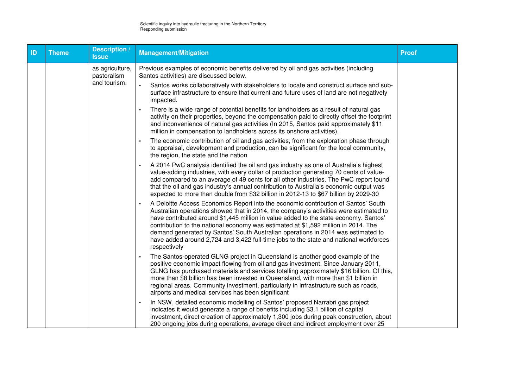| ID | <b>Theme</b> | Description<br><b>Issue</b>    | <b>Management/Mitigation</b>                                                                                                                                                                                                                                                                                                                                                                                                                                                                                                                           | <b>Proof</b> |
|----|--------------|--------------------------------|--------------------------------------------------------------------------------------------------------------------------------------------------------------------------------------------------------------------------------------------------------------------------------------------------------------------------------------------------------------------------------------------------------------------------------------------------------------------------------------------------------------------------------------------------------|--------------|
|    |              | as agriculture,<br>pastoralism | Previous examples of economic benefits delivered by oil and gas activities (including<br>Santos activities) are discussed below.                                                                                                                                                                                                                                                                                                                                                                                                                       |              |
|    |              | and tourism.                   | Santos works collaboratively with stakeholders to locate and construct surface and sub-<br>surface infrastructure to ensure that current and future uses of land are not negatively<br>impacted.                                                                                                                                                                                                                                                                                                                                                       |              |
|    |              |                                | There is a wide range of potential benefits for landholders as a result of natural gas<br>activity on their properties, beyond the compensation paid to directly offset the footprint<br>and inconvenience of natural gas activities (In 2015, Santos paid approximately \$11<br>million in compensation to landholders across its onshore activities).                                                                                                                                                                                                |              |
|    |              |                                | The economic contribution of oil and gas activities, from the exploration phase through<br>to appraisal, development and production, can be significant for the local community,<br>the region, the state and the nation                                                                                                                                                                                                                                                                                                                               |              |
|    |              |                                | A 2014 PwC analysis identified the oil and gas industry as one of Australia's highest<br>value-adding industries, with every dollar of production generating 70 cents of value-<br>add compared to an average of 49 cents for all other industries. The PwC report found<br>that the oil and gas industry's annual contribution to Australia's economic output was<br>expected to more than double from \$32 billion in 2012-13 to \$67 billion by 2029-30                                                                                             |              |
|    |              |                                | A Deloitte Access Economics Report into the economic contribution of Santos' South<br>Australian operations showed that in 2014, the company's activities were estimated to<br>have contributed around \$1,445 million in value added to the state economy. Santos'<br>contribution to the national economy was estimated at \$1,592 million in 2014. The<br>demand generated by Santos' South Australian operations in 2014 was estimated to<br>have added around 2,724 and 3,422 full-time jobs to the state and national workforces<br>respectively |              |
|    |              |                                | The Santos-operated GLNG project in Queensland is another good example of the<br>positive economic impact flowing from oil and gas investment. Since January 2011,<br>GLNG has purchased materials and services totalling approximately \$16 billion. Of this,<br>more than \$8 billion has been invested in Queensland, with more than \$1 billion in<br>regional areas. Community investment, particularly in infrastructure such as roads,<br>airports and medical services has been significant                                                    |              |
|    |              |                                | In NSW, detailed economic modelling of Santos' proposed Narrabri gas project<br>indicates it would generate a range of benefits including \$3.1 billion of capital<br>investment, direct creation of approximately 1,300 jobs during peak construction, about<br>200 ongoing jobs during operations, average direct and indirect employment over 25                                                                                                                                                                                                    |              |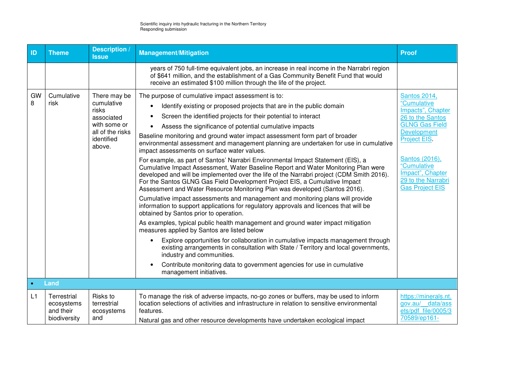| ID        | <b>Theme</b>                                           | Description /<br><b>Issue</b>                                                                                 | <b>Management/Mitigation</b>                                                                                                                                                                                                                                                                                                                                                                                                                                                                                                                                                                                                                                                                                                                                                                                                                                                                                                                                                                                                                                                                                                                                                                                                                                                                                                                                                                                                                                                                                                                                                                          | <b>Proof</b>                                                                                                                                                                                                                             |
|-----------|--------------------------------------------------------|---------------------------------------------------------------------------------------------------------------|-------------------------------------------------------------------------------------------------------------------------------------------------------------------------------------------------------------------------------------------------------------------------------------------------------------------------------------------------------------------------------------------------------------------------------------------------------------------------------------------------------------------------------------------------------------------------------------------------------------------------------------------------------------------------------------------------------------------------------------------------------------------------------------------------------------------------------------------------------------------------------------------------------------------------------------------------------------------------------------------------------------------------------------------------------------------------------------------------------------------------------------------------------------------------------------------------------------------------------------------------------------------------------------------------------------------------------------------------------------------------------------------------------------------------------------------------------------------------------------------------------------------------------------------------------------------------------------------------------|------------------------------------------------------------------------------------------------------------------------------------------------------------------------------------------------------------------------------------------|
|           |                                                        |                                                                                                               | years of 750 full-time equivalent jobs, an increase in real income in the Narrabri region<br>of \$641 million, and the establishment of a Gas Community Benefit Fund that would<br>receive an estimated \$100 million through the life of the project.                                                                                                                                                                                                                                                                                                                                                                                                                                                                                                                                                                                                                                                                                                                                                                                                                                                                                                                                                                                                                                                                                                                                                                                                                                                                                                                                                |                                                                                                                                                                                                                                          |
| GW<br>8   | Cumulative<br>risk                                     | There may be<br>cumulative<br>risks<br>associated<br>with some or<br>all of the risks<br>identified<br>above. | The purpose of cumulative impact assessment is to:<br>Identify existing or proposed projects that are in the public domain<br>Screen the identified projects for their potential to interact<br>Assess the significance of potential cumulative impacts<br>Baseline monitoring and ground water impact assessment form part of broader<br>environmental assessment and management planning are undertaken for use in cumulative<br>impact assessments on surface water values.<br>For example, as part of Santos' Narrabri Environmental Impact Statement (EIS), a<br>Cumulative Impact Assessment, Water Baseline Report and Water Monitoring Plan were<br>developed and will be implemented over the life of the Narrabri project (CDM Smith 2016).<br>For the Santos GLNG Gas Field Development Project EIS, a Cumulative Impact<br>Assessment and Water Resource Monitoring Plan was developed (Santos 2016).<br>Cumulative impact assessments and management and monitoring plans will provide<br>information to support applications for regulatory approvals and licences that will be<br>obtained by Santos prior to operation.<br>As examples, typical public health management and ground water impact mitigation<br>measures applied by Santos are listed below<br>Explore opportunities for collaboration in cumulative impacts management through<br>existing arrangements in consultation with State / Territory and local governments,<br>industry and communities.<br>Contribute monitoring data to government agencies for use in cumulative<br>$\bullet$<br>management initiatives. | <b>Santos 2014,</b><br>"Cumulative<br>Impacts", Chapter<br>26 to the Santos<br><b>GLNG Gas Field</b><br>Development<br>Project EIS.<br>Santos (2016),<br>"Cumulative<br>Impact", Chapter<br>29 to the Narrabri<br><b>Gas Project EIS</b> |
| $\bullet$ | Land                                                   |                                                                                                               |                                                                                                                                                                                                                                                                                                                                                                                                                                                                                                                                                                                                                                                                                                                                                                                                                                                                                                                                                                                                                                                                                                                                                                                                                                                                                                                                                                                                                                                                                                                                                                                                       |                                                                                                                                                                                                                                          |
| L1        | Terrestrial<br>ecosystems<br>and their<br>biodiversity | Risks to<br>terrestrial<br>ecosystems<br>and                                                                  | To manage the risk of adverse impacts, no-go zones or buffers, may be used to inform<br>location selections of activities and infrastructure in relation to sensitive environmental<br>features.<br>Natural gas and other resource developments have undertaken ecological impact                                                                                                                                                                                                                                                                                                                                                                                                                                                                                                                                                                                                                                                                                                                                                                                                                                                                                                                                                                                                                                                                                                                                                                                                                                                                                                                     | https://minerals.nt.<br>gov.au/ data/ass<br>ets/pdf file/0005/3<br>70589/ep161-                                                                                                                                                          |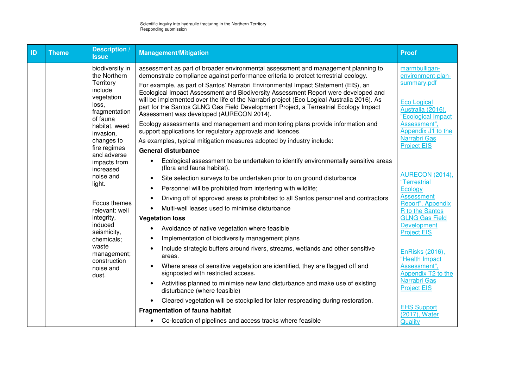| ID | <b>Theme</b> | <b>Description</b><br><b>Issue</b>                                                                          | <b>Management/Mitigation</b>                                                                                                                                                                                                                                                                                                                                                                                                                                                                                                                                                          | <b>Proof</b>                                                                                                       |
|----|--------------|-------------------------------------------------------------------------------------------------------------|---------------------------------------------------------------------------------------------------------------------------------------------------------------------------------------------------------------------------------------------------------------------------------------------------------------------------------------------------------------------------------------------------------------------------------------------------------------------------------------------------------------------------------------------------------------------------------------|--------------------------------------------------------------------------------------------------------------------|
|    |              | biodiversity in<br>the Northern<br>Territory<br>include<br>vegetation<br>loss,<br>fragmentation<br>of fauna | assessment as part of broader environmental assessment and management planning to<br>demonstrate compliance against performance criteria to protect terrestrial ecology.<br>For example, as part of Santos' Narrabri Environmental Impact Statement (EIS), an<br>Ecological Impact Assessment and Biodiversity Assessment Report were developed and<br>will be implemented over the life of the Narrabri project (Eco Logical Australia 2016). As<br>part for the Santos GLNG Gas Field Development Project, a Terrestrial Ecology Impact<br>Assessment was developed (AURECON 2014). | marmbulligan-<br>environment-plan-<br>summary.pdf<br><b>Eco Logical</b><br>Australia (2016),<br>"Ecological Impact |
|    |              | habitat, weed<br>invasion,                                                                                  | Ecology assessments and management and monitoring plans provide information and<br>support applications for regulatory approvals and licences.                                                                                                                                                                                                                                                                                                                                                                                                                                        | Assessment",<br>Appendix J1 to the<br>Narrabri Gas                                                                 |
|    |              | changes to<br>fire regimes<br>and adverse                                                                   | As examples, typical mitigation measures adopted by industry include:<br><b>General disturbance</b>                                                                                                                                                                                                                                                                                                                                                                                                                                                                                   | <b>Project EIS</b>                                                                                                 |
|    |              | impacts from<br>increased                                                                                   | Ecological assessment to be undertaken to identify environmentally sensitive areas<br>(flora and fauna habitat).                                                                                                                                                                                                                                                                                                                                                                                                                                                                      |                                                                                                                    |
|    |              | noise and                                                                                                   | Site selection surveys to be undertaken prior to on ground disturbance<br>$\bullet$                                                                                                                                                                                                                                                                                                                                                                                                                                                                                                   | <b>AURECON (2014),</b><br>"Terrestrial                                                                             |
|    |              | light.                                                                                                      | Personnel will be prohibited from interfering with wildlife;<br>$\bullet$                                                                                                                                                                                                                                                                                                                                                                                                                                                                                                             | Ecology                                                                                                            |
|    |              | Focus themes                                                                                                | Driving off of approved areas is prohibited to all Santos personnel and contractors                                                                                                                                                                                                                                                                                                                                                                                                                                                                                                   | <b>Assessment</b><br>Report", Appendix                                                                             |
|    |              | relevant: well                                                                                              | Multi-well leases used to minimise disturbance                                                                                                                                                                                                                                                                                                                                                                                                                                                                                                                                        | R to the Santos                                                                                                    |
|    |              | integrity,                                                                                                  | <b>Vegetation loss</b>                                                                                                                                                                                                                                                                                                                                                                                                                                                                                                                                                                | <b>GLNG Gas Field</b>                                                                                              |
|    |              | induced<br>seismicity,                                                                                      | Avoidance of native vegetation where feasible<br>$\bullet$                                                                                                                                                                                                                                                                                                                                                                                                                                                                                                                            | <b>Development</b><br><b>Project EIS</b>                                                                           |
|    |              | chemicals;                                                                                                  | Implementation of biodiversity management plans<br>$\bullet$                                                                                                                                                                                                                                                                                                                                                                                                                                                                                                                          |                                                                                                                    |
|    |              | waste<br>management;<br>construction                                                                        | Include strategic buffers around rivers, streams, wetlands and other sensitive<br>areas.                                                                                                                                                                                                                                                                                                                                                                                                                                                                                              | EnRisks (2016),<br>"Health Impact                                                                                  |
|    |              | noise and<br>dust.                                                                                          | Where areas of sensitive vegetation are identified, they are flagged off and<br>$\bullet$<br>signposted with restricted access.                                                                                                                                                                                                                                                                                                                                                                                                                                                       | Assessment",<br>Appendix T2 to the                                                                                 |
|    |              |                                                                                                             | Activities planned to minimise new land disturbance and make use of existing<br>$\bullet$<br>disturbance (where feasible)                                                                                                                                                                                                                                                                                                                                                                                                                                                             | Narrabri Gas<br><b>Project EIS</b>                                                                                 |
|    |              |                                                                                                             | Cleared vegetation will be stockpiled for later respreading during restoration.                                                                                                                                                                                                                                                                                                                                                                                                                                                                                                       |                                                                                                                    |
|    |              |                                                                                                             | <b>Fragmentation of fauna habitat</b>                                                                                                                                                                                                                                                                                                                                                                                                                                                                                                                                                 | <b>EHS Support</b><br>(2017), Water                                                                                |
|    |              |                                                                                                             | Co-location of pipelines and access tracks where feasible                                                                                                                                                                                                                                                                                                                                                                                                                                                                                                                             | Quality                                                                                                            |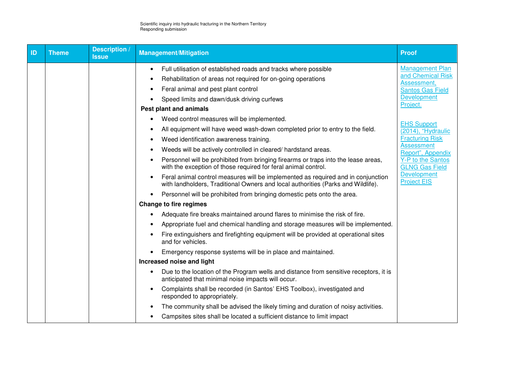| ID | <b>Theme</b> | <b>Description</b> /<br><b>Issue</b> | <b>Management/Mitigation</b>                                                                                                                                                                                                                                                                                                                                                                                                                                                                                                                | Proof                                                                                                                   |
|----|--------------|--------------------------------------|---------------------------------------------------------------------------------------------------------------------------------------------------------------------------------------------------------------------------------------------------------------------------------------------------------------------------------------------------------------------------------------------------------------------------------------------------------------------------------------------------------------------------------------------|-------------------------------------------------------------------------------------------------------------------------|
|    |              |                                      | Full utilisation of established roads and tracks where possible<br>$\bullet$<br>Rehabilitation of areas not required for on-going operations<br>Feral animal and pest plant control<br>$\bullet$<br>Speed limits and dawn/dusk driving curfews<br>Pest plant and animals                                                                                                                                                                                                                                                                    | <b>Management Plan</b><br>and Chemical Risk<br>Assessment,<br><b>Santos Gas Field</b><br><b>Development</b><br>Project. |
|    |              |                                      | Weed control measures will be implemented.<br>All equipment will have weed wash-down completed prior to entry to the field.<br>$\bullet$<br>Weed identification awareness training.<br>Weeds will be actively controlled in cleared/hardstand areas.<br>$\bullet$                                                                                                                                                                                                                                                                           | <b>EHS Support</b><br>(2014), "Hydraulic<br><b>Fracturing Risk</b><br><b>Assessment</b><br>Report", Appendix            |
|    |              |                                      | Personnel will be prohibited from bringing firearms or traps into the lease areas,<br>with the exception of those required for feral animal control.<br>Feral animal control measures will be implemented as required and in conjunction<br>$\bullet$<br>with landholders, Traditional Owners and local authorities (Parks and Wildlife).<br>Personnel will be prohibited from bringing domestic pets onto the area.                                                                                                                        | Y-P to the Santos<br><b>GLNG Gas Field</b><br><b>Development</b><br><b>Project EIS</b>                                  |
|    |              |                                      | <b>Change to fire regimes</b><br>Adequate fire breaks maintained around flares to minimise the risk of fire.<br>$\bullet$<br>Appropriate fuel and chemical handling and storage measures will be implemented.<br>Fire extinguishers and firefighting equipment will be provided at operational sites<br>and for vehicles.                                                                                                                                                                                                                   |                                                                                                                         |
|    |              |                                      | Emergency response systems will be in place and maintained.<br>Increased noise and light<br>Due to the location of the Program wells and distance from sensitive receptors, it is<br>anticipated that minimal noise impacts will occur.<br>Complaints shall be recorded (in Santos' EHS Toolbox), investigated and<br>$\bullet$<br>responded to appropriately.<br>The community shall be advised the likely timing and duration of noisy activities.<br>$\bullet$<br>Campsites sites shall be located a sufficient distance to limit impact |                                                                                                                         |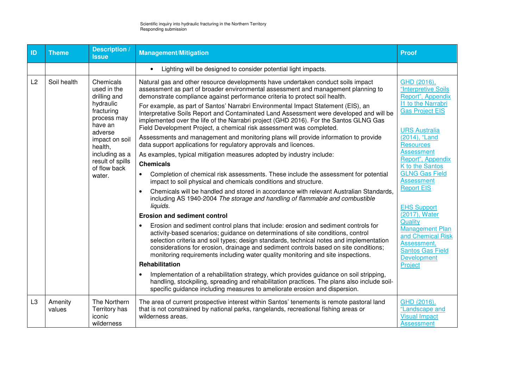| ID             | <b>Theme</b>                                                                                                 | <b>Description</b><br><b>Issue</b>                                                                                                                                                                                                                                                                                                                                                                                                                                                                                                                                                                    | <b>Management/Mitigation</b>                                                                                                                                                                                                                                         | <b>Proof</b>                                                                                                                                                                                                                                                                                                                                                                                                                                                                                                                                                                                                                                                                                                                                                                                                                                                                                                                                                                                                                                                                                                           |                                                                                                                                                                                                                                                                                                                             |
|----------------|--------------------------------------------------------------------------------------------------------------|-------------------------------------------------------------------------------------------------------------------------------------------------------------------------------------------------------------------------------------------------------------------------------------------------------------------------------------------------------------------------------------------------------------------------------------------------------------------------------------------------------------------------------------------------------------------------------------------------------|----------------------------------------------------------------------------------------------------------------------------------------------------------------------------------------------------------------------------------------------------------------------|------------------------------------------------------------------------------------------------------------------------------------------------------------------------------------------------------------------------------------------------------------------------------------------------------------------------------------------------------------------------------------------------------------------------------------------------------------------------------------------------------------------------------------------------------------------------------------------------------------------------------------------------------------------------------------------------------------------------------------------------------------------------------------------------------------------------------------------------------------------------------------------------------------------------------------------------------------------------------------------------------------------------------------------------------------------------------------------------------------------------|-----------------------------------------------------------------------------------------------------------------------------------------------------------------------------------------------------------------------------------------------------------------------------------------------------------------------------|
|                |                                                                                                              |                                                                                                                                                                                                                                                                                                                                                                                                                                                                                                                                                                                                       | Lighting will be designed to consider potential light impacts.<br>$\bullet$                                                                                                                                                                                          |                                                                                                                                                                                                                                                                                                                                                                                                                                                                                                                                                                                                                                                                                                                                                                                                                                                                                                                                                                                                                                                                                                                        |                                                                                                                                                                                                                                                                                                                             |
| L2             | Soil health<br>Chemicals<br>used in the<br>drilling and<br>hydraulic<br>fracturing<br>process may<br>have an | Natural gas and other resource developments have undertaken conduct soils impact<br>assessment as part of broader environmental assessment and management planning to<br>demonstrate compliance against performance criteria to protect soil health.<br>For example, as part of Santos' Narrabri Environmental Impact Statement (EIS), an<br>Interpretative Soils Report and Contaminated Land Assessment were developed and will be<br>implemented over the life of the Narrabri project (GHD 2016). For the Santos GLNG Gas<br>Field Development Project, a chemical risk assessment was completed. | GHD (2016),<br>"Interpretive Soils<br>Report", Appendix<br><b>11 to the Narrabri</b><br><b>Gas Project EIS</b><br><b>URS Australia</b>                                                                                                                               |                                                                                                                                                                                                                                                                                                                                                                                                                                                                                                                                                                                                                                                                                                                                                                                                                                                                                                                                                                                                                                                                                                                        |                                                                                                                                                                                                                                                                                                                             |
|                |                                                                                                              | adverse<br>impact on soil<br>health,<br>including as a<br>result of spills<br>of flow back<br>water.                                                                                                                                                                                                                                                                                                                                                                                                                                                                                                  |                                                                                                                                                                                                                                                                      | Assessments and management and monitoring plans will provide information to provide<br>data support applications for regulatory approvals and licences.<br>As examples, typical mitigation measures adopted by industry include:<br><b>Chemicals</b><br>Completion of chemical risk assessments. These include the assessment for potential<br>$\bullet$<br>impact to soil physical and chemicals conditions and structure.<br>Chemicals will be handled and stored in accordance with relevant Australian Standards,<br>including AS 1940-2004 The storage and handling of flammable and combustible<br>liquids.<br><b>Erosion and sediment control</b><br>Erosion and sediment control plans that include: erosion and sediment controls for<br>$\bullet$<br>activity-based scenarios; guidance on determinations of site conditions, control<br>selection criteria and soil types; design standards, technical notes and implementation<br>considerations for erosion, drainage and sediment controls based on site conditions;<br>monitoring requirements including water quality monitoring and site inspections. | (2014), "Land<br><b>Resources</b><br><b>Assessment</b><br>Report", Appendix<br>K to the Santos<br><b>GLNG Gas Field</b><br><b>Assessment</b><br><b>Report EIS</b><br><b>EHS Support</b><br>(2017), Water<br>Quality<br><b>Management Plan</b><br>and Chemical Risk<br>Assessment,<br><b>Santos Gas Field</b><br>Development |
|                |                                                                                                              |                                                                                                                                                                                                                                                                                                                                                                                                                                                                                                                                                                                                       | <b>Rehabilitation</b>                                                                                                                                                                                                                                                | Project                                                                                                                                                                                                                                                                                                                                                                                                                                                                                                                                                                                                                                                                                                                                                                                                                                                                                                                                                                                                                                                                                                                |                                                                                                                                                                                                                                                                                                                             |
|                |                                                                                                              |                                                                                                                                                                                                                                                                                                                                                                                                                                                                                                                                                                                                       | Implementation of a rehabilitation strategy, which provides guidance on soil stripping,<br>handling, stockpiling, spreading and rehabilitation practices. The plans also include soil-<br>specific guidance including measures to ameliorate erosion and dispersion. |                                                                                                                                                                                                                                                                                                                                                                                                                                                                                                                                                                                                                                                                                                                                                                                                                                                                                                                                                                                                                                                                                                                        |                                                                                                                                                                                                                                                                                                                             |
| L <sub>3</sub> | Amenity<br>values                                                                                            | The Northern<br>Territory has<br>iconic<br>wilderness                                                                                                                                                                                                                                                                                                                                                                                                                                                                                                                                                 | The area of current prospective interest within Santos' tenements is remote pastoral land<br>that is not constrained by national parks, rangelands, recreational fishing areas or<br>wilderness areas.                                                               | GHD (2016).<br>"Landscape and<br><b>Visual Impact</b><br><b>Assessment</b>                                                                                                                                                                                                                                                                                                                                                                                                                                                                                                                                                                                                                                                                                                                                                                                                                                                                                                                                                                                                                                             |                                                                                                                                                                                                                                                                                                                             |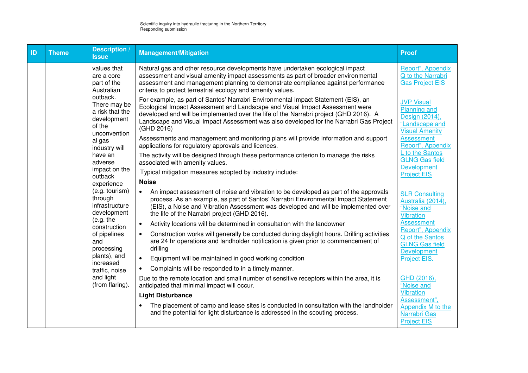| ID | <b>Theme</b> | Description /<br><b>Issue</b>                                                        | <b>Management/Mitigation</b>                                                                                                                                                                                                                                                                                                                                       | <b>Proof</b>                                                                                          |
|----|--------------|--------------------------------------------------------------------------------------|--------------------------------------------------------------------------------------------------------------------------------------------------------------------------------------------------------------------------------------------------------------------------------------------------------------------------------------------------------------------|-------------------------------------------------------------------------------------------------------|
|    |              | values that<br>are a core<br>part of the<br>Australian                               | Natural gas and other resource developments have undertaken ecological impact<br>assessment and visual amenity impact assessments as part of broader environmental<br>assessment and management planning to demonstrate compliance against performance<br>criteria to protect terrestrial ecology and amenity values.                                              | Report", Appendix<br>Q to the Narrabri<br><b>Gas Project EIS</b>                                      |
|    |              | outback.<br>There may be<br>a risk that the<br>development<br>of the<br>unconvention | For example, as part of Santos' Narrabri Environmental Impact Statement (EIS), an<br>Ecological Impact Assessment and Landscape and Visual Impact Assessment were<br>developed and will be implemented over the life of the Narrabri project (GHD 2016). A<br>Landscape and Visual Impact Assessment was also developed for the Narrabri Gas Project<br>(GHD 2016) | <b>JVP Visual</b><br><b>Planning and</b><br>Design (2014),<br>"Landscape and<br><b>Visual Amenity</b> |
|    |              | al gas<br>industry will                                                              | Assessments and management and monitoring plans will provide information and support<br>applications for regulatory approvals and licences.                                                                                                                                                                                                                        | <b>Assessment</b><br>Report", Appendix                                                                |
|    |              | have an<br>adverse                                                                   | The activity will be designed through these performance criterion to manage the risks<br>associated with amenity values.                                                                                                                                                                                                                                           | L to the Santos<br><b>GLNG Gas field</b><br><b>Development</b>                                        |
|    |              | impact on the<br>outback                                                             | Typical mitigation measures adopted by industry include:                                                                                                                                                                                                                                                                                                           | <b>Project EIS</b>                                                                                    |
|    |              | experience                                                                           | <b>Noise</b>                                                                                                                                                                                                                                                                                                                                                       |                                                                                                       |
|    |              | (e.g. tourism)<br>through<br>infrastructure<br>development                           | An impact assessment of noise and vibration to be developed as part of the approvals<br>$\bullet$<br>process. As an example, as part of Santos' Narrabri Environmental Impact Statement<br>(EIS), a Noise and Vibration Assessment was developed and will be implemented over<br>the life of the Narrabri project (GHD 2016).                                      | <b>SLR Consulting</b><br>Australia (2014),<br>"Noise and<br><b>Vibration</b>                          |
|    |              | (e.g. the<br>construction                                                            | Activity locations will be determined in consultation with the landowner<br>$\bullet$                                                                                                                                                                                                                                                                              | <b>Assessment</b>                                                                                     |
|    |              | of pipelines<br>and<br>processing                                                    | Construction works will generally be conducted during daylight hours. Drilling activities<br>$\bullet$<br>are 24 hr operations and landholder notification is given prior to commencement of<br>drilling                                                                                                                                                           | Report", Appendix<br>Q of the Santos<br><b>GLNG Gas field</b><br>Development                          |
|    |              | plants), and<br>increased                                                            | $\bullet$<br>Equipment will be maintained in good working condition                                                                                                                                                                                                                                                                                                | Project EIS.                                                                                          |
|    |              | traffic, noise                                                                       | Complaints will be responded to in a timely manner.<br>$\bullet$                                                                                                                                                                                                                                                                                                   |                                                                                                       |
|    |              | and light<br>(from flaring).                                                         | Due to the remote location and small number of sensitive receptors within the area, it is<br>anticipated that minimal impact will occur.                                                                                                                                                                                                                           | GHD (2016),<br>"Noise and                                                                             |
|    |              |                                                                                      | <b>Light Disturbance</b>                                                                                                                                                                                                                                                                                                                                           | <b>Vibration</b><br>Assessment",                                                                      |
|    |              |                                                                                      | The placement of camp and lease sites is conducted in consultation with the landholder<br>and the potential for light disturbance is addressed in the scouting process.                                                                                                                                                                                            | Appendix M to the<br>Narrabri Gas<br><b>Project EIS</b>                                               |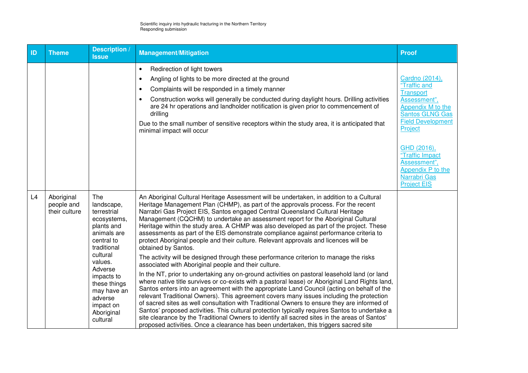| ID | <b>Theme</b>                              | <b>Description /</b><br><b>Issue</b>                                                                                                                                                                                                                                                                                                                                                                                                                                                                                                                                                                                                                                                                                                                                                                                                                                                                                                                                                                                                                                                                                                                                                                                                                                                                                                                                                                                                                                                                                                                                                                                                                                                                                                                                                                                                               | <b>Management/Mitigation</b>                                                                                                                                                                                                                                                                                                                                                                                                                                                                                          | <b>Proof</b>                                                                                                                                      |
|----|-------------------------------------------|----------------------------------------------------------------------------------------------------------------------------------------------------------------------------------------------------------------------------------------------------------------------------------------------------------------------------------------------------------------------------------------------------------------------------------------------------------------------------------------------------------------------------------------------------------------------------------------------------------------------------------------------------------------------------------------------------------------------------------------------------------------------------------------------------------------------------------------------------------------------------------------------------------------------------------------------------------------------------------------------------------------------------------------------------------------------------------------------------------------------------------------------------------------------------------------------------------------------------------------------------------------------------------------------------------------------------------------------------------------------------------------------------------------------------------------------------------------------------------------------------------------------------------------------------------------------------------------------------------------------------------------------------------------------------------------------------------------------------------------------------------------------------------------------------------------------------------------------------|-----------------------------------------------------------------------------------------------------------------------------------------------------------------------------------------------------------------------------------------------------------------------------------------------------------------------------------------------------------------------------------------------------------------------------------------------------------------------------------------------------------------------|---------------------------------------------------------------------------------------------------------------------------------------------------|
|    |                                           |                                                                                                                                                                                                                                                                                                                                                                                                                                                                                                                                                                                                                                                                                                                                                                                                                                                                                                                                                                                                                                                                                                                                                                                                                                                                                                                                                                                                                                                                                                                                                                                                                                                                                                                                                                                                                                                    | Redirection of light towers<br>$\bullet$<br>Angling of lights to be more directed at the ground<br>$\bullet$<br>Complaints will be responded in a timely manner<br>$\bullet$<br>Construction works will generally be conducted during daylight hours. Drilling activities<br>$\bullet$<br>are 24 hr operations and landholder notification is given prior to commencement of<br>drilling<br>Due to the small number of sensitive receptors within the study area, it is anticipated that<br>minimal impact will occur | Cardno (2014),<br>"Traffic and<br><b>Transport</b><br>Assessment",<br>Appendix M to the<br>Santos GLNG Gas<br><b>Field Development</b><br>Project |
|    |                                           |                                                                                                                                                                                                                                                                                                                                                                                                                                                                                                                                                                                                                                                                                                                                                                                                                                                                                                                                                                                                                                                                                                                                                                                                                                                                                                                                                                                                                                                                                                                                                                                                                                                                                                                                                                                                                                                    |                                                                                                                                                                                                                                                                                                                                                                                                                                                                                                                       | GHD (2016),<br>"Traffic Impact<br>Assessment",<br>Appendix P to the<br>Narrabri Gas<br><b>Project EIS</b>                                         |
| L4 | Aboriginal<br>people and<br>their culture | <b>The</b><br>An Aboriginal Cultural Heritage Assessment will be undertaken, in addition to a Cultural<br>Heritage Management Plan (CHMP), as part of the approvals process. For the recent<br>landscape,<br>Narrabri Gas Project EIS, Santos engaged Central Queensland Cultural Heritage<br>terrestrial<br>Management (CQCHM) to undertake an assessment report for the Aboriginal Cultural<br>ecosystems,<br>Heritage within the study area. A CHMP was also developed as part of the project. These<br>plants and<br>assessments as part of the EIS demonstrate compliance against performance criteria to<br>animals are<br>central to<br>protect Aboriginal people and their culture. Relevant approvals and licences will be<br>traditional<br>obtained by Santos.<br>cultural<br>The activity will be designed through these performance criterion to manage the risks<br>values.<br>associated with Aboriginal people and their culture.<br>Adverse<br>In the NT, prior to undertaking any on-ground activities on pastoral leasehold land (or land<br>impacts to<br>where native title survives or co-exists with a pastoral lease) or Aboriginal Land Rights land,<br>these things<br>Santos enters into an agreement with the appropriate Land Council (acting on behalf of the<br>may have an<br>relevant Traditional Owners). This agreement covers many issues including the protection<br>adverse<br>of sacred sites as well consultation with Traditional Owners to ensure they are informed of<br>impact on<br>Santos' proposed activities. This cultural protection typically requires Santos to undertake a<br>Aboriginal<br>site clearance by the Traditional Owners to identify all sacred sites in the areas of Santos'<br>cultural<br>proposed activities. Once a clearance has been undertaken, this triggers sacred site |                                                                                                                                                                                                                                                                                                                                                                                                                                                                                                                       |                                                                                                                                                   |
|    |                                           |                                                                                                                                                                                                                                                                                                                                                                                                                                                                                                                                                                                                                                                                                                                                                                                                                                                                                                                                                                                                                                                                                                                                                                                                                                                                                                                                                                                                                                                                                                                                                                                                                                                                                                                                                                                                                                                    |                                                                                                                                                                                                                                                                                                                                                                                                                                                                                                                       |                                                                                                                                                   |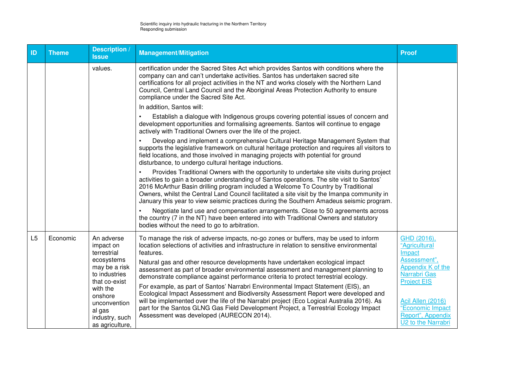| ID | <b>Theme</b> | Description /<br><b>Issue</b>                                                      | <b>Management/Mitigation</b>                                                                                                                                                                                                                                                                                                                                                                                                                                           | <b>Proof</b>                                                                     |
|----|--------------|------------------------------------------------------------------------------------|------------------------------------------------------------------------------------------------------------------------------------------------------------------------------------------------------------------------------------------------------------------------------------------------------------------------------------------------------------------------------------------------------------------------------------------------------------------------|----------------------------------------------------------------------------------|
|    |              | values.                                                                            | certification under the Sacred Sites Act which provides Santos with conditions where the<br>company can and can't undertake activities. Santos has undertaken sacred site<br>certifications for all project activities in the NT and works closely with the Northern Land<br>Council, Central Land Council and the Aboriginal Areas Protection Authority to ensure<br>compliance under the Sacred Site Act.                                                            |                                                                                  |
|    |              |                                                                                    | In addition, Santos will:                                                                                                                                                                                                                                                                                                                                                                                                                                              |                                                                                  |
|    |              |                                                                                    | Establish a dialogue with Indigenous groups covering potential issues of concern and<br>development opportunities and formalising agreements. Santos will continue to engage<br>actively with Traditional Owners over the life of the project.                                                                                                                                                                                                                         |                                                                                  |
|    |              |                                                                                    | Develop and implement a comprehensive Cultural Heritage Management System that<br>supports the legislative framework on cultural heritage protection and requires all visitors to<br>field locations, and those involved in managing projects with potential for ground<br>disturbance, to undergo cultural heritage inductions.                                                                                                                                       |                                                                                  |
|    |              |                                                                                    | Provides Traditional Owners with the opportunity to undertake site visits during project<br>activities to gain a broader understanding of Santos operations. The site visit to Santos'<br>2016 McArthur Basin drilling program included a Welcome To Country by Traditional<br>Owners, whilst the Central Land Council facilitated a site visit by the Imanpa community in<br>January this year to view seismic practices during the Southern Amadeus seismic program. |                                                                                  |
|    |              |                                                                                    | Negotiate land use and compensation arrangements. Close to 50 agreements across<br>the country (7 in the NT) have been entered into with Traditional Owners and statutory<br>bodies without the need to go to arbitration.                                                                                                                                                                                                                                             |                                                                                  |
| L5 | Economic     | An adverse<br>impact on<br>terrestrial                                             | To manage the risk of adverse impacts, no-go zones or buffers, may be used to inform<br>location selections of activities and infrastructure in relation to sensitive environmental<br>features.                                                                                                                                                                                                                                                                       | GHD (2016),<br>"Agricultural<br>Impact                                           |
|    |              | ecosystems<br>may be a risk<br>to industries<br>that co-exist                      | Natural gas and other resource developments have undertaken ecological impact<br>assessment as part of broader environmental assessment and management planning to<br>demonstrate compliance against performance criteria to protect terrestrial ecology.                                                                                                                                                                                                              | Assessment",<br>Appendix K of the<br><b>Narrabri Gas</b><br><b>Project EIS</b>   |
|    |              | with the<br>onshore<br>unconvention<br>al gas<br>industry, such<br>as agriculture, | For example, as part of Santos' Narrabri Environmental Impact Statement (EIS), an<br>Ecological Impact Assessment and Biodiversity Assessment Report were developed and<br>will be implemented over the life of the Narrabri project (Eco Logical Australia 2016). As<br>part for the Santos GLNG Gas Field Development Project, a Terrestrial Ecology Impact<br>Assessment was developed (AURECON 2014).                                                              | Acil Allen (2016)<br>"Economic Impact<br>Report", Appendix<br>U2 to the Narrabri |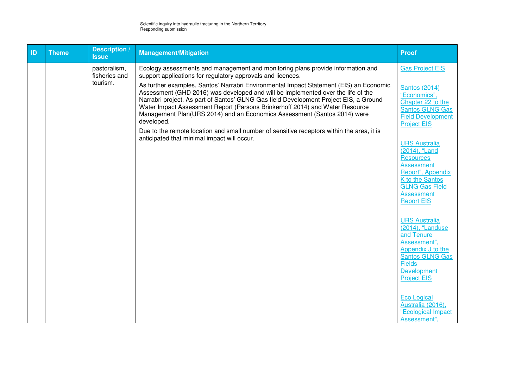| ID | <b>Theme</b> | Description /<br><b>Issue</b> | <b>Management/Mitigation</b>                                                                                                                                                                                                                                                                                                                                                                                                                  | <b>Proof</b>                                                                                                                          |
|----|--------------|-------------------------------|-----------------------------------------------------------------------------------------------------------------------------------------------------------------------------------------------------------------------------------------------------------------------------------------------------------------------------------------------------------------------------------------------------------------------------------------------|---------------------------------------------------------------------------------------------------------------------------------------|
|    |              | pastoralism,<br>fisheries and | Ecology assessments and management and monitoring plans provide information and<br>support applications for regulatory approvals and licences.                                                                                                                                                                                                                                                                                                | <b>Gas Project EIS</b>                                                                                                                |
|    |              | tourism.                      | As further examples, Santos' Narrabri Environmental Impact Statement (EIS) an Economic<br>Assessment (GHD 2016) was developed and will be implemented over the life of the<br>Narrabri project. As part of Santos' GLNG Gas field Development Project EIS, a Ground<br>Water Impact Assessment Report (Parsons Brinkerhoff 2014) and Water Resource<br>Management Plan(URS 2014) and an Economics Assessment (Santos 2014) were<br>developed. | <b>Santos (2014)</b><br>"Economics",<br>Chapter 22 to the<br><b>Santos GLNG Gas</b><br><b>Field Development</b><br><b>Project EIS</b> |
|    |              |                               | Due to the remote location and small number of sensitive receptors within the area, it is<br>anticipated that minimal impact will occur.                                                                                                                                                                                                                                                                                                      | <b>URS Australia</b>                                                                                                                  |
|    |              |                               |                                                                                                                                                                                                                                                                                                                                                                                                                                               | (2014), "Land<br><b>Resources</b><br><b>Assessment</b>                                                                                |
|    |              |                               |                                                                                                                                                                                                                                                                                                                                                                                                                                               | Report", Appendix<br>K to the Santos<br><b>GLNG Gas Field</b>                                                                         |
|    |              |                               |                                                                                                                                                                                                                                                                                                                                                                                                                                               | <b>Assessment</b><br><b>Report EIS</b>                                                                                                |
|    |              |                               |                                                                                                                                                                                                                                                                                                                                                                                                                                               | <b>URS Australia</b><br>(2014), "Landuse<br>and Tenure                                                                                |
|    |              |                               |                                                                                                                                                                                                                                                                                                                                                                                                                                               | Assessment",<br>Appendix J to the<br><b>Santos GLNG Gas</b>                                                                           |
|    |              |                               |                                                                                                                                                                                                                                                                                                                                                                                                                                               | <b>Fields</b><br><b>Development</b><br><b>Project EIS</b>                                                                             |
|    |              |                               |                                                                                                                                                                                                                                                                                                                                                                                                                                               | <b>Eco Logical</b><br>Australia (2016),<br>"Ecological Impact                                                                         |
|    |              |                               |                                                                                                                                                                                                                                                                                                                                                                                                                                               | Assessment",                                                                                                                          |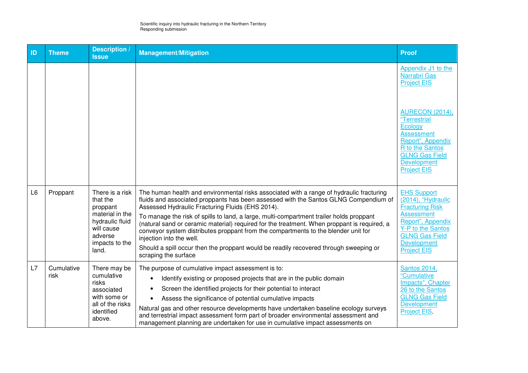| ID             | <b>Theme</b>       | <b>Description</b> /<br><b>Issue</b>                                                                                              | <b>Management/Mitigation</b>                                                                                                                                                                                                                                                                                                                                                                                                                                                                                                                                                                                                                                      | <b>Proof</b>                                                                                                                                                                                                                                    |
|----------------|--------------------|-----------------------------------------------------------------------------------------------------------------------------------|-------------------------------------------------------------------------------------------------------------------------------------------------------------------------------------------------------------------------------------------------------------------------------------------------------------------------------------------------------------------------------------------------------------------------------------------------------------------------------------------------------------------------------------------------------------------------------------------------------------------------------------------------------------------|-------------------------------------------------------------------------------------------------------------------------------------------------------------------------------------------------------------------------------------------------|
|                |                    |                                                                                                                                   |                                                                                                                                                                                                                                                                                                                                                                                                                                                                                                                                                                                                                                                                   | Appendix J1 to the<br>Narrabri Gas<br><b>Project EIS</b><br><b>AURECON (2014),</b><br>"Terrestrial<br>Ecology<br><b>Assessment</b><br>Report", Appendix<br>R to the Santos<br><b>GLNG Gas Field</b><br><b>Development</b><br><b>Project EIS</b> |
| L <sub>6</sub> | Proppant           | There is a risk<br>that the<br>proppant<br>material in the<br>hydraulic fluid<br>will cause<br>adverse<br>impacts to the<br>land. | The human health and environmental risks associated with a range of hydraulic fracturing<br>fluids and associated proppants has been assessed with the Santos GLNG Compendium of<br>Assessed Hydraulic Fracturing Fluids (EHS 2014).<br>To manage the risk of spills to land, a large, multi-compartment trailer holds proppant<br>(natural sand or ceramic material) required for the treatment. When proppant is required, a<br>conveyor system distributes proppant from the compartments to the blender unit for<br>injection into the well.<br>Should a spill occur then the proppant would be readily recovered through sweeping or<br>scraping the surface | <b>EHS Support</b><br>(2014), "Hydraulic<br><b>Fracturing Risk</b><br><b>Assessment</b><br>Report", Appendix<br>Y-P to the Santos<br><b>GLNG Gas Field</b><br><b>Development</b><br><b>Project EIS</b>                                          |
| L7             | Cumulative<br>risk | There may be<br>cumulative<br>risks<br>associated<br>with some or<br>all of the risks<br>identified<br>above.                     | The purpose of cumulative impact assessment is to:<br>Identify existing or proposed projects that are in the public domain<br>Screen the identified projects for their potential to interact<br>Assess the significance of potential cumulative impacts<br>Natural gas and other resource developments have undertaken baseline ecology surveys<br>and terrestrial impact assessment form part of broader environmental assessment and<br>management planning are undertaken for use in cumulative impact assessments on                                                                                                                                          | <b>Santos 2014,</b><br>"Cumulative<br>Impacts", Chapter<br>26 to the Santos<br><b>GLNG Gas Field</b><br><b>Development</b><br><b>Project EIS.</b>                                                                                               |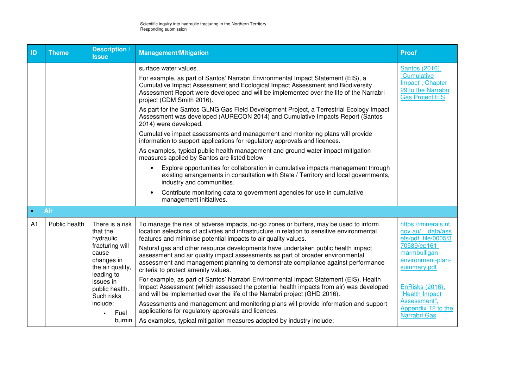| ID             | <b>Theme</b>  | <b>Description</b> /<br><b>Issue</b>                                                                                                                                                                         | <b>Management/Mitigation</b>                                                                                                                                                                                                                                                                                                                                                                                                                                                                                                                                                                                                                                                                                                                                                                                                                                                                                                                                                                                                                                                                                                             | <b>Proof</b>                                                                                                                                                                                                                    |
|----------------|---------------|--------------------------------------------------------------------------------------------------------------------------------------------------------------------------------------------------------------|------------------------------------------------------------------------------------------------------------------------------------------------------------------------------------------------------------------------------------------------------------------------------------------------------------------------------------------------------------------------------------------------------------------------------------------------------------------------------------------------------------------------------------------------------------------------------------------------------------------------------------------------------------------------------------------------------------------------------------------------------------------------------------------------------------------------------------------------------------------------------------------------------------------------------------------------------------------------------------------------------------------------------------------------------------------------------------------------------------------------------------------|---------------------------------------------------------------------------------------------------------------------------------------------------------------------------------------------------------------------------------|
|                |               |                                                                                                                                                                                                              | surface water values.<br>For example, as part of Santos' Narrabri Environmental Impact Statement (EIS), a<br>Cumulative Impact Assessment and Ecological Impact Assessment and Biodiversity<br>Assessment Report were developed and will be implemented over the life of the Narrabri<br>project (CDM Smith 2016).<br>As part for the Santos GLNG Gas Field Development Project, a Terrestrial Ecology Impact<br>Assessment was developed (AURECON 2014) and Cumulative Impacts Report (Santos<br>2014) were developed.<br>Cumulative impact assessments and management and monitoring plans will provide<br>information to support applications for regulatory approvals and licences.<br>As examples, typical public health management and ground water impact mitigation<br>measures applied by Santos are listed below<br>Explore opportunities for collaboration in cumulative impacts management through<br>existing arrangements in consultation with State / Territory and local governments,<br>industry and communities.<br>Contribute monitoring data to government agencies for use in cumulative<br>management initiatives. | Santos (2016),<br>"Cumulative<br>Impact", Chapter<br>29 to the Narrabri<br><b>Gas Project EIS</b>                                                                                                                               |
| $\bullet$      | Air           |                                                                                                                                                                                                              |                                                                                                                                                                                                                                                                                                                                                                                                                                                                                                                                                                                                                                                                                                                                                                                                                                                                                                                                                                                                                                                                                                                                          |                                                                                                                                                                                                                                 |
| A <sub>1</sub> | Public health | There is a risk<br>that the<br>hydraulic<br>fracturing will<br>cause<br>changes in<br>the air quality,<br>leading to<br>issues in<br>public health.<br>Such risks<br>include:<br>Fuel<br>$\bullet$<br>burnin | To manage the risk of adverse impacts, no-go zones or buffers, may be used to inform<br>location selections of activities and infrastructure in relation to sensitive environmental<br>features and minimise potential impacts to air quality values.<br>Natural gas and other resource developments have undertaken public health impact<br>assessment and air quality impact assessments as part of broader environmental<br>assessment and management planning to demonstrate compliance against performance<br>criteria to protect amenity values.<br>For example, as part of Santos' Narrabri Environmental Impact Statement (EIS), Health<br>Impact Assessment (which assessed the potential health impacts from air) was developed<br>and will be implemented over the life of the Narrabri project (GHD 2016).<br>Assessments and management and monitoring plans will provide information and support<br>applications for regulatory approvals and licences.<br>As examples, typical mitigation measures adopted by industry include:                                                                                           | https://minerals.nt.<br>gov.au/ data/ass<br>ets/pdf file/0005/3<br>70589/ep161-<br>marmbulligan-<br>environment-plan-<br>summary.pdf<br>EnRisks (2016),<br>"Health Impact<br>Assessment",<br>Appendix T2 to the<br>Narrabri Gas |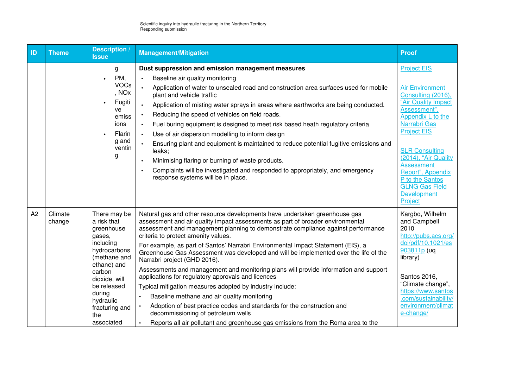| ID | <b>Theme</b>      | <b>Description</b><br><b>Issue</b>                                                                                                                                                                                      | <b>Management/Mitigation</b>                                                                                                                                                                                                                                                                                                                                                                                                                                                                                                                                                                                                                                                                                                                                                                                                                                                                                                                                                  | <b>Proof</b>                                                                                                                                                                                                                                                                                                                                 |
|----|-------------------|-------------------------------------------------------------------------------------------------------------------------------------------------------------------------------------------------------------------------|-------------------------------------------------------------------------------------------------------------------------------------------------------------------------------------------------------------------------------------------------------------------------------------------------------------------------------------------------------------------------------------------------------------------------------------------------------------------------------------------------------------------------------------------------------------------------------------------------------------------------------------------------------------------------------------------------------------------------------------------------------------------------------------------------------------------------------------------------------------------------------------------------------------------------------------------------------------------------------|----------------------------------------------------------------------------------------------------------------------------------------------------------------------------------------------------------------------------------------------------------------------------------------------------------------------------------------------|
|    |                   | g<br>PM,<br>$\bullet$<br><b>VOCs</b><br>, NO <sub>x</sub><br>Fugiti<br>ve<br>emiss<br>ions<br>Flarin<br>g and<br>ventin<br>g                                                                                            | Dust suppression and emission management measures<br>Baseline air quality monitoring<br>$\bullet$<br>$\bullet$<br>Application of water to unsealed road and construction area surfaces used for mobile<br>plant and vehicle traffic<br>Application of misting water sprays in areas where earthworks are being conducted.<br>$\bullet$<br>Reducing the speed of vehicles on field roads.<br>$\bullet$<br>Fuel buring equipment is designed to meet risk based heath regulatory criteria<br>$\bullet$<br>Use of air dispersion modelling to inform design<br>$\bullet$<br>Ensuring plant and equipment is maintained to reduce potential fugitive emissions and<br>$\bullet$<br>leaks;<br>Minimising flaring or burning of waste products.<br>Complaints will be investigated and responded to appropriately, and emergency<br>response systems will be in place.                                                                                                              | <b>Project EIS</b><br><b>Air Environment</b><br>Consulting (2016),<br>"Air Quality Impact<br>Assessment",<br>Appendix L to the<br>Narrabri Gas<br><b>Project EIS</b><br><b>SLR Consulting</b><br>(2014), "Air Quality<br><b>Assessment</b><br>Report", Appendix<br>P to the Santos<br><b>GLNG Gas Field</b><br><b>Development</b><br>Project |
| A2 | Climate<br>change | There may be<br>a risk that<br>greenhouse<br>gases,<br>including<br>hydrocarbons<br>(methane and<br>ethane) and<br>carbon<br>dioxide, will<br>be released<br>during<br>hydraulic<br>fracturing and<br>the<br>associated | Natural gas and other resource developments have undertaken greenhouse gas<br>assessment and air quality impact assessments as part of broader environmental<br>assessment and management planning to demonstrate compliance against performance<br>criteria to protect amenity values.<br>For example, as part of Santos' Narrabri Environmental Impact Statement (EIS), a<br>Greenhouse Gas Assessment was developed and will be implemented over the life of the<br>Narrabri project (GHD 2016).<br>Assessments and management and monitoring plans will provide information and support<br>applications for regulatory approvals and licences<br>Typical mitigation measures adopted by industry include:<br>Baseline methane and air quality monitoring<br>$\bullet$<br>Adoption of best practice codes and standards for the construction and<br>decommissioning of petroleum wells<br>Reports all air pollutant and greenhouse gas emissions from the Roma area to the | Kargbo, Wilhelm<br>and Campbell<br>2010<br>http://pubs.acs.org/<br>doi/pdf/10.1021/es<br>903811p (uq<br>library)<br>Santos 2016,<br>"Climate change",<br>https://www.santos<br>.com/sustainability/<br>environment/climat<br>e-change/                                                                                                       |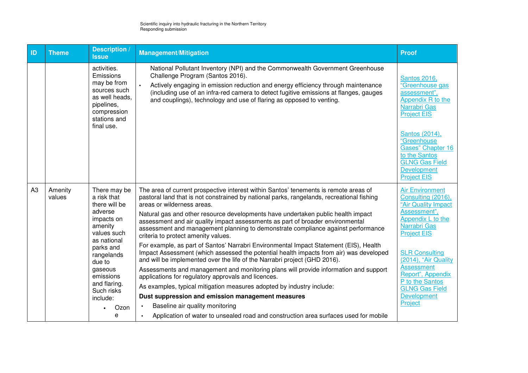| ID             | <b>Theme</b>      | <b>Description</b> /<br><b>Issue</b>                                                                                                 | <b>Management/Mitigation</b>                                                                                                                                                                                                                                                                                                                                            | <b>Proof</b>                                                                                                                                                                                                                                                         |
|----------------|-------------------|--------------------------------------------------------------------------------------------------------------------------------------|-------------------------------------------------------------------------------------------------------------------------------------------------------------------------------------------------------------------------------------------------------------------------------------------------------------------------------------------------------------------------|----------------------------------------------------------------------------------------------------------------------------------------------------------------------------------------------------------------------------------------------------------------------|
|                |                   | activities.<br>Emissions<br>may be from<br>sources such<br>as well heads,<br>pipelines,<br>compression<br>stations and<br>final use. | National Pollutant Inventory (NPI) and the Commonwealth Government Greenhouse<br>Challenge Program (Santos 2016).<br>Actively engaging in emission reduction and energy efficiency through maintenance<br>(including use of an infra-red camera to detect fugitive emissions at flanges, gauges<br>and couplings), technology and use of flaring as opposed to venting. | <b>Santos 2016,</b><br>"Greenhouse gas<br>assessment",<br>Appendix R to the<br>Narrabri Gas<br><b>Project EIS</b><br>Santos (2014),<br>"Greenhouse<br><b>Gases" Chapter 16</b><br>to the Santos<br><b>GLNG Gas Field</b><br><b>Development</b><br><b>Project EIS</b> |
| A <sub>3</sub> | Amenity<br>values | There may be<br>a risk that<br>there will be                                                                                         | The area of current prospective interest within Santos' tenements is remote areas of<br>pastoral land that is not constrained by national parks, rangelands, recreational fishing<br>areas or wilderness areas.                                                                                                                                                         | <b>Air Environment</b><br>Consulting (2016),<br>"Air Quality Impact                                                                                                                                                                                                  |
|                |                   | adverse<br>impacts on<br>amenity<br>values such<br>as national                                                                       | Natural gas and other resource developments have undertaken public health impact<br>assessment and air quality impact assessments as part of broader environmental<br>assessment and management planning to demonstrate compliance against performance<br>criteria to protect amenity values.                                                                           | Assessment",<br>Appendix L to the<br>Narrabri Gas<br><b>Project EIS</b>                                                                                                                                                                                              |
|                |                   | parks and<br>rangelands<br>due to                                                                                                    | For example, as part of Santos' Narrabri Environmental Impact Statement (EIS), Health<br>Impact Assessment (which assessed the potential health impacts from air) was developed<br>and will be implemented over the life of the Narrabri project (GHD 2016).                                                                                                            | <b>SLR Consulting</b><br>(2014), "Air Quality                                                                                                                                                                                                                        |
|                |                   | gaseous<br>emissions                                                                                                                 | Assessments and management and monitoring plans will provide information and support<br>applications for regulatory approvals and licences.                                                                                                                                                                                                                             | <b>Assessment</b><br>Report", Appendix<br>P to the Santos                                                                                                                                                                                                            |
|                |                   | and flaring.<br>Such risks                                                                                                           | As examples, typical mitigation measures adopted by industry include:                                                                                                                                                                                                                                                                                                   | <b>GLNG Gas Field</b>                                                                                                                                                                                                                                                |
|                |                   | include:                                                                                                                             | Dust suppression and emission management measures                                                                                                                                                                                                                                                                                                                       | Development                                                                                                                                                                                                                                                          |
|                |                   | Ozon                                                                                                                                 | Baseline air quality monitoring<br>$\bullet$                                                                                                                                                                                                                                                                                                                            | Project                                                                                                                                                                                                                                                              |
|                |                   | е                                                                                                                                    | Application of water to unsealed road and construction area surfaces used for mobile                                                                                                                                                                                                                                                                                    |                                                                                                                                                                                                                                                                      |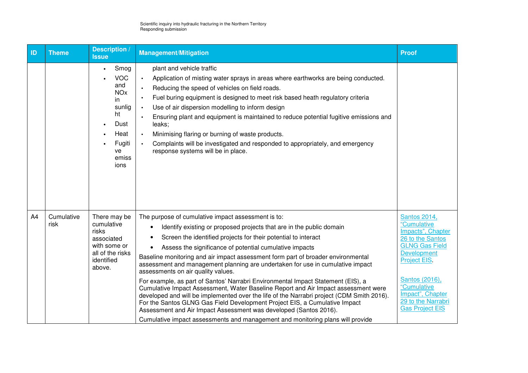| ID             | <b>Theme</b>       | Description<br><b>Issue</b>                                                                                                            | <b>Management/Mitigation</b>                                                                                                                                                                                                                                                                                                                                                                                                                                                                                                                                                                                                                                                                                                                                                                                                                                                                                                                                                    | <b>Proof</b>                                                                                                                                                                                                                             |
|----------------|--------------------|----------------------------------------------------------------------------------------------------------------------------------------|---------------------------------------------------------------------------------------------------------------------------------------------------------------------------------------------------------------------------------------------------------------------------------------------------------------------------------------------------------------------------------------------------------------------------------------------------------------------------------------------------------------------------------------------------------------------------------------------------------------------------------------------------------------------------------------------------------------------------------------------------------------------------------------------------------------------------------------------------------------------------------------------------------------------------------------------------------------------------------|------------------------------------------------------------------------------------------------------------------------------------------------------------------------------------------------------------------------------------------|
|                |                    | Smog<br>$\bullet$<br><b>VOC</b><br>and<br><b>NO<sub>x</sub></b><br>in<br>sunlig<br>ht<br>Dust<br>Heat<br>Fugiti<br>ve<br>emiss<br>ions | plant and vehicle traffic<br>Application of misting water sprays in areas where earthworks are being conducted.<br>$\bullet$<br>Reducing the speed of vehicles on field roads.<br>$\bullet$<br>Fuel buring equipment is designed to meet risk based heath regulatory criteria<br>$\bullet$<br>Use of air dispersion modelling to inform design<br>$\bullet$<br>Ensuring plant and equipment is maintained to reduce potential fugitive emissions and<br>leaks;<br>Minimising flaring or burning of waste products.<br>$\bullet$<br>Complaints will be investigated and responded to appropriately, and emergency<br>$\bullet$<br>response systems will be in place.                                                                                                                                                                                                                                                                                                             |                                                                                                                                                                                                                                          |
| A <sub>4</sub> | Cumulative<br>risk | There may be<br>cumulative<br>risks<br>associated<br>with some or<br>all of the risks<br>identified<br>above.                          | The purpose of cumulative impact assessment is to:<br>Identify existing or proposed projects that are in the public domain<br>Screen the identified projects for their potential to interact<br>Assess the significance of potential cumulative impacts<br>Baseline monitoring and air impact assessment form part of broader environmental<br>assessment and management planning are undertaken for use in cumulative impact<br>assessments on air quality values.<br>For example, as part of Santos' Narrabri Environmental Impact Statement (EIS), a<br>Cumulative Impact Assessment, Water Baseline Report and Air Impact assessment were<br>developed and will be implemented over the life of the Narrabri project (CDM Smith 2016).<br>For the Santos GLNG Gas Field Development Project EIS, a Cumulative Impact<br>Assessment and Air Impact Assessment was developed (Santos 2016).<br>Cumulative impact assessments and management and monitoring plans will provide | <b>Santos 2014,</b><br>"Cumulative<br>Impacts", Chapter<br>26 to the Santos<br><b>GLNG Gas Field</b><br>Development<br>Project EIS.<br>Santos (2016),<br>"Cumulative<br>Impact", Chapter<br>29 to the Narrabri<br><b>Gas Project EIS</b> |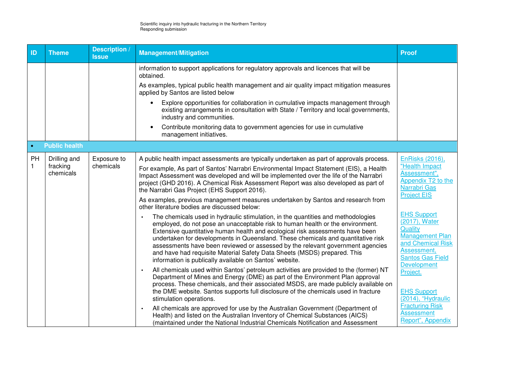| ID                | <b>Theme</b>                          | <b>Description /</b><br><b>Issue</b> | <b>Management/Mitigation</b>                                                                                                                                                                                                                                                                                                                                                                                                                                                                                                                                                                                                                                                                                                                                                                                                                                                                                                                                                                                                                                      | <b>Proof</b>                                                                                                                                                                                                                                                    |
|-------------------|---------------------------------------|--------------------------------------|-------------------------------------------------------------------------------------------------------------------------------------------------------------------------------------------------------------------------------------------------------------------------------------------------------------------------------------------------------------------------------------------------------------------------------------------------------------------------------------------------------------------------------------------------------------------------------------------------------------------------------------------------------------------------------------------------------------------------------------------------------------------------------------------------------------------------------------------------------------------------------------------------------------------------------------------------------------------------------------------------------------------------------------------------------------------|-----------------------------------------------------------------------------------------------------------------------------------------------------------------------------------------------------------------------------------------------------------------|
|                   |                                       |                                      | information to support applications for regulatory approvals and licences that will be<br>obtained.<br>As examples, typical public health management and air quality impact mitigation measures<br>applied by Santos are listed below<br>Explore opportunities for collaboration in cumulative impacts management through<br>existing arrangements in consultation with State / Territory and local governments.<br>industry and communities.<br>Contribute monitoring data to government agencies for use in cumulative                                                                                                                                                                                                                                                                                                                                                                                                                                                                                                                                          |                                                                                                                                                                                                                                                                 |
|                   |                                       |                                      | management initiatives.                                                                                                                                                                                                                                                                                                                                                                                                                                                                                                                                                                                                                                                                                                                                                                                                                                                                                                                                                                                                                                           |                                                                                                                                                                                                                                                                 |
| $\bullet$         | <b>Public health</b>                  |                                      |                                                                                                                                                                                                                                                                                                                                                                                                                                                                                                                                                                                                                                                                                                                                                                                                                                                                                                                                                                                                                                                                   |                                                                                                                                                                                                                                                                 |
| PH<br>$\mathbf 1$ | Drilling and<br>fracking<br>chemicals | Exposure to<br>chemicals             | A public health impact assessments are typically undertaken as part of approvals process.<br>For example, As part of Santos' Narrabri Environmental Impact Statement (EIS), a Health<br>Impact Assessment was developed and will be implemented over the life of the Narrabri<br>project (GHD 2016). A Chemical Risk Assessment Report was also developed as part of<br>the Narrabri Gas Project (EHS Support 2016).<br>As examples, previous management measures undertaken by Santos and research from<br>other literature bodies are discussed below:<br>The chemicals used in hydraulic stimulation, in the quantities and methodologies<br>employed, do not pose an unacceptable risk to human health or the environment.<br>Extensive quantitative human health and ecological risk assessments have been<br>undertaken for developments in Queensland. These chemicals and quantitative risk<br>assessments have been reviewed or assessed by the relevant government agencies<br>and have had requisite Material Safety Data Sheets (MSDS) prepared. This | EnRisks (2016),<br>"Health Impact<br>Assessment",<br>Appendix T2 to the<br><b>Narrabri Gas</b><br><b>Project EIS</b><br><b>EHS Support</b><br>(2017), Water<br>Quality<br><b>Management Plan</b><br>and Chemical Risk<br>Assessment,<br><b>Santos Gas Field</b> |
|                   |                                       |                                      | information is publically available on Santos' website.<br>All chemicals used within Santos' petroleum activities are provided to the (former) NT<br>Department of Mines and Energy (DME) as part of the Environment Plan approval<br>process. These chemicals, and their associated MSDS, are made publicly available on<br>the DME website. Santos supports full disclosure of the chemicals used in fracture<br>stimulation operations.<br>All chemicals are approved for use by the Australian Government (Department of<br>Health) and listed on the Australian Inventory of Chemical Substances (AICS)<br>(maintained under the National Industrial Chemicals Notification and Assessment                                                                                                                                                                                                                                                                                                                                                                   | <b>Development</b><br>Project.<br><b>EHS Support</b><br>(2014), "Hydraulic<br><b>Fracturing Risk</b><br><b>Assessment</b><br>Report", Appendix                                                                                                                  |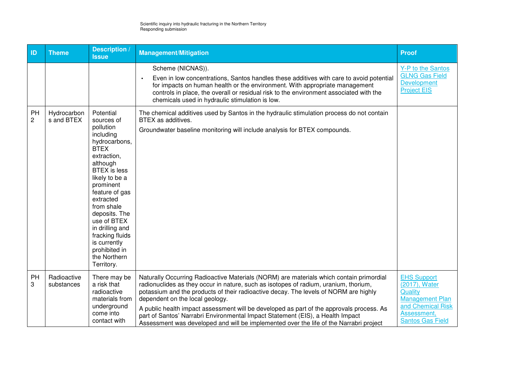| ID                   | <b>Theme</b>              | <b>Description /</b><br><b>Issue</b>                                                                                                                                                                                                                                                                                                                 | <b>Management/Mitigation</b>                                                                                                                                                                                                                                                                                                                                                                                                                                                                                                                                                       | <b>Proof</b>                                                                                                                            |
|----------------------|---------------------------|------------------------------------------------------------------------------------------------------------------------------------------------------------------------------------------------------------------------------------------------------------------------------------------------------------------------------------------------------|------------------------------------------------------------------------------------------------------------------------------------------------------------------------------------------------------------------------------------------------------------------------------------------------------------------------------------------------------------------------------------------------------------------------------------------------------------------------------------------------------------------------------------------------------------------------------------|-----------------------------------------------------------------------------------------------------------------------------------------|
|                      |                           |                                                                                                                                                                                                                                                                                                                                                      | Scheme (NICNAS)).<br>Even in low concentrations, Santos handles these additives with care to avoid potential<br>for impacts on human health or the environment. With appropriate management<br>controls in place, the overall or residual risk to the environment associated with the<br>chemicals used in hydraulic stimulation is low.                                                                                                                                                                                                                                           | Y-P to the Santos<br><b>GLNG Gas Field</b><br><b>Development</b><br><b>Project EIS</b>                                                  |
| PH<br>$\overline{c}$ | Hydrocarbon<br>s and BTEX | Potential<br>sources of<br>pollution<br>including<br>hydrocarbons,<br><b>BTEX</b><br>extraction,<br>although<br><b>BTEX</b> is less<br>likely to be a<br>prominent<br>feature of gas<br>extracted<br>from shale<br>deposits. The<br>use of BTEX<br>in drilling and<br>fracking fluids<br>is currently<br>prohibited in<br>the Northern<br>Territory. | The chemical additives used by Santos in the hydraulic stimulation process do not contain<br>BTEX as additives.<br>Groundwater baseline monitoring will include analysis for BTEX compounds.                                                                                                                                                                                                                                                                                                                                                                                       |                                                                                                                                         |
| PH<br>3              | Radioactive<br>substances | There may be<br>a risk that<br>radioactive<br>materials from<br>underground<br>come into<br>contact with                                                                                                                                                                                                                                             | Naturally Occurring Radioactive Materials (NORM) are materials which contain primordial<br>radionuclides as they occur in nature, such as isotopes of radium, uranium, thorium,<br>potassium and the products of their radioactive decay. The levels of NORM are highly<br>dependent on the local geology.<br>A public health impact assessment will be developed as part of the approvals process. As<br>part of Santos' Narrabri Environmental Impact Statement (EIS), a Health Impact<br>Assessment was developed and will be implemented over the life of the Narrabri project | <b>EHS Support</b><br>(2017), Water<br>Quality<br><b>Management Plan</b><br>and Chemical Risk<br>Assessment,<br><b>Santos Gas Field</b> |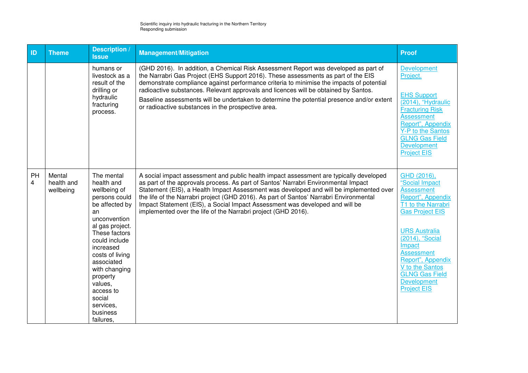| ID      | <b>Theme</b>                      | <b>Description /</b><br><b>Issue</b>                                                                                                                                                                                                                                                                      | <b>Management/Mitigation</b>                                                                                                                                                                                                                                                                                                                                                                                                                                                                                      | <b>Proof</b>                                                                                                                                                                                                                                                                                                   |
|---------|-----------------------------------|-----------------------------------------------------------------------------------------------------------------------------------------------------------------------------------------------------------------------------------------------------------------------------------------------------------|-------------------------------------------------------------------------------------------------------------------------------------------------------------------------------------------------------------------------------------------------------------------------------------------------------------------------------------------------------------------------------------------------------------------------------------------------------------------------------------------------------------------|----------------------------------------------------------------------------------------------------------------------------------------------------------------------------------------------------------------------------------------------------------------------------------------------------------------|
|         |                                   | humans or<br>livestock as a<br>result of the<br>drilling or<br>hydraulic<br>fracturing<br>process.                                                                                                                                                                                                        | (GHD 2016). In addition, a Chemical Risk Assessment Report was developed as part of<br>the Narrabri Gas Project (EHS Support 2016). These assessments as part of the EIS<br>demonstrate compliance against performance criteria to minimise the impacts of potential<br>radioactive substances. Relevant approvals and licences will be obtained by Santos.<br>Baseline assessments will be undertaken to determine the potential presence and/or extent<br>or radioactive substances in the prospective area.    | <b>Development</b><br>Project.<br><b>EHS Support</b><br>(2014), "Hydraulic<br><b>Fracturing Risk</b><br><b>Assessment</b><br>Report", Appendix<br>Y-P to the Santos<br><b>GLNG Gas Field</b><br><b>Development</b><br><b>Project EIS</b>                                                                       |
| PH<br>4 | Mental<br>health and<br>wellbeing | The mental<br>health and<br>wellbeing of<br>persons could<br>be affected by<br>an<br>unconvention<br>al gas project.<br>These factors<br>could include<br>increased<br>costs of living<br>associated<br>with changing<br>property<br>values,<br>access to<br>social<br>services,<br>business<br>failures, | A social impact assessment and public health impact assessment are typically developed<br>as part of the approvals process. As part of Santos' Narrabri Environmental Impact<br>Statement (EIS), a Health Impact Assessment was developed and will be implemented over<br>the life of the Narrabri project (GHD 2016). As part of Santos' Narrabri Environmental<br>Impact Statement (EIS), a Social Impact Assessment was developed and will be<br>implemented over the life of the Narrabri project (GHD 2016). | GHD (2016),<br>"Social Impact<br><b>Assessment</b><br>Report", Appendix<br>T1 to the Narrabri<br><b>Gas Project EIS</b><br><b>URS Australia</b><br>(2014), "Social<br>Impact<br><b>Assessment</b><br>Report", Appendix<br>V to the Santos<br><b>GLNG Gas Field</b><br><b>Development</b><br><b>Project EIS</b> |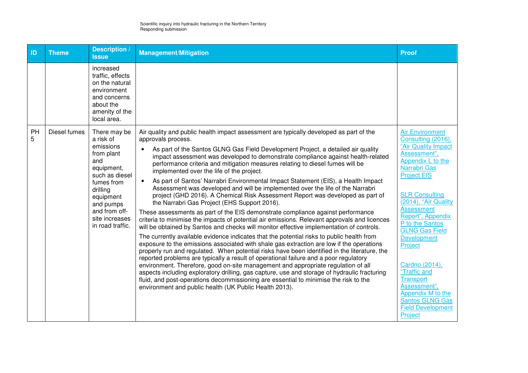| ID      | <b>Theme</b> | <b>Description</b><br><b>Issue</b>                                                                                                                                                                     | <b>Management/Mitigation</b>                                                                                                                                                                                                                                                                                                                                                                                                                                                                                                                                                                                                                                                                                                                                                                                                                                                                                                                                                                                                                                                                                                                                                                                                                                                                                                                                                                                                                                                                                                                                                                                                                                                                                                                     | <b>Proof</b>                                                                                                                                                                                                                                                                                                                                                                                                                                                         |
|---------|--------------|--------------------------------------------------------------------------------------------------------------------------------------------------------------------------------------------------------|--------------------------------------------------------------------------------------------------------------------------------------------------------------------------------------------------------------------------------------------------------------------------------------------------------------------------------------------------------------------------------------------------------------------------------------------------------------------------------------------------------------------------------------------------------------------------------------------------------------------------------------------------------------------------------------------------------------------------------------------------------------------------------------------------------------------------------------------------------------------------------------------------------------------------------------------------------------------------------------------------------------------------------------------------------------------------------------------------------------------------------------------------------------------------------------------------------------------------------------------------------------------------------------------------------------------------------------------------------------------------------------------------------------------------------------------------------------------------------------------------------------------------------------------------------------------------------------------------------------------------------------------------------------------------------------------------------------------------------------------------|----------------------------------------------------------------------------------------------------------------------------------------------------------------------------------------------------------------------------------------------------------------------------------------------------------------------------------------------------------------------------------------------------------------------------------------------------------------------|
|         |              | increased<br>traffic, effects<br>on the natural<br>environment<br>and concerns<br>about the<br>amenity of the<br>local area.                                                                           |                                                                                                                                                                                                                                                                                                                                                                                                                                                                                                                                                                                                                                                                                                                                                                                                                                                                                                                                                                                                                                                                                                                                                                                                                                                                                                                                                                                                                                                                                                                                                                                                                                                                                                                                                  |                                                                                                                                                                                                                                                                                                                                                                                                                                                                      |
| PH<br>5 | Diesel fumes | There may be<br>a risk of<br>emissions<br>from plant<br>and<br>equipment,<br>such as diesel<br>fumes from<br>drilling<br>equipment<br>and pumps<br>and from off-<br>site increases<br>in road traffic. | Air quality and public health impact assessment are typically developed as part of the<br>approvals process.<br>As part of the Santos GLNG Gas Field Development Project, a detailed air quality<br>impact assessment was developed to demonstrate compliance against health-related<br>performance criteria and mitigation measures relating to diesel fumes will be<br>implemented over the life of the project.<br>As part of Santos' Narrabri Environmental Impact Statement (EIS), a Health Impact<br>$\bullet$<br>Assessment was developed and will be implemented over the life of the Narrabri<br>project (GHD 2016). A Chemical Risk Assessment Report was developed as part of<br>the Narrabri Gas Project (EHS Support 2016).<br>These assessments as part of the EIS demonstrate compliance against performance<br>criteria to minimise the impacts of potential air emissions. Relevant approvals and licences<br>will be obtained by Santos and checks will monitor effective implementation of controls.<br>The currently available evidence indicates that the potential risks to public health from<br>exposure to the emissions associated with shale gas extraction are low if the operations<br>properly run and regulated. When potential risks have been identified in the literature, the<br>reported problems are typically a result of operational failure and a poor regulatory<br>environment. Therefore, good on-site management and appropriate regulation of all<br>aspects including exploratory drilling, gas capture, use and storage of hydraulic fracturing<br>fluid, and post-operations decommissioning are essential to minimise the risk to the<br>environment and public health (UK Public Health 2013). | <b>Air Environment</b><br>Consulting (2016),<br>"Air Quality Impact<br>Assessment",<br>Appendix L to the<br>Narrabri Gas<br><b>Project EIS</b><br><b>SLR Consulting</b><br>(2014), "Air Quality<br><b>Assessment</b><br>Report", Appendix<br>P to the Santos<br><b>GLNG Gas Field</b><br>Development<br>Project<br>Cardno (2014),<br>"Traffic and<br><b>Transport</b><br>Assessment",<br>Appendix M to the<br>Santos GLNG Gas<br><b>Field Development</b><br>Project |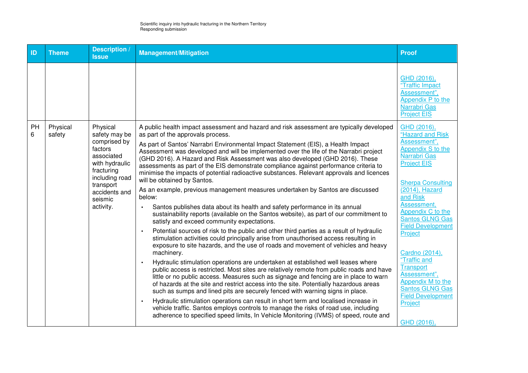| ID      | <b>Theme</b>       | <b>Description /</b><br><b>Issue</b>                                                                                                                                       | <b>Management/Mitigation</b>                                                                                                                                                                                                                                                                                                                                                                                                                                                                                                                                                                                                                                                                                                                                                                                                                                                                                                                                                                                                                                                                                                                                                                                                                                                                                                                                                                                                                                                                                                                                                                                                                                                                                                                                                                                                                                                                                                                                                     | Proof                                                                                                                                                                                                                                                                                                                                                                                                                                                   |
|---------|--------------------|----------------------------------------------------------------------------------------------------------------------------------------------------------------------------|----------------------------------------------------------------------------------------------------------------------------------------------------------------------------------------------------------------------------------------------------------------------------------------------------------------------------------------------------------------------------------------------------------------------------------------------------------------------------------------------------------------------------------------------------------------------------------------------------------------------------------------------------------------------------------------------------------------------------------------------------------------------------------------------------------------------------------------------------------------------------------------------------------------------------------------------------------------------------------------------------------------------------------------------------------------------------------------------------------------------------------------------------------------------------------------------------------------------------------------------------------------------------------------------------------------------------------------------------------------------------------------------------------------------------------------------------------------------------------------------------------------------------------------------------------------------------------------------------------------------------------------------------------------------------------------------------------------------------------------------------------------------------------------------------------------------------------------------------------------------------------------------------------------------------------------------------------------------------------|---------------------------------------------------------------------------------------------------------------------------------------------------------------------------------------------------------------------------------------------------------------------------------------------------------------------------------------------------------------------------------------------------------------------------------------------------------|
|         |                    |                                                                                                                                                                            |                                                                                                                                                                                                                                                                                                                                                                                                                                                                                                                                                                                                                                                                                                                                                                                                                                                                                                                                                                                                                                                                                                                                                                                                                                                                                                                                                                                                                                                                                                                                                                                                                                                                                                                                                                                                                                                                                                                                                                                  | GHD (2016),<br>"Traffic Impact<br>Assessment",<br>Appendix P to the<br>Narrabri Gas<br><b>Project EIS</b>                                                                                                                                                                                                                                                                                                                                               |
| PH<br>6 | Physical<br>safety | Physical<br>safety may be<br>comprised by<br>factors<br>associated<br>with hydraulic<br>fracturing<br>including road<br>transport<br>accidents and<br>seismic<br>activity. | A public health impact assessment and hazard and risk assessment are typically developed<br>as part of the approvals process.<br>As part of Santos' Narrabri Environmental Impact Statement (EIS), a Health Impact<br>Assessment was developed and will be implemented over the life of the Narrabri project<br>(GHD 2016). A Hazard and Risk Assessment was also developed (GHD 2016). These<br>assessments as part of the EIS demonstrate compliance against performance criteria to<br>minimise the impacts of potential radioactive substances. Relevant approvals and licences<br>will be obtained by Santos.<br>As an example, previous management measures undertaken by Santos are discussed<br>below:<br>Santos publishes data about its health and safety performance in its annual<br>$\bullet$<br>sustainability reports (available on the Santos website), as part of our commitment to<br>satisfy and exceed community expectations.<br>Potential sources of risk to the public and other third parties as a result of hydraulic<br>$\bullet$<br>stimulation activities could principally arise from unauthorised access resulting in<br>exposure to site hazards, and the use of roads and movement of vehicles and heavy<br>machinery.<br>Hydraulic stimulation operations are undertaken at established well leases where<br>public access is restricted. Most sites are relatively remote from public roads and have<br>little or no public access. Measures such as signage and fencing are in place to warn<br>of hazards at the site and restrict access into the site. Potentially hazardous areas<br>such as sumps and lined pits are securely fenced with warning signs in place.<br>Hydraulic stimulation operations can result in short term and localised increase in<br>vehicle traffic. Santos employs controls to manage the risks of road use, including<br>adherence to specified speed limits, In Vehicle Monitoring (IVMS) of speed, route and | GHD (2016),<br>"Hazard and Risk<br>Assessment",<br>Appendix S to the<br>Narrabri Gas<br><b>Project EIS</b><br><b>Sherpa Consulting</b><br>$(2014)$ , Hazard<br>and Risk<br>Assessment,<br>Appendix C to the<br><b>Santos GLNG Gas</b><br><b>Field Development</b><br>Project<br>Cardno (2014),<br>"Traffic and<br><b>Transport</b><br>Assessment",<br>Appendix M to the<br><b>Santos GLNG Gas</b><br><b>Field Development</b><br>Project<br>GHD (2016), |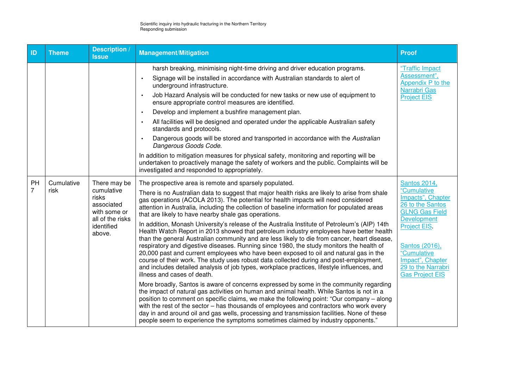| ID                   | <b>Theme</b>       | <b>Description /</b><br><b>Issue</b>                                                                          | <b>Management/Mitigation</b>                                                                                                                                                                                                                                                                                                                                                                                                                                                                                                                                                                                                                                                                                                                                                                                                                                                                                                                                                                                                                                                                                                                                                                                                                                                                                                                                                                                                                                                                                                                                                                                                                                                    | <b>Proof</b>                                                                                                                                                                                                                                    |
|----------------------|--------------------|---------------------------------------------------------------------------------------------------------------|---------------------------------------------------------------------------------------------------------------------------------------------------------------------------------------------------------------------------------------------------------------------------------------------------------------------------------------------------------------------------------------------------------------------------------------------------------------------------------------------------------------------------------------------------------------------------------------------------------------------------------------------------------------------------------------------------------------------------------------------------------------------------------------------------------------------------------------------------------------------------------------------------------------------------------------------------------------------------------------------------------------------------------------------------------------------------------------------------------------------------------------------------------------------------------------------------------------------------------------------------------------------------------------------------------------------------------------------------------------------------------------------------------------------------------------------------------------------------------------------------------------------------------------------------------------------------------------------------------------------------------------------------------------------------------|-------------------------------------------------------------------------------------------------------------------------------------------------------------------------------------------------------------------------------------------------|
|                      |                    |                                                                                                               | harsh breaking, minimising night-time driving and driver education programs.<br>Signage will be installed in accordance with Australian standards to alert of<br>underground infrastructure.<br>Job Hazard Analysis will be conducted for new tasks or new use of equipment to<br>$\bullet$<br>ensure appropriate control measures are identified.<br>Develop and implement a bushfire management plan.<br>All facilities will be designed and operated under the applicable Australian safety<br>standards and protocols.<br>Dangerous goods will be stored and transported in accordance with the Australian<br>Dangerous Goods Code.<br>In addition to mitigation measures for physical safety, monitoring and reporting will be<br>undertaken to proactively manage the safety of workers and the public. Complaints will be<br>investigated and responded to appropriately.                                                                                                                                                                                                                                                                                                                                                                                                                                                                                                                                                                                                                                                                                                                                                                                                | "Traffic Impact<br>Assessment",<br>Appendix P to the<br>Narrabri Gas<br><b>Project EIS</b>                                                                                                                                                      |
| PH<br>$\overline{7}$ | Cumulative<br>risk | There may be<br>cumulative<br>risks<br>associated<br>with some or<br>all of the risks<br>identified<br>above. | The prospective area is remote and sparsely populated.<br>There is no Australian data to suggest that major health risks are likely to arise from shale<br>gas operations (ACOLA 2013). The potential for health impacts will need considered<br>attention in Australia, including the collection of baseline information for populated areas<br>that are likely to have nearby shale gas operations.<br>In addition, Monash University's release of the Australia Institute of Petroleum's (AIP) 14th<br>Health Watch Report in 2013 showed that petroleum industry employees have better health<br>than the general Australian community and are less likely to die from cancer, heart disease,<br>respiratory and digestive diseases. Running since 1980, the study monitors the health of<br>20,000 past and current employees who have been exposed to oil and natural gas in the<br>course of their work. The study uses robust data collected during and post-employment,<br>and includes detailed analysis of job types, workplace practices, lifestyle influences, and<br>illness and cases of death.<br>More broadly, Santos is aware of concerns expressed by some in the community regarding<br>the impact of natural gas activities on human and animal health. While Santos is not in a<br>position to comment on specific claims, we make the following point: "Our company - along<br>with the rest of the sector – has thousands of employees and contractors who work every<br>day in and around oil and gas wells, processing and transmission facilities. None of these<br>people seem to experience the symptoms sometimes claimed by industry opponents." | <b>Santos 2014,</b><br>"Cumulative<br>Impacts", Chapter<br>26 to the Santos<br><b>GLNG Gas Field</b><br><b>Development</b><br>Project EIS.<br>Santos (2016),<br>"Cumulative<br>Impact", Chapter<br>29 to the Narrabri<br><b>Gas Project EIS</b> |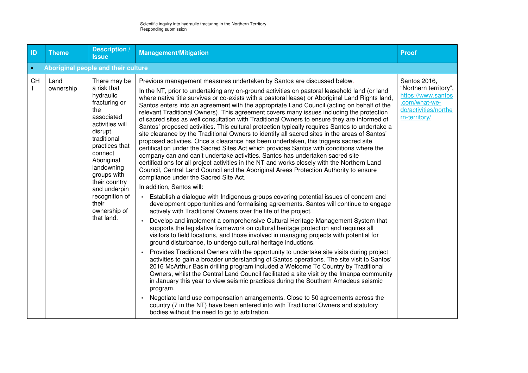| ID        | <b>Theme</b>                        | <b>Description</b><br><b>Issue</b>                                                                                                                                                                                                                                                            | <b>Management/Mitigation</b>                                                                                                                                                                                                                                                                                                                                                                                                                                                                                                                                                                                                                                                                                                                                                                                                                                                                                                                                                                                                                                                                                                                                                                                                                                                                                                                                                                                                                                                                                                                                                                                                                                                                                                                                                                                                                                                                                                                                                                                                                                                                                                                                                                                                                                                                                                                                                                                                                                                                                                                                                                                                     | <b>Proof</b>                                                                                                          |  |  |
|-----------|-------------------------------------|-----------------------------------------------------------------------------------------------------------------------------------------------------------------------------------------------------------------------------------------------------------------------------------------------|----------------------------------------------------------------------------------------------------------------------------------------------------------------------------------------------------------------------------------------------------------------------------------------------------------------------------------------------------------------------------------------------------------------------------------------------------------------------------------------------------------------------------------------------------------------------------------------------------------------------------------------------------------------------------------------------------------------------------------------------------------------------------------------------------------------------------------------------------------------------------------------------------------------------------------------------------------------------------------------------------------------------------------------------------------------------------------------------------------------------------------------------------------------------------------------------------------------------------------------------------------------------------------------------------------------------------------------------------------------------------------------------------------------------------------------------------------------------------------------------------------------------------------------------------------------------------------------------------------------------------------------------------------------------------------------------------------------------------------------------------------------------------------------------------------------------------------------------------------------------------------------------------------------------------------------------------------------------------------------------------------------------------------------------------------------------------------------------------------------------------------------------------------------------------------------------------------------------------------------------------------------------------------------------------------------------------------------------------------------------------------------------------------------------------------------------------------------------------------------------------------------------------------------------------------------------------------------------------------------------------------|-----------------------------------------------------------------------------------------------------------------------|--|--|
| $\bullet$ | Aboriginal people and their culture |                                                                                                                                                                                                                                                                                               |                                                                                                                                                                                                                                                                                                                                                                                                                                                                                                                                                                                                                                                                                                                                                                                                                                                                                                                                                                                                                                                                                                                                                                                                                                                                                                                                                                                                                                                                                                                                                                                                                                                                                                                                                                                                                                                                                                                                                                                                                                                                                                                                                                                                                                                                                                                                                                                                                                                                                                                                                                                                                                  |                                                                                                                       |  |  |
| <b>CH</b> | Land<br>ownership                   | There may be<br>a risk that<br>hydraulic<br>fracturing or<br>the<br>associated<br>activities will<br>disrupt<br>traditional<br>practices that<br>connect<br>Aboriginal<br>landowning<br>groups with<br>their country<br>and underpin<br>recognition of<br>their<br>ownership of<br>that land. | Previous management measures undertaken by Santos are discussed below.<br>In the NT, prior to undertaking any on-ground activities on pastoral leasehold land (or land<br>where native title survives or co-exists with a pastoral lease) or Aboriginal Land Rights land,<br>Santos enters into an agreement with the appropriate Land Council (acting on behalf of the<br>relevant Traditional Owners). This agreement covers many issues including the protection<br>of sacred sites as well consultation with Traditional Owners to ensure they are informed of<br>Santos' proposed activities. This cultural protection typically requires Santos to undertake a<br>site clearance by the Traditional Owners to identify all sacred sites in the areas of Santos'<br>proposed activities. Once a clearance has been undertaken, this triggers sacred site<br>certification under the Sacred Sites Act which provides Santos with conditions where the<br>company can and can't undertake activities. Santos has undertaken sacred site<br>certifications for all project activities in the NT and works closely with the Northern Land<br>Council, Central Land Council and the Aboriginal Areas Protection Authority to ensure<br>compliance under the Sacred Site Act.<br>In addition, Santos will:<br>Establish a dialogue with Indigenous groups covering potential issues of concern and<br>$\bullet$<br>development opportunities and formalising agreements. Santos will continue to engage<br>actively with Traditional Owners over the life of the project.<br>Develop and implement a comprehensive Cultural Heritage Management System that<br>supports the legislative framework on cultural heritage protection and requires all<br>visitors to field locations, and those involved in managing projects with potential for<br>ground disturbance, to undergo cultural heritage inductions.<br>Provides Traditional Owners with the opportunity to undertake site visits during project<br>$\bullet$<br>activities to gain a broader understanding of Santos operations. The site visit to Santos'<br>2016 McArthur Basin drilling program included a Welcome To Country by Traditional<br>Owners, whilst the Central Land Council facilitated a site visit by the Imanpa community<br>in January this year to view seismic practices during the Southern Amadeus seismic<br>program.<br>Negotiate land use compensation arrangements. Close to 50 agreements across the<br>country (7 in the NT) have been entered into with Traditional Owners and statutory<br>bodies without the need to go to arbitration. | Santos 2016,<br>"Northern territory",<br>https://www.santos<br>.com/what-we-<br>do/activities/northe<br>rn-territory/ |  |  |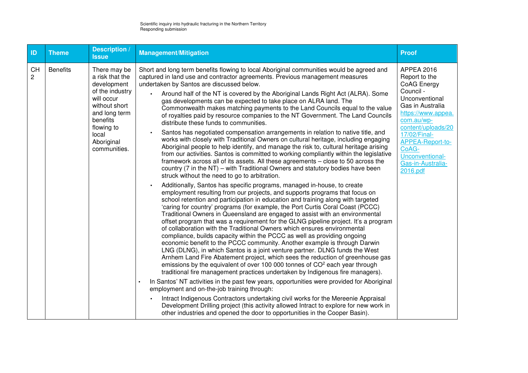| ID                          | <b>Theme</b>    | Description /<br><b>Issue</b>                                                                                                                                                      | <b>Management/Mitigation</b>                                                                                                                                                                                                                                                                                                                                                                                                                                                                                                                                                                                                                                                                                                                                                                                                                                                                                                                                                                                                                                                                                                                                                                                                                                                                                                                                                                                                                                                                                                                                                                                                                                                                                                                                                                                                                                                                                                                                                                                                                                                                                                                                                                                                                                                                                                                                                                                                                                                                                                                                                                                                                                                                      | <b>Proof</b>                                                                                                                                                                                                                                                    |
|-----------------------------|-----------------|------------------------------------------------------------------------------------------------------------------------------------------------------------------------------------|---------------------------------------------------------------------------------------------------------------------------------------------------------------------------------------------------------------------------------------------------------------------------------------------------------------------------------------------------------------------------------------------------------------------------------------------------------------------------------------------------------------------------------------------------------------------------------------------------------------------------------------------------------------------------------------------------------------------------------------------------------------------------------------------------------------------------------------------------------------------------------------------------------------------------------------------------------------------------------------------------------------------------------------------------------------------------------------------------------------------------------------------------------------------------------------------------------------------------------------------------------------------------------------------------------------------------------------------------------------------------------------------------------------------------------------------------------------------------------------------------------------------------------------------------------------------------------------------------------------------------------------------------------------------------------------------------------------------------------------------------------------------------------------------------------------------------------------------------------------------------------------------------------------------------------------------------------------------------------------------------------------------------------------------------------------------------------------------------------------------------------------------------------------------------------------------------------------------------------------------------------------------------------------------------------------------------------------------------------------------------------------------------------------------------------------------------------------------------------------------------------------------------------------------------------------------------------------------------------------------------------------------------------------------------------------------------|-----------------------------------------------------------------------------------------------------------------------------------------------------------------------------------------------------------------------------------------------------------------|
| <b>CH</b><br>$\overline{c}$ | <b>Benefits</b> | There may be<br>a risk that the<br>development<br>of the industry<br>will occur<br>without short<br>and long term<br>benefits<br>flowing to<br>local<br>Aboriginal<br>communities. | Short and long term benefits flowing to local Aboriginal communities would be agreed and<br>captured in land use and contractor agreements. Previous management measures<br>undertaken by Santos are discussed below.<br>Around half of the NT is covered by the Aboriginal Lands Right Act (ALRA). Some<br>gas developments can be expected to take place on ALRA land. The<br>Commonwealth makes matching payments to the Land Councils equal to the value<br>of royalties paid by resource companies to the NT Government. The Land Councils<br>distribute these funds to communities.<br>Santos has negotiated compensation arrangements in relation to native title, and<br>works with closely with Traditional Owners on cultural heritage, including engaging<br>Aboriginal people to help identify, and manage the risk to, cultural heritage arising<br>from our activities. Santos is committed to working compliantly within the legislative<br>framework across all of its assets. All these agreements – close to 50 across the<br>country (7 in the NT) – with Traditional Owners and statutory bodies have been<br>struck without the need to go to arbitration.<br>Additionally, Santos has specific programs, managed in-house, to create<br>employment resulting from our projects, and supports programs that focus on<br>school retention and participation in education and training along with targeted<br>'caring for country' programs (for example, the Port Curtis Coral Coast (PCCC)<br>Traditional Owners in Queensland are engaged to assist with an environmental<br>offset program that was a requirement for the GLNG pipeline project. It's a program<br>of collaboration with the Traditional Owners which ensures environmental<br>compliance, builds capacity within the PCCC as well as providing ongoing<br>economic benefit to the PCCC community. Another example is through Darwin<br>LNG (DLNG), in which Santos is a joint venture partner. DLNG funds the West<br>Arnhem Land Fire Abatement project, which sees the reduction of greenhouse gas<br>emissions by the equivalent of over 100 000 tonnes of CO <sup>2</sup> each year through<br>traditional fire management practices undertaken by Indigenous fire managers).<br>In Santos' NT activities in the past few years, opportunities were provided for Aboriginal<br>$\bullet$<br>employment and on-the-job training through:<br>Intract Indigenous Contractors undertaking civil works for the Mereenie Appraisal<br>Development Drilling project (this activity allowed Intract to explore for new work in<br>other industries and opened the door to opportunities in the Cooper Basin). | <b>APPEA 2016</b><br>Report to the<br>CoAG Energy<br>Council -<br>Unconventional<br>Gas in Australia<br>https://www.appea.<br>com.au/wp-<br>content/uploads/20<br>17/02/Final-<br>APPEA-Report-to-<br>CoAG-<br>Unconventional-<br>Gas-in-Australia-<br>2016.pdf |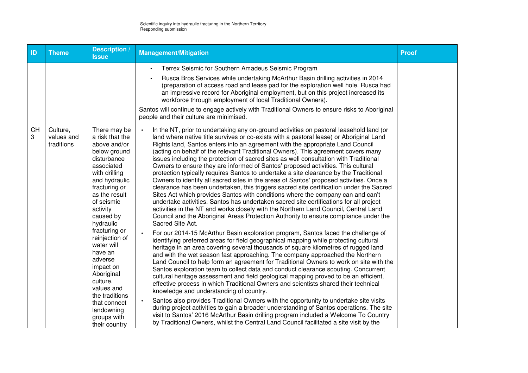| ID             | <b>Theme</b>                         | <b>Description /</b><br><b>Issue</b>                                                                                                                                                                                                                                                                                                                                                                                             | <b>Management/Mitigation</b>                                                                                                                                                                                                                                                                                                                                                                                                                                                                                                                                                                                                                                                                                                                                                                                                                                                                                                                                                                                                                                                                                                                                                                                                                                                                                                                                                                                                                                                                                                                                                                                                                                                                                                                                                                                                                                                                                                                                                                                                                                                                                                                                                                                                                                                                                                              | <b>Proof</b> |
|----------------|--------------------------------------|----------------------------------------------------------------------------------------------------------------------------------------------------------------------------------------------------------------------------------------------------------------------------------------------------------------------------------------------------------------------------------------------------------------------------------|-------------------------------------------------------------------------------------------------------------------------------------------------------------------------------------------------------------------------------------------------------------------------------------------------------------------------------------------------------------------------------------------------------------------------------------------------------------------------------------------------------------------------------------------------------------------------------------------------------------------------------------------------------------------------------------------------------------------------------------------------------------------------------------------------------------------------------------------------------------------------------------------------------------------------------------------------------------------------------------------------------------------------------------------------------------------------------------------------------------------------------------------------------------------------------------------------------------------------------------------------------------------------------------------------------------------------------------------------------------------------------------------------------------------------------------------------------------------------------------------------------------------------------------------------------------------------------------------------------------------------------------------------------------------------------------------------------------------------------------------------------------------------------------------------------------------------------------------------------------------------------------------------------------------------------------------------------------------------------------------------------------------------------------------------------------------------------------------------------------------------------------------------------------------------------------------------------------------------------------------------------------------------------------------------------------------------------------------|--------------|
|                |                                      |                                                                                                                                                                                                                                                                                                                                                                                                                                  | Terrex Seismic for Southern Amadeus Seismic Program<br>$\bullet$<br>Rusca Bros Services while undertaking McArthur Basin drilling activities in 2014<br>(preparation of access road and lease pad for the exploration well hole. Rusca had<br>an impressive record for Aboriginal employment, but on this project increased its<br>workforce through employment of local Traditional Owners).<br>Santos will continue to engage actively with Traditional Owners to ensure risks to Aboriginal<br>people and their culture are minimised.                                                                                                                                                                                                                                                                                                                                                                                                                                                                                                                                                                                                                                                                                                                                                                                                                                                                                                                                                                                                                                                                                                                                                                                                                                                                                                                                                                                                                                                                                                                                                                                                                                                                                                                                                                                                 |              |
| <b>CH</b><br>3 | Culture,<br>values and<br>traditions | There may be<br>a risk that the<br>above and/or<br>below ground<br>disturbance<br>associated<br>with drilling<br>and hydraulic<br>fracturing or<br>as the result<br>of seismic<br>activity<br>caused by<br>hydraulic<br>fracturing or<br>reinjection of<br>water will<br>have an<br>adverse<br>impact on<br>Aboriginal<br>culture,<br>values and<br>the traditions<br>that connect<br>landowning<br>groups with<br>their country | In the NT, prior to undertaking any on-ground activities on pastoral leasehold land (or<br>land where native title survives or co-exists with a pastoral lease) or Aboriginal Land<br>Rights land, Santos enters into an agreement with the appropriate Land Council<br>(acting on behalf of the relevant Traditional Owners). This agreement covers many<br>issues including the protection of sacred sites as well consultation with Traditional<br>Owners to ensure they are informed of Santos' proposed activities. This cultural<br>protection typically requires Santos to undertake a site clearance by the Traditional<br>Owners to identify all sacred sites in the areas of Santos' proposed activities. Once a<br>clearance has been undertaken, this triggers sacred site certification under the Sacred<br>Sites Act which provides Santos with conditions where the company can and can't<br>undertake activities. Santos has undertaken sacred site certifications for all project<br>activities in the NT and works closely with the Northern Land Council, Central Land<br>Council and the Aboriginal Areas Protection Authority to ensure compliance under the<br>Sacred Site Act.<br>For our 2014-15 McArthur Basin exploration program, Santos faced the challenge of<br>identifying preferred areas for field geographical mapping while protecting cultural<br>heritage in an area covering several thousands of square kilometres of rugged land<br>and with the wet season fast approaching. The company approached the Northern<br>Land Council to help form an agreement for Traditional Owners to work on site with the<br>Santos exploration team to collect data and conduct clearance scouting. Concurrent<br>cultural heritage assessment and field geological mapping proved to be an efficient,<br>effective process in which Traditional Owners and scientists shared their technical<br>knowledge and understanding of country.<br>Santos also provides Traditional Owners with the opportunity to undertake site visits<br>during project activities to gain a broader understanding of Santos operations. The site<br>visit to Santos' 2016 McArthur Basin drilling program included a Welcome To Country<br>by Traditional Owners, whilst the Central Land Council facilitated a site visit by the |              |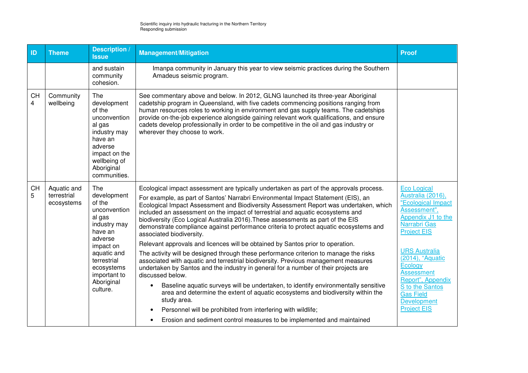| ID                          | <b>Theme</b>                             | Description<br><b>Issue</b>                                                                                                                                                                     | <b>Management/Mitigation</b>                                                                                                                                                                                                                                                                                                                                                                                                                                                                                                                                                                                                                                                                                                                                                                                                                                                                                                                                                                                                                                                                                                                                                                                                                                                  | <b>Proof</b>                                                                                                                                                                                                                                                                                                                  |
|-----------------------------|------------------------------------------|-------------------------------------------------------------------------------------------------------------------------------------------------------------------------------------------------|-------------------------------------------------------------------------------------------------------------------------------------------------------------------------------------------------------------------------------------------------------------------------------------------------------------------------------------------------------------------------------------------------------------------------------------------------------------------------------------------------------------------------------------------------------------------------------------------------------------------------------------------------------------------------------------------------------------------------------------------------------------------------------------------------------------------------------------------------------------------------------------------------------------------------------------------------------------------------------------------------------------------------------------------------------------------------------------------------------------------------------------------------------------------------------------------------------------------------------------------------------------------------------|-------------------------------------------------------------------------------------------------------------------------------------------------------------------------------------------------------------------------------------------------------------------------------------------------------------------------------|
|                             |                                          | and sustain<br>community<br>cohesion.                                                                                                                                                           | Imanpa community in January this year to view seismic practices during the Southern<br>Amadeus seismic program.                                                                                                                                                                                                                                                                                                                                                                                                                                                                                                                                                                                                                                                                                                                                                                                                                                                                                                                                                                                                                                                                                                                                                               |                                                                                                                                                                                                                                                                                                                               |
| <b>CH</b><br>$\overline{4}$ | Community<br>wellbeing                   | The<br>development<br>of the<br>unconvention<br>al gas<br>industry may<br>have an<br>adverse<br>impact on the<br>wellbeing of<br>Aboriginal<br>communities.                                     | See commentary above and below. In 2012, GLNG launched its three-year Aboriginal<br>cadetship program in Queensland, with five cadets commencing positions ranging from<br>human resources roles to working in environment and gas supply teams. The cadetships<br>provide on-the-job experience alongside gaining relevant work qualifications, and ensure<br>cadets develop professionally in order to be competitive in the oil and gas industry or<br>wherever they choose to work.                                                                                                                                                                                                                                                                                                                                                                                                                                                                                                                                                                                                                                                                                                                                                                                       |                                                                                                                                                                                                                                                                                                                               |
| <b>CH</b><br>5              | Aquatic and<br>terrestrial<br>ecosystems | The<br>development<br>of the<br>unconvention<br>al gas<br>industry may<br>have an<br>adverse<br>impact on<br>aquatic and<br>terrestrial<br>ecosystems<br>important to<br>Aboriginal<br>culture. | Ecological impact assessment are typically undertaken as part of the approvals process.<br>For example, as part of Santos' Narrabri Environmental Impact Statement (EIS), an<br>Ecological Impact Assessment and Biodiversity Assessment Report was undertaken, which<br>included an assessment on the impact of terrestrial and aquatic ecosystems and<br>biodiversity (Eco Logical Australia 2016). These assessments as part of the EIS<br>demonstrate compliance against performance criteria to protect aquatic ecosystems and<br>associated biodiversity.<br>Relevant approvals and licences will be obtained by Santos prior to operation.<br>The activity will be designed through these performance criterion to manage the risks<br>associated with aquatic and terrestrial biodiversity. Previous management measures<br>undertaken by Santos and the industry in general for a number of their projects are<br>discussed below.<br>Baseline aquatic surveys will be undertaken, to identify environmentally sensitive<br>area and determine the extent of aquatic ecosystems and biodiversity within the<br>study area.<br>Personnel will be prohibited from interfering with wildlife;<br>Erosion and sediment control measures to be implemented and maintained | <b>Eco Logical</b><br>Australia (2016),<br>"Ecological Impact<br>Assessment",<br>Appendix J1 to the<br>Narrabri Gas<br><b>Project EIS</b><br><b>URS Australia</b><br>(2014), "Aquatic<br>Ecology<br><b>Assessment</b><br>Report", Appendix<br>S to the Santos<br><b>Gas Field</b><br><b>Development</b><br><b>Project EIS</b> |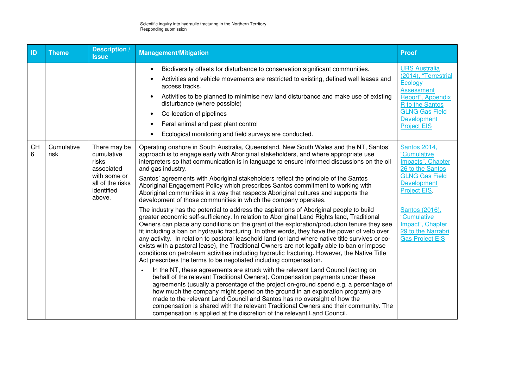| <b>ID</b>      | <b>Theme</b>       | <b>Description /</b><br><b>Issue</b>                                                                | <b>Management/Mitigation</b>                                                                                                                                                                                                                                                                                                                                                                                                                                                                                                                                                                                                                                                                                                                                 | <b>Proof</b>                                                                                                                               |
|----------------|--------------------|-----------------------------------------------------------------------------------------------------|--------------------------------------------------------------------------------------------------------------------------------------------------------------------------------------------------------------------------------------------------------------------------------------------------------------------------------------------------------------------------------------------------------------------------------------------------------------------------------------------------------------------------------------------------------------------------------------------------------------------------------------------------------------------------------------------------------------------------------------------------------------|--------------------------------------------------------------------------------------------------------------------------------------------|
|                |                    |                                                                                                     | Biodiversity offsets for disturbance to conservation significant communities.<br>$\bullet$                                                                                                                                                                                                                                                                                                                                                                                                                                                                                                                                                                                                                                                                   | <b>URS Australia</b>                                                                                                                       |
|                |                    |                                                                                                     | Activities and vehicle movements are restricted to existing, defined well leases and<br>$\bullet$<br>access tracks.                                                                                                                                                                                                                                                                                                                                                                                                                                                                                                                                                                                                                                          | (2014), "Terrestrial<br>Ecology<br><b>Assessment</b>                                                                                       |
|                |                    |                                                                                                     | Activities to be planned to minimise new land disturbance and make use of existing<br>$\bullet$<br>disturbance (where possible)                                                                                                                                                                                                                                                                                                                                                                                                                                                                                                                                                                                                                              | Report", Appendix<br>R to the Santos                                                                                                       |
|                |                    |                                                                                                     | Co-location of pipelines<br>$\bullet$                                                                                                                                                                                                                                                                                                                                                                                                                                                                                                                                                                                                                                                                                                                        | <b>GLNG Gas Field</b><br><b>Development</b>                                                                                                |
|                |                    |                                                                                                     | Feral animal and pest plant control<br>$\bullet$                                                                                                                                                                                                                                                                                                                                                                                                                                                                                                                                                                                                                                                                                                             | <b>Project EIS</b>                                                                                                                         |
|                |                    |                                                                                                     | Ecological monitoring and field surveys are conducted.<br>$\bullet$                                                                                                                                                                                                                                                                                                                                                                                                                                                                                                                                                                                                                                                                                          |                                                                                                                                            |
| <b>CH</b><br>6 | Cumulative<br>risk | There may be<br>cumulative<br>risks<br>associated<br>with some or<br>all of the risks<br>identified | Operating onshore in South Australia, Queensland, New South Wales and the NT, Santos'<br>approach is to engage early with Aboriginal stakeholders, and where appropriate use<br>interpreters so that communication is in language to ensure informed discussions on the oil<br>and gas industry.<br>Santos' agreements with Aboriginal stakeholders reflect the principle of the Santos<br>Aboriginal Engagement Policy which prescribes Santos commitment to working with                                                                                                                                                                                                                                                                                   | <b>Santos 2014,</b><br>"Cumulative<br>Impacts", Chapter<br>26 to the Santos<br><b>GLNG Gas Field</b><br><b>Development</b><br>Project EIS. |
|                |                    | above.                                                                                              | Aboriginal communities in a way that respects Aboriginal cultures and supports the<br>development of those communities in which the company operates.                                                                                                                                                                                                                                                                                                                                                                                                                                                                                                                                                                                                        |                                                                                                                                            |
|                |                    |                                                                                                     | The industry has the potential to address the aspirations of Aboriginal people to build<br>greater economic self-sufficiency. In relation to Aboriginal Land Rights land, Traditional<br>Owners can place any conditions on the grant of the exploration/production tenure they see<br>fit including a ban on hydraulic fracturing. In other words, they have the power of veto over<br>any activity. In relation to pastoral leasehold land (or land where native title survives or co-<br>exists with a pastoral lease), the Traditional Owners are not legally able to ban or impose<br>conditions on petroleum activities including hydraulic fracturing. However, the Native Title<br>Act prescribes the terms to be negotiated including compensation. | Santos (2016),<br>"Cumulative<br>Impact", Chapter<br>29 to the Narrabri<br><b>Gas Project EIS</b>                                          |
|                |                    |                                                                                                     | In the NT, these agreements are struck with the relevant Land Council (acting on<br>behalf of the relevant Traditional Owners). Compensation payments under these<br>agreements (usually a percentage of the project on-ground spend e.g. a percentage of<br>how much the company might spend on the ground in an exploration program) are<br>made to the relevant Land Council and Santos has no oversight of how the<br>compensation is shared with the relevant Traditional Owners and their community. The<br>compensation is applied at the discretion of the relevant Land Council.                                                                                                                                                                    |                                                                                                                                            |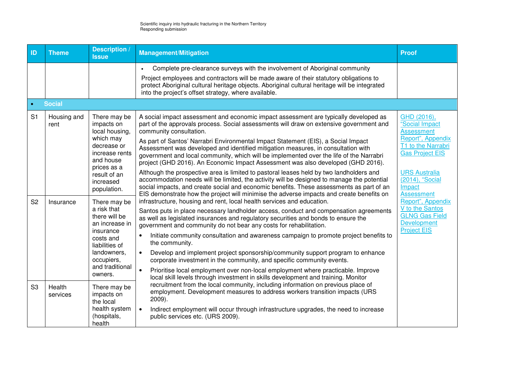| ID             | <b>Theme</b>        | <b>Description</b> /<br><b>Issue</b>                                                                                                          | <b>Management/Mitigation</b>                                                                                                                                                                                                                                                                                                                                                                                                                                                                                                                                                                                                                                   | <b>Proof</b>                                                                                                                                    |
|----------------|---------------------|-----------------------------------------------------------------------------------------------------------------------------------------------|----------------------------------------------------------------------------------------------------------------------------------------------------------------------------------------------------------------------------------------------------------------------------------------------------------------------------------------------------------------------------------------------------------------------------------------------------------------------------------------------------------------------------------------------------------------------------------------------------------------------------------------------------------------|-------------------------------------------------------------------------------------------------------------------------------------------------|
|                |                     |                                                                                                                                               | Complete pre-clearance surveys with the involvement of Aboriginal community<br>$\bullet$<br>Project employees and contractors will be made aware of their statutory obligations to<br>protect Aboriginal cultural heritage objects. Aboriginal cultural heritage will be integrated<br>into the project's offset strategy, where available.                                                                                                                                                                                                                                                                                                                    |                                                                                                                                                 |
|                | <b>Social</b>       |                                                                                                                                               |                                                                                                                                                                                                                                                                                                                                                                                                                                                                                                                                                                                                                                                                |                                                                                                                                                 |
| S <sub>1</sub> | Housing and<br>rent | There may be<br>impacts on<br>local housing,<br>which may<br>decrease or<br>increase rents<br>and house<br>prices as a<br>result of an        | A social impact assessment and economic impact assessment are typically developed as<br>part of the approvals process. Social assessments will draw on extensive government and<br>community consultation.<br>As part of Santos' Narrabri Environmental Impact Statement (EIS), a Social Impact<br>Assessment was developed and identified mitigation measures, in consultation with<br>government and local community, which will be implemented over the life of the Narrabri<br>project (GHD 2016). An Economic Impact Assessment was also developed (GHD 2016).<br>Although the prospective area is limited to pastoral leases held by two landholders and | GHD (2016),<br>"Social Impact<br><b>Assessment</b><br>Report", Appendix<br>T1 to the Narrabri<br><b>Gas Project EIS</b><br><b>URS Australia</b> |
|                |                     | increased<br>population.                                                                                                                      | accommodation needs will be limited, the activity will be designed to manage the potential<br>social impacts, and create social and economic benefits. These assessments as part of an<br>EIS demonstrate how the project will minimise the adverse impacts and create benefits on                                                                                                                                                                                                                                                                                                                                                                             | (2014), "Social<br>Impact<br><b>Assessment</b>                                                                                                  |
| S <sub>2</sub> | Insurance           | There may be<br>a risk that<br>there will be<br>an increase in<br>insurance<br>costs and<br>liabilities of                                    | infrastructure, housing and rent, local health services and education.<br>Santos puts in place necessary landholder access, conduct and compensation agreements<br>as well as legislated insurances and regulatory securities and bonds to ensure the<br>government and community do not bear any costs for rehabilitation.<br>Initiate community consultation and awareness campaign to promote project benefits to<br>$\bullet$<br>the community.                                                                                                                                                                                                            | Report", Appendix<br>V to the Santos<br><b>GLNG Gas Field</b><br>Development<br><b>Project EIS</b>                                              |
|                |                     | landowners,<br>$\bullet$<br>occupiers,<br>and traditional<br>$\bullet$<br>owners.<br>There may be<br>impacts on<br>the local<br>health system | Develop and implement project sponsorship/community support program to enhance<br>corporate investment in the community, and specific community events.                                                                                                                                                                                                                                                                                                                                                                                                                                                                                                        |                                                                                                                                                 |
|                |                     |                                                                                                                                               | Prioritise local employment over non-local employment where practicable. Improve<br>local skill levels through investment in skills development and training. Monitor                                                                                                                                                                                                                                                                                                                                                                                                                                                                                          |                                                                                                                                                 |
| S <sub>3</sub> | Health<br>services  |                                                                                                                                               | recruitment from the local community, including information on previous place of<br>employment. Development measures to address workers transition impacts (URS<br>$2009$ ).<br>Indirect employment will occur through infrastructure upgrades, the need to increase<br>$\bullet$                                                                                                                                                                                                                                                                                                                                                                              |                                                                                                                                                 |
|                |                     | (hospitals,<br>health                                                                                                                         | public services etc. (URS 2009).                                                                                                                                                                                                                                                                                                                                                                                                                                                                                                                                                                                                                               |                                                                                                                                                 |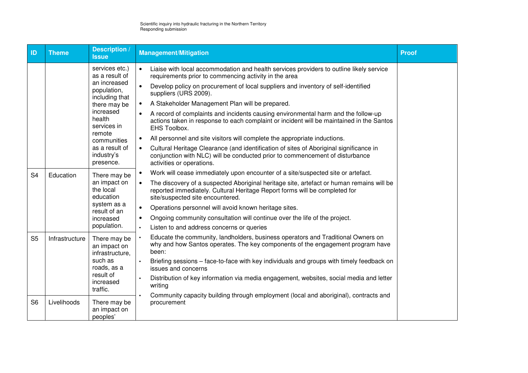| ID             | <b>Theme</b>   | <b>Description /</b><br><b>Issue</b>                                                                                                                                                                          | <b>Management/Mitigation</b>                                                                                                                                                                                                                                                                                                                                                                                                                                                                                                                                                                                                                                                                                                                                                                                  | <b>Proof</b> |
|----------------|----------------|---------------------------------------------------------------------------------------------------------------------------------------------------------------------------------------------------------------|---------------------------------------------------------------------------------------------------------------------------------------------------------------------------------------------------------------------------------------------------------------------------------------------------------------------------------------------------------------------------------------------------------------------------------------------------------------------------------------------------------------------------------------------------------------------------------------------------------------------------------------------------------------------------------------------------------------------------------------------------------------------------------------------------------------|--------------|
|                |                | services etc.)<br>as a result of<br>an increased<br>population,<br>including that<br>there may be<br>increased<br>health<br>services in<br>remote<br>communities<br>as a result of<br>industry's<br>presence. | Liaise with local accommodation and health services providers to outline likely service<br>requirements prior to commencing activity in the area<br>Develop policy on procurement of local suppliers and inventory of self-identified<br>suppliers (URS 2009).<br>A Stakeholder Management Plan will be prepared.<br>A record of complaints and incidents causing environmental harm and the follow-up<br>actions taken in response to each complaint or incident will be maintained in the Santos<br><b>EHS Toolbox.</b><br>All personnel and site visitors will complete the appropriate inductions.<br>Cultural Heritage Clearance (and identification of sites of Aboriginal significance in<br>conjunction with NLC) will be conducted prior to commencement of disturbance<br>activities or operations. |              |
| S <sub>4</sub> | Education      | There may be<br>an impact on<br>the local<br>education<br>system as a<br>result of an<br>increased<br>population.                                                                                             | Work will cease immediately upon encounter of a site/suspected site or artefact.<br>The discovery of a suspected Aboriginal heritage site, artefact or human remains will be<br>reported immediately. Cultural Heritage Report forms will be completed for<br>site/suspected site encountered.<br>Operations personnel will avoid known heritage sites.<br>$\bullet$<br>Ongoing community consultation will continue over the life of the project.<br>$\bullet$<br>Listen to and address concerns or queries                                                                                                                                                                                                                                                                                                  |              |
| S <sub>5</sub> | Infrastructure | There may be<br>an impact on<br>infrastructure,<br>such as<br>roads, as a<br>result of<br>increased<br>traffic.                                                                                               | Educate the community, landholders, business operators and Traditional Owners on<br>why and how Santos operates. The key components of the engagement program have<br>been:<br>Briefing sessions - face-to-face with key individuals and groups with timely feedback on<br>issues and concerns<br>Distribution of key information via media engagement, websites, social media and letter<br>writing                                                                                                                                                                                                                                                                                                                                                                                                          |              |
| S <sub>6</sub> | Livelihoods    | There may be<br>an impact on<br>peoples'                                                                                                                                                                      | Community capacity building through employment (local and aboriginal), contracts and<br>procurement                                                                                                                                                                                                                                                                                                                                                                                                                                                                                                                                                                                                                                                                                                           |              |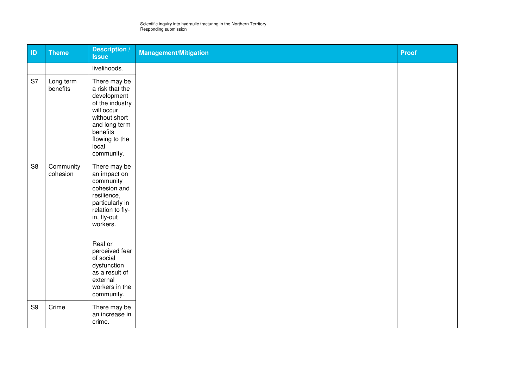| ID             | <b>Theme</b>          | <b>Description</b> /<br><b>Issue</b>                                                                                                                                                                                                                              | <b>Management/Mitigation</b> | Proof |
|----------------|-----------------------|-------------------------------------------------------------------------------------------------------------------------------------------------------------------------------------------------------------------------------------------------------------------|------------------------------|-------|
|                |                       | livelihoods.                                                                                                                                                                                                                                                      |                              |       |
| S7             | Long term<br>benefits | There may be<br>a risk that the<br>development<br>of the industry<br>will occur<br>without short<br>and long term<br>benefits<br>flowing to the<br>local<br>community.                                                                                            |                              |       |
| S <sub>8</sub> | Community<br>cohesion | There may be<br>an impact on<br>community<br>cohesion and<br>resilience,<br>particularly in<br>relation to fly-<br>in, fly-out<br>workers.<br>Real or<br>perceived fear<br>of social<br>dysfunction<br>as a result of<br>external<br>workers in the<br>community. |                              |       |
| S <sub>9</sub> | Crime                 | There may be<br>an increase in<br>crime.                                                                                                                                                                                                                          |                              |       |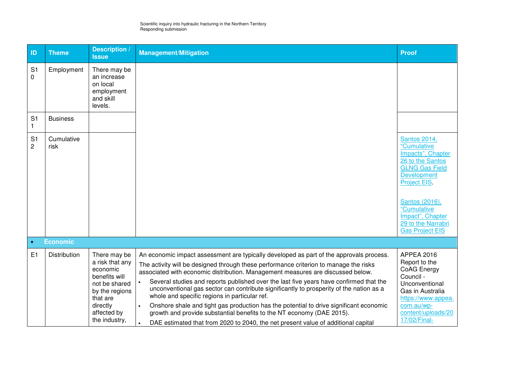| ID                               | <b>Theme</b>       | <b>Description /</b><br><b>Issue</b>                                                                                                                    | <b>Management/Mitigation</b>                                                                                                                                                                                                                                                                                                                                                                                                                                                                                                                                                                                                                                                                                                                                      | <b>Proof</b>                                                                                                                                                                                                                                          |
|----------------------------------|--------------------|---------------------------------------------------------------------------------------------------------------------------------------------------------|-------------------------------------------------------------------------------------------------------------------------------------------------------------------------------------------------------------------------------------------------------------------------------------------------------------------------------------------------------------------------------------------------------------------------------------------------------------------------------------------------------------------------------------------------------------------------------------------------------------------------------------------------------------------------------------------------------------------------------------------------------------------|-------------------------------------------------------------------------------------------------------------------------------------------------------------------------------------------------------------------------------------------------------|
| S <sub>1</sub><br>0              | Employment         | There may be<br>an increase<br>on local<br>employment<br>and skill<br>levels.                                                                           |                                                                                                                                                                                                                                                                                                                                                                                                                                                                                                                                                                                                                                                                                                                                                                   |                                                                                                                                                                                                                                                       |
| S <sub>1</sub><br>1              | <b>Business</b>    |                                                                                                                                                         |                                                                                                                                                                                                                                                                                                                                                                                                                                                                                                                                                                                                                                                                                                                                                                   |                                                                                                                                                                                                                                                       |
| S <sub>1</sub><br>$\overline{c}$ | Cumulative<br>risk |                                                                                                                                                         |                                                                                                                                                                                                                                                                                                                                                                                                                                                                                                                                                                                                                                                                                                                                                                   | <b>Santos 2014,</b><br>"Cumulative<br>Impacts", Chapter<br>26 to the Santos<br><b>GLNG Gas Field</b><br><b>Development</b><br><b>Project EIS</b><br>Santos (2016),<br>"Cumulative<br>Impact", Chapter<br>29 to the Narrabri<br><b>Gas Project EIS</b> |
| $\bullet$                        | <b>Economic</b>    |                                                                                                                                                         |                                                                                                                                                                                                                                                                                                                                                                                                                                                                                                                                                                                                                                                                                                                                                                   |                                                                                                                                                                                                                                                       |
| E1                               | Distribution       | There may be<br>a risk that any<br>economic<br>benefits will<br>not be shared<br>by the regions<br>that are<br>directly<br>affected by<br>the industry, | An economic impact assessment are typically developed as part of the approvals process.<br>The activity will be designed through these performance criterion to manage the risks<br>associated with economic distribution. Management measures are discussed below.<br>Several studies and reports published over the last five years have confirmed that the<br>unconventional gas sector can contribute significantly to prosperity of the nation as a<br>whole and specific regions in particular ref.<br>Onshore shale and tight gas production has the potential to drive significant economic<br>growth and provide substantial benefits to the NT economy (DAE 2015).<br>DAE estimated that from 2020 to 2040, the net present value of additional capital | <b>APPEA 2016</b><br>Report to the<br>CoAG Energy<br>Council -<br>Unconventional<br>Gas in Australia<br>https://www.appea.<br>com.au/wp-<br>content/uploads/20<br>17/02/Final-                                                                        |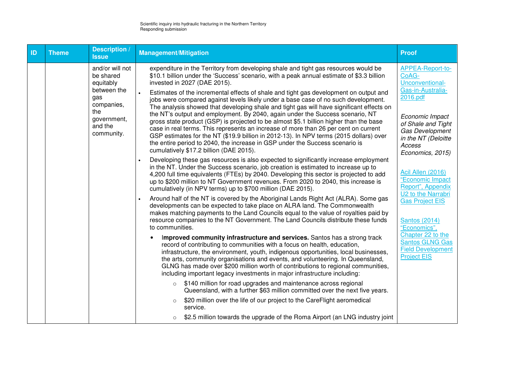| ID | <b>Theme</b> | <b>Description /</b><br><b>Issue</b>                                                                                         | <b>Management/Mitigation</b>                                                                                                                                                                                                                                                                                                                                                                                                                                                                                                                                                                                                                                                                                                                                                                                                                                                                                                                                                       | <b>Proof</b>                                                                                                                                                                                          |
|----|--------------|------------------------------------------------------------------------------------------------------------------------------|------------------------------------------------------------------------------------------------------------------------------------------------------------------------------------------------------------------------------------------------------------------------------------------------------------------------------------------------------------------------------------------------------------------------------------------------------------------------------------------------------------------------------------------------------------------------------------------------------------------------------------------------------------------------------------------------------------------------------------------------------------------------------------------------------------------------------------------------------------------------------------------------------------------------------------------------------------------------------------|-------------------------------------------------------------------------------------------------------------------------------------------------------------------------------------------------------|
|    |              | and/or will not<br>be shared<br>equitably<br>between the<br>gas<br>companies,<br>the<br>government,<br>and the<br>community. | expenditure in the Territory from developing shale and tight gas resources would be<br>\$10.1 billion under the 'Success' scenario, with a peak annual estimate of \$3.3 billion<br>invested in 2027 (DAE 2015).<br>Estimates of the incremental effects of shale and tight gas development on output and<br>jobs were compared against levels likely under a base case of no such development.<br>The analysis showed that developing shale and tight gas will have significant effects on<br>the NT's output and employment. By 2040, again under the Success scenario, NT<br>gross state product (GSP) is projected to be almost \$5.1 billion higher than the base<br>case in real terms. This represents an increase of more than 26 per cent on current<br>GSP estimates for the NT (\$19.9 billion in 2012-13). In NPV terms (2015 dollars) over<br>the entire period to 2040, the increase in GSP under the Success scenario is<br>cumulatively \$17.2 billion (DAE 2015). | <b>APPEA-Report-to-</b><br>CoAG-<br>Unconventional-<br>Gas-in-Australia-<br>2016.pdf<br>Economic Impact<br>of Shale and Tight<br>Gas Development<br>in the NT (Deloitte<br>Access<br>Economics, 2015) |
|    |              |                                                                                                                              | Developing these gas resources is also expected to significantly increase employment<br>in the NT. Under the Success scenario, job creation is estimated to increase up to<br>4,200 full time equivalents (FTEs) by 2040. Developing this sector is projected to add<br>up to \$200 million to NT Government revenues. From 2020 to 2040, this increase is<br>cumulatively (in NPV terms) up to \$700 million (DAE 2015).<br>Around half of the NT is covered by the Aboriginal Lands Right Act (ALRA). Some gas<br>developments can be expected to take place on ALRA land. The Commonwealth                                                                                                                                                                                                                                                                                                                                                                                      | Acil Allen (2016)<br>"Economic Impact<br>Report", Appendix<br>U2 to the Narrabri<br><b>Gas Project EIS</b>                                                                                            |
|    |              |                                                                                                                              | makes matching payments to the Land Councils equal to the value of royalties paid by<br>resource companies to the NT Government. The Land Councils distribute these funds<br>to communities.                                                                                                                                                                                                                                                                                                                                                                                                                                                                                                                                                                                                                                                                                                                                                                                       | <b>Santos (2014)</b><br>"Economics",                                                                                                                                                                  |
|    |              |                                                                                                                              | Improved community infrastructure and services. Santos has a strong track<br>record of contributing to communities with a focus on health, education,<br>infrastructure, the environment, youth, indigenous opportunities, local businesses,<br>the arts, community organisations and events, and volunteering. In Queensland,<br>GLNG has made over \$200 million worth of contributions to regional communities,<br>including important legacy investments in major infrastructure including:                                                                                                                                                                                                                                                                                                                                                                                                                                                                                    | Chapter 22 to the<br><b>Santos GLNG Gas</b><br><b>Field Development</b><br><b>Project EIS</b>                                                                                                         |
|    |              |                                                                                                                              | \$140 million for road upgrades and maintenance across regional<br>$\circ$<br>Queensland, with a further \$63 million committed over the next five years.                                                                                                                                                                                                                                                                                                                                                                                                                                                                                                                                                                                                                                                                                                                                                                                                                          |                                                                                                                                                                                                       |
|    |              |                                                                                                                              | \$20 million over the life of our project to the CareFlight aeromedical<br>$\circ$<br>service.                                                                                                                                                                                                                                                                                                                                                                                                                                                                                                                                                                                                                                                                                                                                                                                                                                                                                     |                                                                                                                                                                                                       |
|    |              |                                                                                                                              | \$2.5 million towards the upgrade of the Roma Airport (an LNG industry joint<br>$\circ$                                                                                                                                                                                                                                                                                                                                                                                                                                                                                                                                                                                                                                                                                                                                                                                                                                                                                            |                                                                                                                                                                                                       |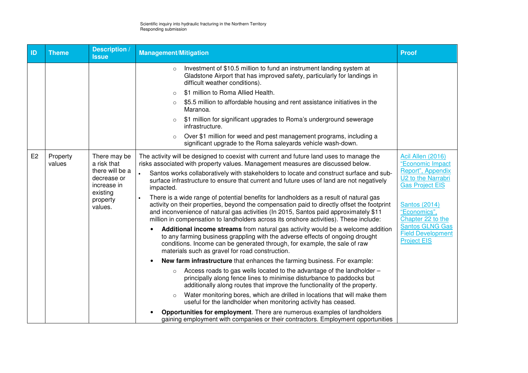| ID             | <b>Theme</b>       | <b>Description</b> /<br><b>Issue</b>                                                                            | <b>Management/Mitigation</b>                                                                                                                                                                                                                                                                                                                                                                                                                                                                                                                                                                                                                                                                                                                                                                                                                              | <b>Proof</b>                                                                                                                                                                                      |
|----------------|--------------------|-----------------------------------------------------------------------------------------------------------------|-----------------------------------------------------------------------------------------------------------------------------------------------------------------------------------------------------------------------------------------------------------------------------------------------------------------------------------------------------------------------------------------------------------------------------------------------------------------------------------------------------------------------------------------------------------------------------------------------------------------------------------------------------------------------------------------------------------------------------------------------------------------------------------------------------------------------------------------------------------|---------------------------------------------------------------------------------------------------------------------------------------------------------------------------------------------------|
|                |                    |                                                                                                                 | Investment of \$10.5 million to fund an instrument landing system at<br>$\circ$<br>Gladstone Airport that has improved safety, particularly for landings in<br>difficult weather conditions).                                                                                                                                                                                                                                                                                                                                                                                                                                                                                                                                                                                                                                                             |                                                                                                                                                                                                   |
|                |                    |                                                                                                                 | \$1 million to Roma Allied Health.<br>$\Omega$                                                                                                                                                                                                                                                                                                                                                                                                                                                                                                                                                                                                                                                                                                                                                                                                            |                                                                                                                                                                                                   |
|                |                    |                                                                                                                 | \$5.5 million to affordable housing and rent assistance initiatives in the<br>$\circ$<br>Maranoa.                                                                                                                                                                                                                                                                                                                                                                                                                                                                                                                                                                                                                                                                                                                                                         |                                                                                                                                                                                                   |
|                |                    |                                                                                                                 | \$1 million for significant upgrades to Roma's underground sewerage<br>$\circ$<br>infrastructure.                                                                                                                                                                                                                                                                                                                                                                                                                                                                                                                                                                                                                                                                                                                                                         |                                                                                                                                                                                                   |
|                |                    |                                                                                                                 | Over \$1 million for weed and pest management programs, including a<br>$\circ$<br>significant upgrade to the Roma saleyards vehicle wash-down.                                                                                                                                                                                                                                                                                                                                                                                                                                                                                                                                                                                                                                                                                                            |                                                                                                                                                                                                   |
| E <sub>2</sub> | Property<br>values | There may be<br>a risk that<br>there will be a<br>decrease or<br>increase in<br>existing<br>property<br>values. | The activity will be designed to coexist with current and future land uses to manage the<br>risks associated with property values. Management measures are discussed below.<br>Santos works collaboratively with stakeholders to locate and construct surface and sub-<br>surface infrastructure to ensure that current and future uses of land are not negatively<br>impacted.<br>There is a wide range of potential benefits for landholders as a result of natural gas<br>$\bullet$<br>activity on their properties, beyond the compensation paid to directly offset the footprint<br>and inconvenience of natural gas activities (In 2015, Santos paid approximately \$11<br>million in compensation to landholders across its onshore activities). These include:<br>Additional income streams from natural gas activity would be a welcome addition | Acil Allen (2016)<br>"Economic Impact<br>Report", Appendix<br>U2 to the Narrabri<br><b>Gas Project EIS</b><br><b>Santos (2014)</b><br>"Economics",<br>Chapter 22 to the<br><b>Santos GLNG Gas</b> |
|                |                    |                                                                                                                 | to any farming business grappling with the adverse effects of ongoing drought<br>conditions. Income can be generated through, for example, the sale of raw<br>materials such as gravel for road construction.                                                                                                                                                                                                                                                                                                                                                                                                                                                                                                                                                                                                                                             | <b>Field Development</b><br><b>Project EIS</b>                                                                                                                                                    |
|                |                    |                                                                                                                 | New farm infrastructure that enhances the farming business. For example:<br>$\bullet$                                                                                                                                                                                                                                                                                                                                                                                                                                                                                                                                                                                                                                                                                                                                                                     |                                                                                                                                                                                                   |
|                |                    |                                                                                                                 | Access roads to gas wells located to the advantage of the landholder -<br>$\circ$<br>principally along fence lines to minimise disturbance to paddocks but<br>additionally along routes that improve the functionality of the property.                                                                                                                                                                                                                                                                                                                                                                                                                                                                                                                                                                                                                   |                                                                                                                                                                                                   |
|                |                    |                                                                                                                 | Water monitoring bores, which are drilled in locations that will make them<br>$\circ$<br>useful for the landholder when monitoring activity has ceased.                                                                                                                                                                                                                                                                                                                                                                                                                                                                                                                                                                                                                                                                                                   |                                                                                                                                                                                                   |
|                |                    |                                                                                                                 | <b>Opportunities for employment</b> . There are numerous examples of landholders<br>gaining employment with companies or their contractors. Employment opportunities                                                                                                                                                                                                                                                                                                                                                                                                                                                                                                                                                                                                                                                                                      |                                                                                                                                                                                                   |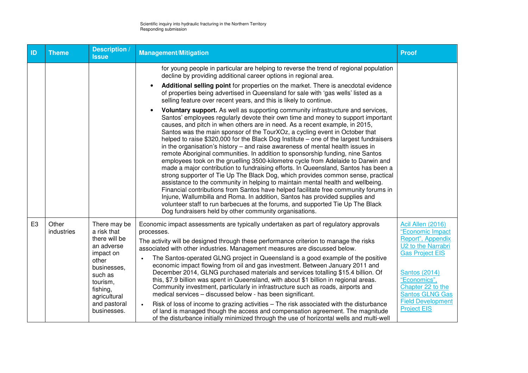| ID             | <b>Theme</b>        | Description /<br><b>Issue</b>                                                                                                                      | <b>Management/Mitigation</b>                                                                                                                                                                                                                                                                                                                                                                                                                                                                                                                                                                                                                                                                                                                                                                                                                                                                                                                                                                                                                                                                                                                                                                                                                                                                                                               | <b>Proof</b>                                                                                                                                                                                                                         |
|----------------|---------------------|----------------------------------------------------------------------------------------------------------------------------------------------------|--------------------------------------------------------------------------------------------------------------------------------------------------------------------------------------------------------------------------------------------------------------------------------------------------------------------------------------------------------------------------------------------------------------------------------------------------------------------------------------------------------------------------------------------------------------------------------------------------------------------------------------------------------------------------------------------------------------------------------------------------------------------------------------------------------------------------------------------------------------------------------------------------------------------------------------------------------------------------------------------------------------------------------------------------------------------------------------------------------------------------------------------------------------------------------------------------------------------------------------------------------------------------------------------------------------------------------------------|--------------------------------------------------------------------------------------------------------------------------------------------------------------------------------------------------------------------------------------|
|                |                     |                                                                                                                                                    | for young people in particular are helping to reverse the trend of regional population<br>decline by providing additional career options in regional area.<br>Additional selling point for properties on the market. There is anecdotal evidence<br>of properties being advertised in Queensland for sale with 'gas wells' listed as a                                                                                                                                                                                                                                                                                                                                                                                                                                                                                                                                                                                                                                                                                                                                                                                                                                                                                                                                                                                                     |                                                                                                                                                                                                                                      |
|                |                     |                                                                                                                                                    | selling feature over recent years, and this is likely to continue.<br>Voluntary support. As well as supporting community infrastructure and services,<br>Santos' employees regularly devote their own time and money to support important<br>causes, and pitch in when others are in need. As a recent example, in 2015,<br>Santos was the main sponsor of the TourXOz, a cycling event in October that<br>helped to raise \$320,000 for the Black Dog Institute – one of the largest fundraisers<br>in the organisation's history $-$ and raise awareness of mental health issues in<br>remote Aboriginal communities. In addition to sponsorship funding, nine Santos<br>employees took on the gruelling 3500-kilometre cycle from Adelaide to Darwin and<br>made a major contribution to fundraising efforts. In Queensland, Santos has been a<br>strong supporter of Tie Up The Black Dog, which provides common sense, practical<br>assistance to the community in helping to maintain mental health and wellbeing.<br>Financial contributions from Santos have helped facilitate free community forums in<br>Injune, Wallumbilla and Roma. In addition, Santos has provided supplies and<br>volunteer staff to run barbecues at the forums, and supported Tie Up The Black<br>Dog fundraisers held by other community organisations. |                                                                                                                                                                                                                                      |
| E <sub>3</sub> | Other<br>industries | There may be<br>a risk that<br>there will be<br>an adverse<br>impact on<br>other<br>businesses,<br>such as<br>tourism,<br>fishing,<br>agricultural | Economic impact assessments are typically undertaken as part of regulatory approvals<br>processes.<br>The activity will be designed through these performance criterion to manage the risks<br>associated with other industries. Management measures are discussed below.<br>The Santos-operated GLNG project in Queensland is a good example of the positive<br>economic impact flowing from oil and gas investment. Between January 2011 and<br>December 2014, GLNG purchased materials and services totalling \$15.4 billion. Of<br>this, \$7.9 billion was spent in Queensland, with about \$1 billion in regional areas.<br>Community investment, particularly in infrastructure such as roads, airports and<br>medical services - discussed below - has been significant.                                                                                                                                                                                                                                                                                                                                                                                                                                                                                                                                                            | <b>Acil Allen (2016)</b><br>"Economic Impact<br>Report", Appendix<br>U2 to the Narrabri<br><b>Gas Project EIS</b><br><b>Santos (2014)</b><br>"Economics",<br>Chapter 22 to the<br><b>Santos GLNG Gas</b><br><b>Field Development</b> |
|                |                     | and pastoral<br>businesses.                                                                                                                        | Risk of loss of income to grazing activities - The risk associated with the disturbance<br>$\bullet$<br>of land is managed though the access and compensation agreement. The magnitude<br>of the disturbance initially minimized through the use of horizontal wells and multi-well                                                                                                                                                                                                                                                                                                                                                                                                                                                                                                                                                                                                                                                                                                                                                                                                                                                                                                                                                                                                                                                        | <b>Project EIS</b>                                                                                                                                                                                                                   |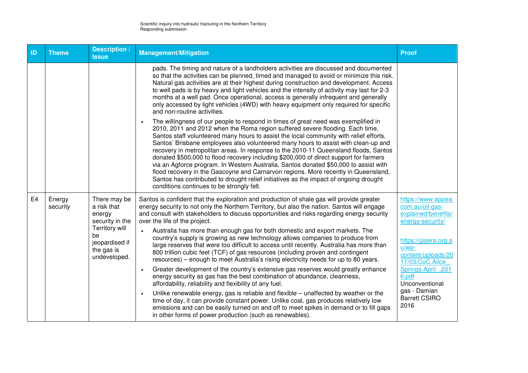| ID             | <b>Theme</b>       | <b>Description</b> /<br><b>Issue</b>                                                                                             | <b>Management/Mitigation</b>                                                                                                                                                                                                                                                                                                                                                                                                                                                                                                                                                                                                                                                                                                                                                                                                                             | <b>Proof</b>                                                                                                                                                 |
|----------------|--------------------|----------------------------------------------------------------------------------------------------------------------------------|----------------------------------------------------------------------------------------------------------------------------------------------------------------------------------------------------------------------------------------------------------------------------------------------------------------------------------------------------------------------------------------------------------------------------------------------------------------------------------------------------------------------------------------------------------------------------------------------------------------------------------------------------------------------------------------------------------------------------------------------------------------------------------------------------------------------------------------------------------|--------------------------------------------------------------------------------------------------------------------------------------------------------------|
|                |                    |                                                                                                                                  | pads. The timing and nature of a landholders activities are discussed and documented<br>so that the activities can be planned, timed and managed to avoid or minimize this risk.<br>Natural gas activities are at their highest during construction and development. Access<br>to well pads is by heavy and light vehicles and the intensity of activity may last for 2-3<br>months at a well pad. Once operational, access is generally infrequent and generally<br>only accessed by light vehicles (4WD) with heavy equipment only required for specific<br>and non-routine activities.                                                                                                                                                                                                                                                                |                                                                                                                                                              |
|                |                    |                                                                                                                                  | The willingness of our people to respond in times of great need was exemplified in<br>2010, 2011 and 2012 when the Roma region suffered severe flooding. Each time,<br>Santos staff volunteered many hours to assist the local community with relief efforts.<br>Santos' Brisbane employees also volunteered many hours to assist with clean-up and<br>recovery in metropolitan areas. In response to the 2010-11 Queensland floods, Santos<br>donated \$500,000 to flood recovery including \$200,000 of direct support for farmers<br>via an Agforce program. In Western Australia, Santos donated \$50,000 to assist with<br>flood recovery in the Gascoyne and Carnarvon regions. More recently in Queensland,<br>Santos has contributed to drought relief initiatives as the impact of ongoing drought<br>conditions continues to be strongly felt. |                                                                                                                                                              |
| E <sub>4</sub> | Energy<br>security | There may be<br>a risk that<br>energy<br>security in the<br>Territory will<br>be<br>jeopardised if<br>the gas is<br>undeveloped. | Santos is confident that the exploration and production of shale gas will provide greater<br>energy security to not only the Northern Territory, but also the nation. Santos will engage<br>and consult with stakeholders to discuss opportunities and risks regarding energy security<br>over the life of the project.<br>Australia has more than enough gas for both domestic and export markets. The<br>country's supply is growing as new technology allows companies to produce from<br>large reserves that were too difficult to access until recently. Australia has more than<br>800 trillion cubic feet (TCF) of gas resources (including proven and contingent<br>resources) - enough to meet Australia's rising electricity needs for up to 80 years.                                                                                         | https://www.appea.<br>com.au/oil-gas-<br>explained/benefits/<br>energy-security/<br>https://gisera.org.a<br>$u/wp-$<br>content/uploads/20<br>17/03/CoC.Alice |
|                |                    |                                                                                                                                  | Greater development of the country's extensive gas reserves would greatly enhance<br>$\bullet$<br>energy security as gas has the best combination of abundance, cleanness,<br>affordability, reliability and flexibility of any fuel.                                                                                                                                                                                                                                                                                                                                                                                                                                                                                                                                                                                                                    | Springs.April .201<br>6.pdf<br>Unconventional                                                                                                                |
|                |                    |                                                                                                                                  | Unlike renewable energy, gas is reliable and flexible – unaffected by weather or the<br>time of day, it can provide constant power. Unlike coal, gas produces relatively low<br>emissions and can be easily turned on and off to meet spikes in demand or to fill gaps<br>in other forms of power production (such as renewables).                                                                                                                                                                                                                                                                                                                                                                                                                                                                                                                       | gas - Damian<br><b>Barrett CSIRO</b><br>2016                                                                                                                 |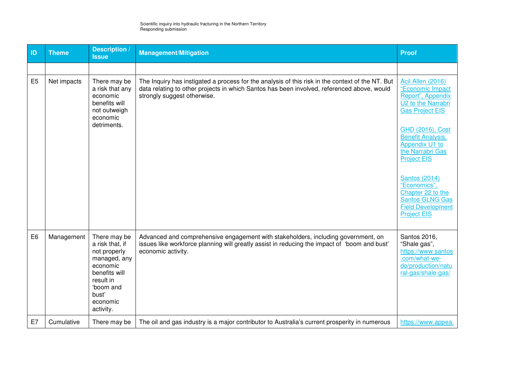| ID             | <b>Theme</b> | <b>Description</b> /<br><b>Issue</b>                                                                                                                     | <b>Management/Mitigation</b>                                                                                                                                                                                                  | <b>Proof</b>                                                                                                                                                                                                                                                                                                                                                    |
|----------------|--------------|----------------------------------------------------------------------------------------------------------------------------------------------------------|-------------------------------------------------------------------------------------------------------------------------------------------------------------------------------------------------------------------------------|-----------------------------------------------------------------------------------------------------------------------------------------------------------------------------------------------------------------------------------------------------------------------------------------------------------------------------------------------------------------|
|                |              |                                                                                                                                                          |                                                                                                                                                                                                                               |                                                                                                                                                                                                                                                                                                                                                                 |
| E <sub>5</sub> | Net impacts  | There may be<br>a risk that any<br>economic<br>benefits will<br>not outweigh<br>economic<br>detriments.                                                  | The Inquiry has instigated a process for the analysis of this risk in the context of the NT. But<br>data relating to other projects in which Santos has been involved, referenced above, would<br>strongly suggest otherwise. | Acil Allen (2016)<br>"Economic Impact<br>Report", Appendix<br>U2 to the Narrabri<br><b>Gas Project EIS</b><br>GHD (2016), Cost<br><b>Benefit Analysis,</b><br>Appendix U1 to<br>the Narrabri Gas<br><b>Project EIS</b><br><b>Santos (2014)</b><br>"Economics",<br>Chapter 22 to the<br><b>Santos GLNG Gas</b><br><b>Field Development</b><br><b>Project EIS</b> |
| E <sub>6</sub> | Management   | There may be<br>a risk that, if<br>not properly<br>managed, any<br>economic<br>benefits will<br>result in<br>'boom and<br>bust'<br>economic<br>activity. | Advanced and comprehensive engagement with stakeholders, including government, on<br>issues like workforce planning will greatly assist in reducing the impact of 'boom and bust'<br>economic activity.                       | Santos 2016,<br>"Shale gas",<br>https://www.santos<br>.com/what-we-<br>do/production/natu<br>ral-gas/shale-gas/                                                                                                                                                                                                                                                 |
| E7             | Cumulative   | There may be                                                                                                                                             | The oil and gas industry is a major contributor to Australia's current prosperity in numerous                                                                                                                                 | https://www.appea.                                                                                                                                                                                                                                                                                                                                              |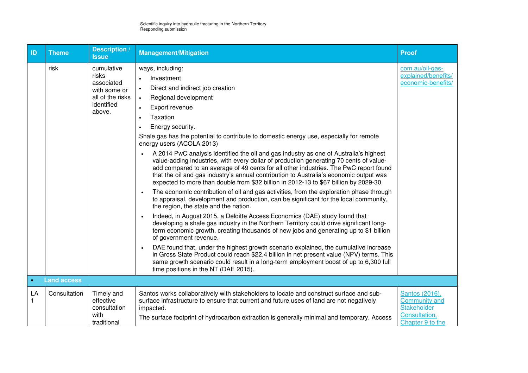| ID        | <b>Theme</b>       | Description /<br><b>Issue</b>                                                                 | <b>Management/Mitigation</b>                                                                                                                                                                                                                                                                                                                                                                                                                                                                                                                                                                                                                                                                                                                                                                                                                                                                                                                                                                                                                                                                                                                                                                                                                                                                                                                                                                                                                                                                                                                                                                                                                       | <b>Proof</b>                                                                                      |
|-----------|--------------------|-----------------------------------------------------------------------------------------------|----------------------------------------------------------------------------------------------------------------------------------------------------------------------------------------------------------------------------------------------------------------------------------------------------------------------------------------------------------------------------------------------------------------------------------------------------------------------------------------------------------------------------------------------------------------------------------------------------------------------------------------------------------------------------------------------------------------------------------------------------------------------------------------------------------------------------------------------------------------------------------------------------------------------------------------------------------------------------------------------------------------------------------------------------------------------------------------------------------------------------------------------------------------------------------------------------------------------------------------------------------------------------------------------------------------------------------------------------------------------------------------------------------------------------------------------------------------------------------------------------------------------------------------------------------------------------------------------------------------------------------------------------|---------------------------------------------------------------------------------------------------|
|           | risk               | cumulative<br>risks<br>associated<br>with some or<br>all of the risks<br>identified<br>above. | ways, including:<br>Investment<br>Direct and indirect job creation<br>$\bullet$<br>Regional development<br>$\bullet$<br>Export revenue<br>$\bullet$<br>Taxation<br>$\bullet$<br>Energy security.<br>Shale gas has the potential to contribute to domestic energy use, especially for remote<br>energy users (ACOLA 2013)<br>A 2014 PwC analysis identified the oil and gas industry as one of Australia's highest<br>value-adding industries, with every dollar of production generating 70 cents of value-<br>add compared to an average of 49 cents for all other industries. The PwC report found<br>that the oil and gas industry's annual contribution to Australia's economic output was<br>expected to more than double from \$32 billion in 2012-13 to \$67 billion by 2029-30.<br>The economic contribution of oil and gas activities, from the exploration phase through<br>to appraisal, development and production, can be significant for the local community,<br>the region, the state and the nation.<br>Indeed, in August 2015, a Deloitte Access Economics (DAE) study found that<br>$\bullet$<br>developing a shale gas industry in the Northern Territory could drive significant long-<br>term economic growth, creating thousands of new jobs and generating up to \$1 billion<br>of government revenue.<br>DAE found that, under the highest growth scenario explained, the cumulative increase<br>in Gross State Product could reach \$22.4 billion in net present value (NPV) terms. This<br>same growth scenario could result in a long-term employment boost of up to 6,300 full<br>time positions in the NT (DAE 2015). | com.au/oil-gas-<br>explained/benefits/<br>economic-benefits/                                      |
| $\bullet$ | <b>Land access</b> |                                                                                               |                                                                                                                                                                                                                                                                                                                                                                                                                                                                                                                                                                                                                                                                                                                                                                                                                                                                                                                                                                                                                                                                                                                                                                                                                                                                                                                                                                                                                                                                                                                                                                                                                                                    |                                                                                                   |
| LA<br>1   | Consultation       | Timely and<br>effective<br>consultation<br>with<br>traditional                                | Santos works collaboratively with stakeholders to locate and construct surface and sub-<br>surface infrastructure to ensure that current and future uses of land are not negatively<br>impacted.<br>The surface footprint of hydrocarbon extraction is generally minimal and temporary. Access                                                                                                                                                                                                                                                                                                                                                                                                                                                                                                                                                                                                                                                                                                                                                                                                                                                                                                                                                                                                                                                                                                                                                                                                                                                                                                                                                     | Santos (2016),<br><b>Community and</b><br><b>Stakeholder</b><br>Consultation,<br>Chapter 9 to the |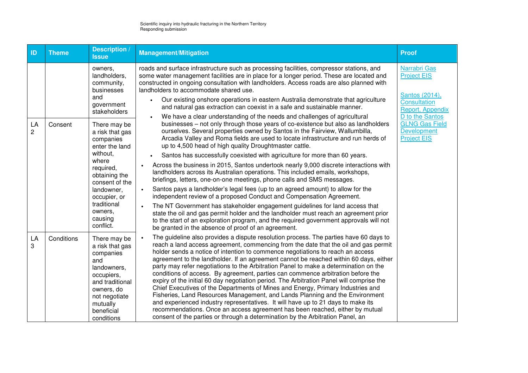| ID      | <b>Theme</b> | <b>Description</b> /<br><b>Issue</b>                                                                                                                                                                                                                                                                            | <b>Management/Mitigation</b>                                                                                                                                                                                                                                                                                                                                                                                                                                                                                                                                                                                                                                                                                                                                                                                                                                                                                                                                                                                                                                                                                                                                                                                                                                                                                                                                                                                                                                                                                                                                                                                                                                                                       | <b>Proof</b>                                                                                                                                                                                   |
|---------|--------------|-----------------------------------------------------------------------------------------------------------------------------------------------------------------------------------------------------------------------------------------------------------------------------------------------------------------|----------------------------------------------------------------------------------------------------------------------------------------------------------------------------------------------------------------------------------------------------------------------------------------------------------------------------------------------------------------------------------------------------------------------------------------------------------------------------------------------------------------------------------------------------------------------------------------------------------------------------------------------------------------------------------------------------------------------------------------------------------------------------------------------------------------------------------------------------------------------------------------------------------------------------------------------------------------------------------------------------------------------------------------------------------------------------------------------------------------------------------------------------------------------------------------------------------------------------------------------------------------------------------------------------------------------------------------------------------------------------------------------------------------------------------------------------------------------------------------------------------------------------------------------------------------------------------------------------------------------------------------------------------------------------------------------------|------------------------------------------------------------------------------------------------------------------------------------------------------------------------------------------------|
| LA<br>2 | Consent      | owners,<br>landholders,<br>community,<br>businesses<br>and<br>government<br>stakeholders<br>There may be<br>a risk that gas<br>companies<br>enter the land<br>without,<br>where<br>required,<br>obtaining the<br>consent of the<br>landowner,<br>occupier, or<br>traditional<br>owners,<br>causing<br>conflict. | roads and surface infrastructure such as processing facilities, compressor stations, and<br>some water management facilities are in place for a longer period. These are located and<br>constructed in ongoing consultation with landholders. Access roads are also planned with<br>landholders to accommodate shared use.<br>Our existing onshore operations in eastern Australia demonstrate that agriculture<br>and natural gas extraction can coexist in a safe and sustainable manner.<br>We have a clear understanding of the needs and challenges of agricultural<br>businesses - not only through those years of co-existence but also as landholders<br>ourselves. Several properties owned by Santos in the Fairview, Wallumbilla,<br>Arcadia Valley and Roma fields are used to locate infrastructure and run herds of<br>up to 4,500 head of high quality Droughtmaster cattle.<br>Santos has successfully coexisted with agriculture for more than 60 years.<br>Across the business in 2015, Santos undertook nearly 9,000 discrete interactions with<br>$\bullet$<br>landholders across its Australian operations. This included emails, workshops,<br>briefings, letters, one-on-one meetings, phone calls and SMS messages.<br>Santos pays a landholder's legal fees (up to an agreed amount) to allow for the<br>$\bullet$<br>independent review of a proposed Conduct and Compensation Agreement.<br>The NT Government has stakeholder engagement guidelines for land access that<br>$\bullet$<br>state the oil and gas permit holder and the landholder must reach an agreement prior<br>to the start of an exploration program, and the required government approvals will not | <b>Narrabri Gas</b><br><b>Project EIS</b><br>Santos (2014),<br><b>Consultation</b><br>Report, Appendix<br>D to the Santos<br><b>GLNG Gas Field</b><br><b>Development</b><br><b>Project EIS</b> |
| LA<br>3 | Conditions   | There may be<br>a risk that gas<br>companies<br>and<br>landowners,<br>occupiers,<br>and traditional<br>owners, do<br>not negotiate<br>mutually<br>beneficial<br>conditions                                                                                                                                      | be granted in the absence of proof of an agreement.<br>The guideline also provides a dispute resolution process. The parties have 60 days to<br>reach a land access agreement, commencing from the date that the oil and gas permit<br>holder sends a notice of intention to commence negotiations to reach an access<br>agreement to the landholder. If an agreement cannot be reached within 60 days, either<br>party may refer negotiations to the Arbitration Panel to make a determination on the<br>conditions of access. By agreement, parties can commence arbitration before the<br>expiry of the initial 60 day negotiation period. The Arbitration Panel will comprise the<br>Chief Executives of the Departments of Mines and Energy, Primary Industries and<br>Fisheries, Land Resources Management, and Lands Planning and the Environment<br>and experienced industry representatives. It will have up to 21 days to make its<br>recommendations. Once an access agreement has been reached, either by mutual<br>consent of the parties or through a determination by the Arbitration Panel, an                                                                                                                                                                                                                                                                                                                                                                                                                                                                                                                                                                                     |                                                                                                                                                                                                |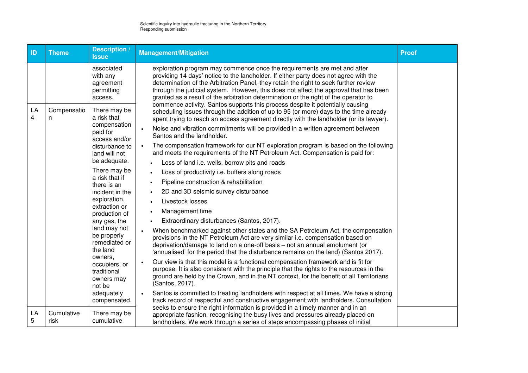| ID                            | <b>Theme</b>       | Description /<br><b>Issue</b>                                       | <b>Management/Mitigation</b>                                                                                                                                                                                                                                                                                                                                                                                                                                                                                                | <b>Proof</b> |
|-------------------------------|--------------------|---------------------------------------------------------------------|-----------------------------------------------------------------------------------------------------------------------------------------------------------------------------------------------------------------------------------------------------------------------------------------------------------------------------------------------------------------------------------------------------------------------------------------------------------------------------------------------------------------------------|--------------|
|                               |                    | associated<br>with any<br>agreement<br>permitting<br>access.        | exploration program may commence once the requirements are met and after<br>providing 14 days' notice to the landholder. If either party does not agree with the<br>determination of the Arbitration Panel, they retain the right to seek further review<br>through the judicial system. However, this does not affect the approval that has been<br>granted as a result of the arbitration determination or the right of the operator to<br>commence activity. Santos supports this process despite it potentially causing |              |
| LA<br>$\overline{\mathbf{4}}$ | Compensatio<br>n   | There may be<br>a risk that<br>compensation                         | scheduling issues through the addition of up to 95 (or more) days to the time already<br>spent trying to reach an access agreement directly with the landholder (or its lawyer).                                                                                                                                                                                                                                                                                                                                            |              |
|                               |                    | paid for<br>access and/or                                           | Noise and vibration commitments will be provided in a written agreement between<br>Santos and the landholder.                                                                                                                                                                                                                                                                                                                                                                                                               |              |
|                               |                    | disturbance to<br>land will not                                     | The compensation framework for our NT exploration program is based on the following<br>$\bullet$<br>and meets the requirements of the NT Petroleum Act. Compensation is paid for:                                                                                                                                                                                                                                                                                                                                           |              |
|                               |                    | be adequate.                                                        | Loss of land i.e. wells, borrow pits and roads                                                                                                                                                                                                                                                                                                                                                                                                                                                                              |              |
|                               |                    | There may be<br>a risk that if                                      | Loss of productivity i.e. buffers along roads                                                                                                                                                                                                                                                                                                                                                                                                                                                                               |              |
|                               |                    | there is an                                                         | Pipeline construction & rehabilitation<br>$\bullet$                                                                                                                                                                                                                                                                                                                                                                                                                                                                         |              |
|                               |                    | incident in the                                                     | 2D and 3D seismic survey disturbance                                                                                                                                                                                                                                                                                                                                                                                                                                                                                        |              |
|                               |                    | exploration,<br>extraction or                                       | Livestock losses<br>$\bullet$                                                                                                                                                                                                                                                                                                                                                                                                                                                                                               |              |
|                               |                    | production of                                                       | Management time<br>$\bullet$                                                                                                                                                                                                                                                                                                                                                                                                                                                                                                |              |
|                               |                    | any gas, the                                                        | Extraordinary disturbances (Santos, 2017).                                                                                                                                                                                                                                                                                                                                                                                                                                                                                  |              |
|                               |                    | land may not<br>be properly<br>remediated or<br>the land<br>owners, | When benchmarked against other states and the SA Petroleum Act, the compensation<br>$\bullet$<br>provisions in the NT Petroleum Act are very similar i.e. compensation based on<br>deprivation/damage to land on a one-off basis - not an annual emolument (or<br>'annualised' for the period that the disturbance remains on the land) (Santos 2017).                                                                                                                                                                      |              |
|                               |                    | occupiers, or<br>traditional<br>owners may<br>not be                | Our view is that this model is a functional compensation framework and is fit for<br>purpose. It is also consistent with the principle that the rights to the resources in the<br>ground are held by the Crown, and in the NT context, for the benefit of all Territorians<br>(Santos, 2017).                                                                                                                                                                                                                               |              |
|                               |                    | adequately<br>compensated.                                          | Santos is committed to treating landholders with respect at all times. We have a strong<br>track record of respectful and constructive engagement with landholders. Consultation                                                                                                                                                                                                                                                                                                                                            |              |
| LA<br>5                       | Cumulative<br>risk | There may be<br>cumulative                                          | seeks to ensure the right information is provided in a timely manner and in an<br>appropriate fashion, recognising the busy lives and pressures already placed on<br>landholders. We work through a series of steps encompassing phases of initial                                                                                                                                                                                                                                                                          |              |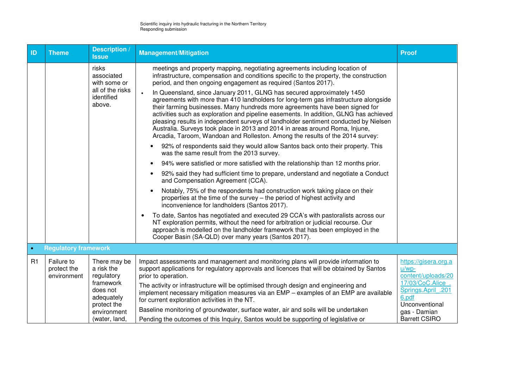| ID        | <b>Theme</b>                             | <b>Description</b><br><b>Issue</b>                                                                                             | <b>Management/Mitigation</b>                                                                                                                                                                                                                                                                                                                                                                                                                                                                                                                                                                                                                                                                                                                                                                                                                                                                                                                                                                                                                                                                                                                                                                                                                                                                                                                                                                                                                                                                                                                                                                                                                                                                                                                                                 | <b>Proof</b>                                                                                                                                                        |
|-----------|------------------------------------------|--------------------------------------------------------------------------------------------------------------------------------|------------------------------------------------------------------------------------------------------------------------------------------------------------------------------------------------------------------------------------------------------------------------------------------------------------------------------------------------------------------------------------------------------------------------------------------------------------------------------------------------------------------------------------------------------------------------------------------------------------------------------------------------------------------------------------------------------------------------------------------------------------------------------------------------------------------------------------------------------------------------------------------------------------------------------------------------------------------------------------------------------------------------------------------------------------------------------------------------------------------------------------------------------------------------------------------------------------------------------------------------------------------------------------------------------------------------------------------------------------------------------------------------------------------------------------------------------------------------------------------------------------------------------------------------------------------------------------------------------------------------------------------------------------------------------------------------------------------------------------------------------------------------------|---------------------------------------------------------------------------------------------------------------------------------------------------------------------|
|           |                                          | risks<br>associated<br>with some or<br>all of the risks<br>identified<br>above.                                                | meetings and property mapping, negotiating agreements including location of<br>infrastructure, compensation and conditions specific to the property, the construction<br>period, and then ongoing engagement as required (Santos 2017).<br>In Queensland, since January 2011, GLNG has secured approximately 1450<br>$\bullet$<br>agreements with more than 410 landholders for long-term gas infrastructure alongside<br>their farming businesses. Many hundreds more agreements have been signed for<br>activities such as exploration and pipeline easements. In addition, GLNG has achieved<br>pleasing results in independent surveys of landholder sentiment conducted by Nielsen<br>Australia. Surveys took place in 2013 and 2014 in areas around Roma, Injune,<br>Arcadia, Taroom, Wandoan and Rolleston. Among the results of the 2014 survey:<br>92% of respondents said they would allow Santos back onto their property. This<br>was the same result from the 2013 survey.<br>94% were satisfied or more satisfied with the relationship than 12 months prior.<br>$\bullet$<br>92% said they had sufficient time to prepare, understand and negotiate a Conduct<br>$\bullet$<br>and Compensation Agreement (CCA).<br>Notably, 75% of the respondents had construction work taking place on their<br>properties at the time of the survey – the period of highest activity and<br>inconvenience for landholders (Santos 2017).<br>To date, Santos has negotiated and executed 29 CCA's with pastoralists across our<br>$\bullet$<br>NT exploration permits, without the need for arbitration or judicial recourse. Our<br>approach is modelled on the landholder framework that has been employed in the<br>Cooper Basin (SA-QLD) over many years (Santos 2017). |                                                                                                                                                                     |
| $\bullet$ | <b>Regulatory framework</b>              |                                                                                                                                |                                                                                                                                                                                                                                                                                                                                                                                                                                                                                                                                                                                                                                                                                                                                                                                                                                                                                                                                                                                                                                                                                                                                                                                                                                                                                                                                                                                                                                                                                                                                                                                                                                                                                                                                                                              |                                                                                                                                                                     |
| R1        | Failure to<br>protect the<br>environment | There may be<br>a risk the<br>regulatory<br>framework<br>does not<br>adequately<br>protect the<br>environment<br>(water, land, | Impact assessments and management and monitoring plans will provide information to<br>support applications for regulatory approvals and licences that will be obtained by Santos<br>prior to operation.<br>The activity or infrastructure will be optimised through design and engineering and<br>implement necessary mitigation measures via an EMP - examples of an EMP are available<br>for current exploration activities in the NT.<br>Baseline monitoring of groundwater, surface water, air and soils will be undertaken<br>Pending the outcomes of this Inquiry, Santos would be supporting of legislative or                                                                                                                                                                                                                                                                                                                                                                                                                                                                                                                                                                                                                                                                                                                                                                                                                                                                                                                                                                                                                                                                                                                                                        | https://gisera.org.a<br>$u/wp-$<br>content/uploads/20<br>17/03/CoC.Alice .<br>Springs.April .201<br>6.pdf<br>Unconventional<br>gas - Damian<br><b>Barrett CSIRO</b> |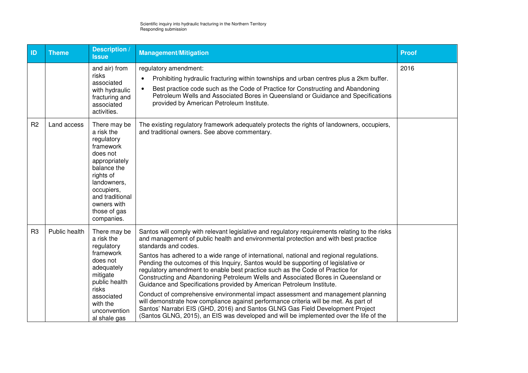| ID             | <b>Theme</b>  | <b>Description</b><br><b>Issue</b>                                                                                                                                                                          | <b>Management/Mitigation</b>                                                                                                                                                                                                                                                                                                                                                                                                                                                                                                                                                                                                                                                                                                                                                                                                                                                                                                                                                                          | <b>Proof</b> |
|----------------|---------------|-------------------------------------------------------------------------------------------------------------------------------------------------------------------------------------------------------------|-------------------------------------------------------------------------------------------------------------------------------------------------------------------------------------------------------------------------------------------------------------------------------------------------------------------------------------------------------------------------------------------------------------------------------------------------------------------------------------------------------------------------------------------------------------------------------------------------------------------------------------------------------------------------------------------------------------------------------------------------------------------------------------------------------------------------------------------------------------------------------------------------------------------------------------------------------------------------------------------------------|--------------|
|                |               | and air) from<br>risks<br>associated<br>with hydraulic<br>fracturing and<br>associated<br>activities.                                                                                                       | regulatory amendment:<br>Prohibiting hydraulic fracturing within townships and urban centres plus a 2km buffer.<br>Best practice code such as the Code of Practice for Constructing and Abandoning<br>$\bullet$<br>Petroleum Wells and Associated Bores in Queensland or Guidance and Specifications<br>provided by American Petroleum Institute.                                                                                                                                                                                                                                                                                                                                                                                                                                                                                                                                                                                                                                                     | 2016         |
| R <sub>2</sub> | Land access   | There may be<br>a risk the<br>regulatory<br>framework<br>does not<br>appropriately<br>balance the<br>rights of<br>landowners,<br>occupiers,<br>and traditional<br>owners with<br>those of gas<br>companies. | The existing regulatory framework adequately protects the rights of landowners, occupiers,<br>and traditional owners. See above commentary.                                                                                                                                                                                                                                                                                                                                                                                                                                                                                                                                                                                                                                                                                                                                                                                                                                                           |              |
| R <sub>3</sub> | Public health | There may be<br>a risk the<br>regulatory<br>framework<br>does not<br>adequately<br>mitigate<br>public health<br>risks<br>associated<br>with the<br>unconvention<br>al shale gas                             | Santos will comply with relevant legislative and regulatory requirements relating to the risks<br>and management of public health and environmental protection and with best practice<br>standards and codes.<br>Santos has adhered to a wide range of international, national and regional regulations.<br>Pending the outcomes of this Inquiry, Santos would be supporting of legislative or<br>regulatory amendment to enable best practice such as the Code of Practice for<br>Constructing and Abandoning Petroleum Wells and Associated Bores in Queensland or<br>Guidance and Specifications provided by American Petroleum Institute.<br>Conduct of comprehensive environmental impact assessment and management planning<br>will demonstrate how compliance against performance criteria will be met. As part of<br>Santos' Narrabri EIS (GHD, 2016) and Santos GLNG Gas Field Development Project<br>(Santos GLNG, 2015), an EIS was developed and will be implemented over the life of the |              |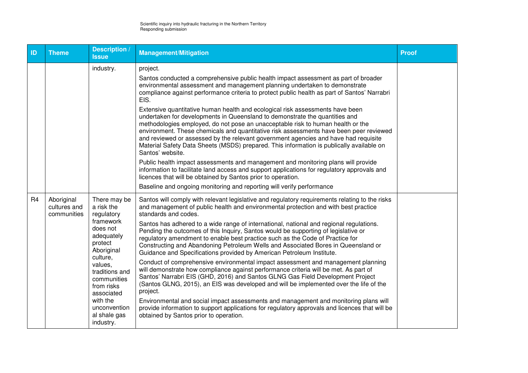| ID             | <b>Theme</b>                              | Description<br><b>Issue</b>                                                                                                                                                                                                                           | <b>Management/Mitigation</b>                                                                                                                                                                                                                                                                                                                                                                                                                                                                                                                                                                                                                                                                                                                                                                                                                                                                                                                                                                                                                                                                                                                                                                                                                          | <b>Proof</b> |
|----------------|-------------------------------------------|-------------------------------------------------------------------------------------------------------------------------------------------------------------------------------------------------------------------------------------------------------|-------------------------------------------------------------------------------------------------------------------------------------------------------------------------------------------------------------------------------------------------------------------------------------------------------------------------------------------------------------------------------------------------------------------------------------------------------------------------------------------------------------------------------------------------------------------------------------------------------------------------------------------------------------------------------------------------------------------------------------------------------------------------------------------------------------------------------------------------------------------------------------------------------------------------------------------------------------------------------------------------------------------------------------------------------------------------------------------------------------------------------------------------------------------------------------------------------------------------------------------------------|--------------|
|                |                                           | industry.                                                                                                                                                                                                                                             | project.<br>Santos conducted a comprehensive public health impact assessment as part of broader<br>environmental assessment and management planning undertaken to demonstrate<br>compliance against performance criteria to protect public health as part of Santos' Narrabri<br>EIS.<br>Extensive quantitative human health and ecological risk assessments have been<br>undertaken for developments in Queensland to demonstrate the quantities and<br>methodologies employed, do not pose an unacceptable risk to human health or the<br>environment. These chemicals and quantitative risk assessments have been peer reviewed<br>and reviewed or assessed by the relevant government agencies and have had requisite<br>Material Safety Data Sheets (MSDS) prepared. This information is publically available on<br>Santos' website.                                                                                                                                                                                                                                                                                                                                                                                                             |              |
|                |                                           |                                                                                                                                                                                                                                                       | Public health impact assessments and management and monitoring plans will provide<br>information to facilitate land access and support applications for regulatory approvals and<br>licences that will be obtained by Santos prior to operation.<br>Baseline and ongoing monitoring and reporting will verify performance                                                                                                                                                                                                                                                                                                                                                                                                                                                                                                                                                                                                                                                                                                                                                                                                                                                                                                                             |              |
| R <sub>4</sub> | Aboriginal<br>cultures and<br>communities | There may be<br>a risk the<br>regulatory<br>framework<br>does not<br>adequately<br>protect<br>Aboriginal<br>culture,<br>values,<br>traditions and<br>communities<br>from risks<br>associated<br>with the<br>unconvention<br>al shale gas<br>industry. | Santos will comply with relevant legislative and regulatory requirements relating to the risks<br>and management of public health and environmental protection and with best practice<br>standards and codes.<br>Santos has adhered to a wide range of international, national and regional regulations.<br>Pending the outcomes of this Inquiry, Santos would be supporting of legislative or<br>regulatory amendment to enable best practice such as the Code of Practice for<br>Constructing and Abandoning Petroleum Wells and Associated Bores in Queensland or<br>Guidance and Specifications provided by American Petroleum Institute.<br>Conduct of comprehensive environmental impact assessment and management planning<br>will demonstrate how compliance against performance criteria will be met. As part of<br>Santos' Narrabri EIS (GHD, 2016) and Santos GLNG Gas Field Development Project<br>(Santos GLNG, 2015), an EIS was developed and will be implemented over the life of the<br>project.<br>Environmental and social impact assessments and management and monitoring plans will<br>provide information to support applications for regulatory approvals and licences that will be<br>obtained by Santos prior to operation. |              |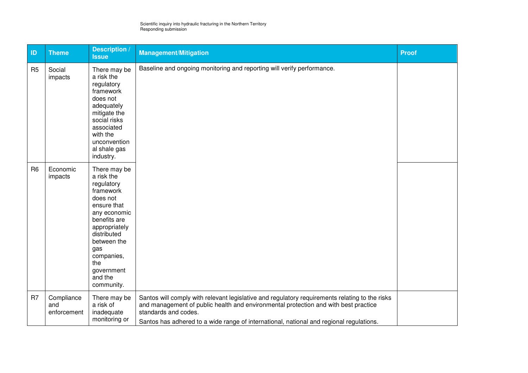| ID             | <b>Theme</b>                     | <b>Description /</b><br><b>Issue</b>                                                                                                                                                                                               | <b>Management/Mitigation</b>                                                                                                                                                                                                                                                                             | <b>Proof</b> |
|----------------|----------------------------------|------------------------------------------------------------------------------------------------------------------------------------------------------------------------------------------------------------------------------------|----------------------------------------------------------------------------------------------------------------------------------------------------------------------------------------------------------------------------------------------------------------------------------------------------------|--------------|
| R <sub>5</sub> | Social<br>impacts                | There may be<br>a risk the<br>regulatory<br>framework<br>does not<br>adequately<br>mitigate the<br>social risks<br>associated<br>with the<br>unconvention<br>al shale gas<br>industry.                                             | Baseline and ongoing monitoring and reporting will verify performance.                                                                                                                                                                                                                                   |              |
| R <sub>6</sub> | Economic<br>impacts              | There may be<br>a risk the<br>regulatory<br>framework<br>does not<br>ensure that<br>any economic<br>benefits are<br>appropriately<br>distributed<br>between the<br>gas<br>companies,<br>the<br>government<br>and the<br>community. |                                                                                                                                                                                                                                                                                                          |              |
| R <sub>7</sub> | Compliance<br>and<br>enforcement | There may be<br>a risk of<br>inadequate<br>monitoring or                                                                                                                                                                           | Santos will comply with relevant legislative and regulatory requirements relating to the risks<br>and management of public health and environmental protection and with best practice<br>standards and codes.<br>Santos has adhered to a wide range of international, national and regional regulations. |              |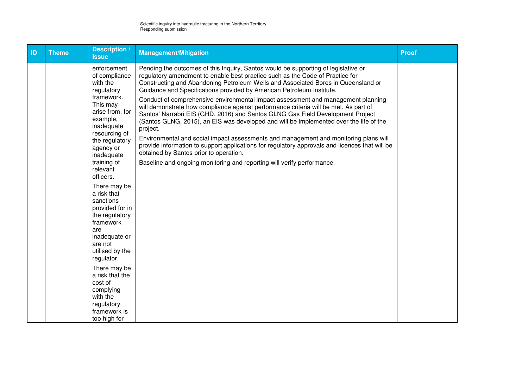| ID | <b>Theme</b> | <b>Description</b> /<br><b>Issue</b>                                                                                                                                                                                                                | <b>Management/Mitigation</b>                                                                                                                                                                                                                                                                                                                                                                                                                                                                                                                                                                                                                                                                                                                                                                                                                                                                                                                                                                                        | <b>Proof</b> |
|----|--------------|-----------------------------------------------------------------------------------------------------------------------------------------------------------------------------------------------------------------------------------------------------|---------------------------------------------------------------------------------------------------------------------------------------------------------------------------------------------------------------------------------------------------------------------------------------------------------------------------------------------------------------------------------------------------------------------------------------------------------------------------------------------------------------------------------------------------------------------------------------------------------------------------------------------------------------------------------------------------------------------------------------------------------------------------------------------------------------------------------------------------------------------------------------------------------------------------------------------------------------------------------------------------------------------|--------------|
|    |              | enforcement<br>of compliance<br>with the<br>regulatory<br>framework.<br>This may<br>arise from, for<br>example,<br>inadequate<br>resourcing of<br>the regulatory<br>agency or<br>inadequate<br>training of<br>relevant<br>officers.                 | Pending the outcomes of this Inquiry, Santos would be supporting of legislative or<br>regulatory amendment to enable best practice such as the Code of Practice for<br>Constructing and Abandoning Petroleum Wells and Associated Bores in Queensland or<br>Guidance and Specifications provided by American Petroleum Institute.<br>Conduct of comprehensive environmental impact assessment and management planning<br>will demonstrate how compliance against performance criteria will be met. As part of<br>Santos' Narrabri EIS (GHD, 2016) and Santos GLNG Gas Field Development Project<br>(Santos GLNG, 2015), an EIS was developed and will be implemented over the life of the<br>project.<br>Environmental and social impact assessments and management and monitoring plans will<br>provide information to support applications for regulatory approvals and licences that will be<br>obtained by Santos prior to operation.<br>Baseline and ongoing monitoring and reporting will verify performance. |              |
|    |              | There may be<br>a risk that<br>sanctions<br>provided for in<br>the regulatory<br>framework<br>are<br>inadequate or<br>are not<br>utilised by the<br>regulator.<br>There may be<br>a risk that the<br>cost of<br>complying<br>with the<br>regulatory |                                                                                                                                                                                                                                                                                                                                                                                                                                                                                                                                                                                                                                                                                                                                                                                                                                                                                                                                                                                                                     |              |
|    |              | framework is<br>too high for                                                                                                                                                                                                                        |                                                                                                                                                                                                                                                                                                                                                                                                                                                                                                                                                                                                                                                                                                                                                                                                                                                                                                                                                                                                                     |              |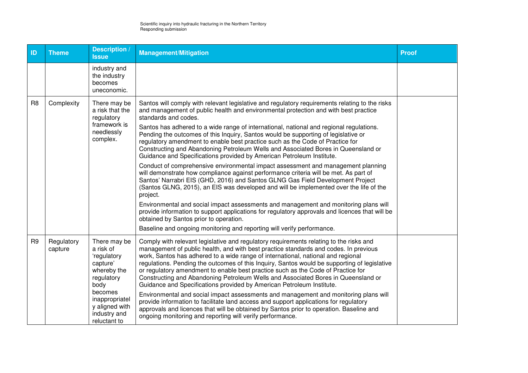| ID             | <b>Theme</b>          | Description /<br><b>Issue</b>                                                                                                                                            | <b>Management/Mitigation</b>                                                                                                                                                                                                                                                                                                                                                                                                                                                                                                                                                                                                                                                                                                                                                                                                                                                                                                                                                                                                                                                                                                                                                                                                                                                                                                    | <b>Proof</b> |
|----------------|-----------------------|--------------------------------------------------------------------------------------------------------------------------------------------------------------------------|---------------------------------------------------------------------------------------------------------------------------------------------------------------------------------------------------------------------------------------------------------------------------------------------------------------------------------------------------------------------------------------------------------------------------------------------------------------------------------------------------------------------------------------------------------------------------------------------------------------------------------------------------------------------------------------------------------------------------------------------------------------------------------------------------------------------------------------------------------------------------------------------------------------------------------------------------------------------------------------------------------------------------------------------------------------------------------------------------------------------------------------------------------------------------------------------------------------------------------------------------------------------------------------------------------------------------------|--------------|
|                |                       | industry and<br>the industry<br>becomes<br>uneconomic.                                                                                                                   |                                                                                                                                                                                                                                                                                                                                                                                                                                                                                                                                                                                                                                                                                                                                                                                                                                                                                                                                                                                                                                                                                                                                                                                                                                                                                                                                 |              |
| R <sub>8</sub> | Complexity            | There may be<br>a risk that the<br>regulatory<br>framework is<br>needlessly<br>complex.                                                                                  | Santos will comply with relevant legislative and regulatory requirements relating to the risks<br>and management of public health and environmental protection and with best practice<br>standards and codes.<br>Santos has adhered to a wide range of international, national and regional regulations.<br>Pending the outcomes of this Inquiry, Santos would be supporting of legislative or<br>regulatory amendment to enable best practice such as the Code of Practice for<br>Constructing and Abandoning Petroleum Wells and Associated Bores in Queensland or<br>Guidance and Specifications provided by American Petroleum Institute.<br>Conduct of comprehensive environmental impact assessment and management planning<br>will demonstrate how compliance against performance criteria will be met. As part of<br>Santos' Narrabri EIS (GHD, 2016) and Santos GLNG Gas Field Development Project<br>(Santos GLNG, 2015), an EIS was developed and will be implemented over the life of the<br>project.<br>Environmental and social impact assessments and management and monitoring plans will<br>provide information to support applications for regulatory approvals and licences that will be<br>obtained by Santos prior to operation.<br>Baseline and ongoing monitoring and reporting will verify performance. |              |
| R <sub>9</sub> | Regulatory<br>capture | There may be<br>a risk of<br>'regulatory<br>capture'<br>whereby the<br>regulatory<br>body<br>becomes<br>inappropriatel<br>y aligned with<br>industry and<br>reluctant to | Comply with relevant legislative and regulatory requirements relating to the risks and<br>management of public health, and with best practice standards and codes. In previous<br>work, Santos has adhered to a wide range of international, national and regional<br>regulations. Pending the outcomes of this Inquiry, Santos would be supporting of legislative<br>or regulatory amendment to enable best practice such as the Code of Practice for<br>Constructing and Abandoning Petroleum Wells and Associated Bores in Queensland or<br>Guidance and Specifications provided by American Petroleum Institute.<br>Environmental and social impact assessments and management and monitoring plans will<br>provide information to facilitate land access and support applications for regulatory<br>approvals and licences that will be obtained by Santos prior to operation. Baseline and<br>ongoing monitoring and reporting will verify performance.                                                                                                                                                                                                                                                                                                                                                                   |              |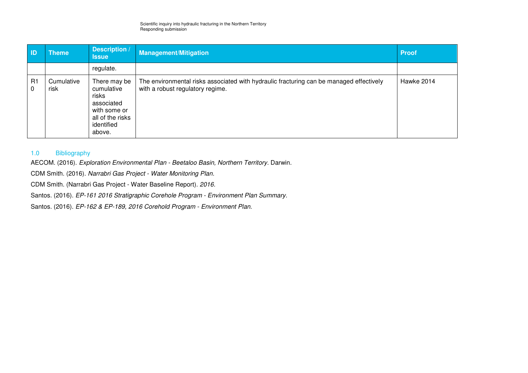| <b>ID</b>      | <b>Theme</b>       | <b>Description /</b><br><b>Issue</b>                                                                          | Management/Mitigation                                                                                                       | <b>Proof</b> |
|----------------|--------------------|---------------------------------------------------------------------------------------------------------------|-----------------------------------------------------------------------------------------------------------------------------|--------------|
|                |                    | regulate.                                                                                                     |                                                                                                                             |              |
| R1<br>$\Omega$ | Cumulative<br>risk | There may be<br>cumulative<br>risks<br>associated<br>with some or<br>all of the risks<br>identified<br>above. | The environmental risks associated with hydraulic fracturing can be managed effectively<br>with a robust regulatory regime. | Hawke 2014   |

#### 1.0 Bibliography

AECOM. (2016). Exploration Environmental Plan - Beetaloo Basin, Northern Territory. Darwin.

CDM Smith. (2016). Narrabri Gas Project - Water Monitoring Plan.

CDM Smith. (Narrabri Gas Project - Water Baseline Report). 2016.

Santos. (2016). EP-161 2016 Stratigraphic Corehole Program - Environment Plan Summary.

Santos. (2016). EP-162 & EP-189, 2016 Corehold Program - Environment Plan.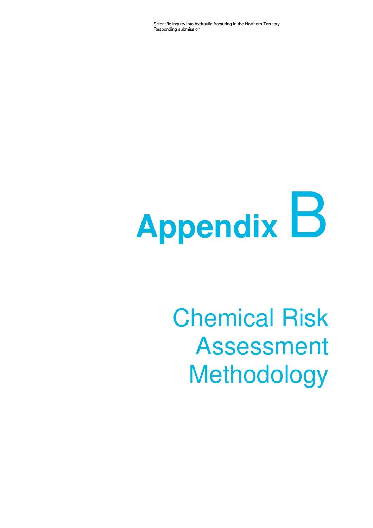# **Appendix** B

# Chemical Risk Assessment Methodology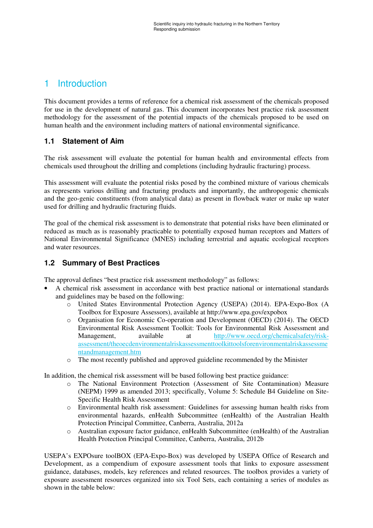# 1 Introduction

This document provides a terms of reference for a chemical risk assessment of the chemicals proposed for use in the development of natural gas. This document incorporates best practice risk assessment methodology for the assessment of the potential impacts of the chemicals proposed to be used on human health and the environment including matters of national environmental significance.

# **1.1 Statement of Aim**

The risk assessment will evaluate the potential for human health and environmental effects from chemicals used throughout the drilling and completions (including hydraulic fracturing) process.

This assessment will evaluate the potential risks posed by the combined mixture of various chemicals as represents various drilling and fracturing products and importantly, the anthropogenic chemicals and the geo-genic constituents (from analytical data) as present in flowback water or make up water used for drilling and hydraulic fracturing fluids.

The goal of the chemical risk assessment is to demonstrate that potential risks have been eliminated or reduced as much as is reasonably practicable to potentially exposed human receptors and Matters of National Environmental Significance (MNES) including terrestrial and aquatic ecological receptors and water resources.

# **1.2 Summary of Best Practices**

The approval defines "best practice risk assessment methodology" as follows:

- A chemical risk assessment in accordance with best practice national or international standards and guidelines may be based on the following:
	- o United States Environmental Protection Agency (USEPA) (2014). EPA-Expo-Box (A Toolbox for Exposure Assessors), available at http://www.epa.gov/expobox
	- o Organisation for Economic Co-operation and Development (OECD) (2014). The OECD Environmental Risk Assessment Toolkit: Tools for Environmental Risk Assessment and Management, available at http://www.oecd.org/chemicalsafety/riskassessment/theoecdenvironmentalriskassessmenttoolkittoolsforenvironmentalriskassessme ntandmanagement.htm
	- o The most recently published and approved guideline recommended by the Minister

In addition, the chemical risk assessment will be based following best practice guidance:

- o The National Environment Protection (Assessment of Site Contamination) Measure (NEPM) 1999 as amended 2013; specifically, Volume 5: Schedule B4 Guideline on Site-Specific Health Risk Assessment
- o Environmental health risk assessment: Guidelines for assessing human health risks from environmental hazards, enHealth Subcommittee (enHealth) of the Australian Health Protection Principal Committee, Canberra, Australia, 2012a
- o Australian exposure factor guidance, enHealth Subcommittee (enHealth) of the Australian Health Protection Principal Committee, Canberra, Australia, 2012b

USEPA's EXPOsure toolBOX (EPA-Expo-Box) was developed by USEPA Office of Research and Development, as a compendium of exposure assessment tools that links to exposure assessment guidance, databases, models, key references and related resources. The toolbox provides a variety of exposure assessment resources organized into six Tool Sets, each containing a series of modules as shown in the table below: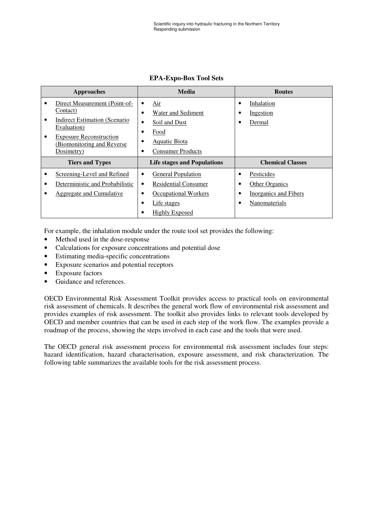| Approaches             |                                                                                                                                                                                 |                             | Media                                                                                                                    |   | <b>Routes</b>                                                                 |  |
|------------------------|---------------------------------------------------------------------------------------------------------------------------------------------------------------------------------|-----------------------------|--------------------------------------------------------------------------------------------------------------------------|---|-------------------------------------------------------------------------------|--|
| $\bullet$<br>٠         | Direct Measurement (Point-of-<br>Contact)<br><b>Indirect Estimation (Scenario</b><br>Evaluation)<br><b>Exposure Reconstruction</b><br>(Biomonitoring and Reverse)<br>Dosimetry) | $\bullet$<br>$\bullet$<br>٠ | Air<br>Water and Sediment<br>Soil and Dust<br>Food<br><b>Aquatic Biota</b><br><b>Consumer Products</b>                   | ٠ | Inhalation<br>Ingestion<br>Dermal                                             |  |
| <b>Tiers and Types</b> |                                                                                                                                                                                 |                             | <b>Life stages and Populations</b>                                                                                       |   | <b>Chemical Classes</b>                                                       |  |
|                        | Screening-Level and Refined<br>Deterministic and Probabilistic<br>Aggregate and Cumulative                                                                                      | $\bullet$<br>$\bullet$      | <b>General Population</b><br><b>Residential Consumer</b><br>Occupational Workers<br>Life stages<br><b>Highly Exposed</b> |   | Pesticides<br><b>Other Organics</b><br>Inorganics and Fibers<br>Nanomaterials |  |

#### **EPA-Expo-Box Tool Sets**

For example, the inhalation module under the route tool set provides the following:

- Method used in the dose-response
- Calculations for exposure concentrations and potential dose
- Estimating media-specific concentrations
- Exposure scenarios and potential receptors
- Exposure factors
- Guidance and references.

OECD Environmental Risk Assessment Toolkit provides access to practical tools on environmental risk assessment of chemicals. It describes the general work flow of environmental risk assessment and provides examples of risk assessment. The toolkit also provides links to relevant tools developed by OECD and member countries that can be used in each step of the work flow. The examples provide a roadmap of the process, showing the steps involved in each case and the tools that were used.

The OECD general risk assessment process for environmental risk assessment includes four steps: hazard identification, hazard characterisation, exposure assessment, and risk characterization. The following table summarizes the available tools for the risk assessment process.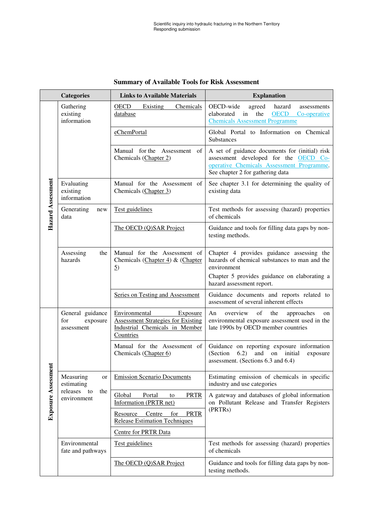|                   | <b>Categories</b>                                 | <b>Links to Available Materials</b>                                                                                   | <b>Explanation</b>                                                                                                                                                                     |  |
|-------------------|---------------------------------------------------|-----------------------------------------------------------------------------------------------------------------------|----------------------------------------------------------------------------------------------------------------------------------------------------------------------------------------|--|
|                   | Gathering<br>existing<br>information              | OECD<br>Existing<br>Chemicals<br>database                                                                             | OECD-wide<br>agreed<br>hazard<br>assessments<br>elaborated<br>in<br>the<br><b>OECD</b><br>Co-operative<br><b>Chemicals Assessment Programme</b>                                        |  |
|                   |                                                   | eChemPortal                                                                                                           | Global Portal to Information on Chemical<br><b>Substances</b>                                                                                                                          |  |
|                   |                                                   | Manual for the Assessment of<br>Chemicals (Chapter 2)                                                                 | A set of guidance documents for (initial) risk<br>assessment developed for the OECD Co-<br>operative Chemicals Assessment Programme.<br>See chapter 2 for gathering data               |  |
| Hazard Assessment | Evaluating<br>existing<br>information             | Manual for the Assessment of<br>Chemicals (Chapter 3)                                                                 | See chapter 3.1 for determining the quality of<br>existing data                                                                                                                        |  |
|                   | Generating<br>new<br>data                         | Test guidelines                                                                                                       | Test methods for assessing (hazard) properties<br>of chemicals                                                                                                                         |  |
|                   |                                                   | The OECD (Q)SAR Project                                                                                               | Guidance and tools for filling data gaps by non-<br>testing methods.                                                                                                                   |  |
|                   | Assessing<br>the<br>hazards                       | Manual for the Assessment of<br>Chemicals (Chapter 4) & (Chapter<br>$\overline{2}$                                    | Chapter 4 provides guidance assessing the<br>hazards of chemical substances to man and the<br>environment<br>Chapter 5 provides guidance on elaborating a<br>hazard assessment report. |  |
|                   |                                                   | Series on Testing and Assessment                                                                                      | Guidance documents and reports related to<br>assessment of several inherent effects                                                                                                    |  |
|                   | General guidance<br>for<br>exposure<br>assessment | Environmental<br>Exposure<br><b>Assessment Strategies for Existing</b><br>Industrial Chemicals in Member<br>Countries | of<br>overview<br>the<br>An<br>approaches<br>on<br>environmental exposure assessment used in the<br>late 1990s by OECD member countries                                                |  |
| Ħ                 |                                                   | Manual for the Assessment of<br>Chemicals (Chapter 6)                                                                 | Guidance on reporting exposure information<br>(Section<br>6.2)<br>and<br>initial<br>on<br>exposure<br>assessment. (Sections 6.3 and 6.4)                                               |  |
| Exposure Assessme | Measuring<br>or<br>estimating                     | <b>Emission Scenario Documents</b>                                                                                    | Estimating emission of chemicals in specific<br>industry and use categories                                                                                                            |  |
|                   | releases to<br>the<br>environment                 | Global<br>Portal<br><b>PRTR</b><br>to<br>Information (PRTR net)                                                       | A gateway and databases of global information<br>on Pollutant Release and Transfer Registers                                                                                           |  |
|                   |                                                   | Resource Centre<br>for<br><b>PRTR</b><br><b>Release Estimation Techniques</b>                                         | (PRTRs)                                                                                                                                                                                |  |
|                   |                                                   | <b>Centre for PRTR Data</b>                                                                                           |                                                                                                                                                                                        |  |
|                   | Environmental<br>fate and pathways                | Test guidelines                                                                                                       | Test methods for assessing (hazard) properties<br>of chemicals                                                                                                                         |  |
|                   |                                                   | The OECD (Q)SAR Project                                                                                               | Guidance and tools for filling data gaps by non-<br>testing methods.                                                                                                                   |  |

# **Summary of Available Tools for Risk Assessment**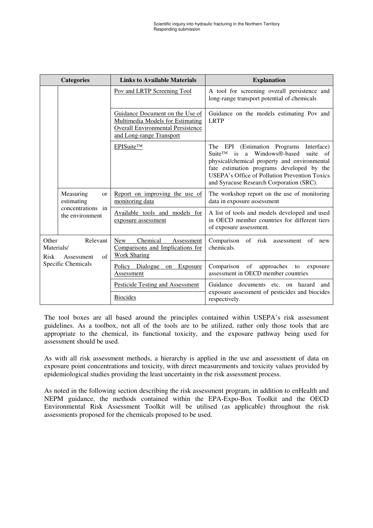| <b>Categories</b>           |                                                                                  | <b>Links to Available Materials</b>                                                                                                                | <b>Explanation</b>                                                                                                                                                                                                                                                                                          |
|-----------------------------|----------------------------------------------------------------------------------|----------------------------------------------------------------------------------------------------------------------------------------------------|-------------------------------------------------------------------------------------------------------------------------------------------------------------------------------------------------------------------------------------------------------------------------------------------------------------|
|                             |                                                                                  | Pov and LRTP Screening Tool                                                                                                                        | A tool for screening overall persistence and<br>long-range transport potential of chemicals                                                                                                                                                                                                                 |
|                             |                                                                                  | Guidance Document on the Use of<br><b>Multimedia Models for Estimating</b><br><b>Overall Environmental Persistence</b><br>and Long-range Transport | Guidance on the models estimating Pov and<br><b>LRTP</b>                                                                                                                                                                                                                                                    |
|                             |                                                                                  | EPISuite™                                                                                                                                          | The EPI (Estimation Programs<br>Interface)<br>is a Windows®-based<br>$S$ uite <sup>TM</sup><br>suite<br>of<br>physical/chemical property and environmental<br>fate estimation programs developed by the<br><b>USEPA's Office of Pollution Prevention Toxics</b><br>and Syracuse Research Corporation (SRC). |
|                             | Measuring<br><sub>or</sub><br>estimating<br>concentrations in<br>the environment | Report on improving the use of<br>monitoring data                                                                                                  | The workshop report on the use of monitoring<br>data in exposure assessment                                                                                                                                                                                                                                 |
|                             |                                                                                  | Available tools and models for<br>exposure assessment                                                                                              | A list of tools and models developed and used<br>in OECD member countries for different tiers<br>of exposure assessment.                                                                                                                                                                                    |
| Other<br>Materials/<br>Risk | Relevant<br>$\alpha$ f<br>Assessment                                             | Chemical<br><b>New</b><br>Assessment<br>Comparisons and Implications for<br><b>Work Sharing</b>                                                    | Comparison of risk<br>assessment<br>of<br>new<br>chemicals.                                                                                                                                                                                                                                                 |
|                             | Specific Chemicals                                                               | Policy Dialogue on Exposure<br>Assessment                                                                                                          | Comparison of<br>approaches to<br>exposure<br>assessment in OECD member countries                                                                                                                                                                                                                           |
|                             |                                                                                  | <b>Pesticide Testing and Assessment</b>                                                                                                            | Guidance documents etc. on hazard<br>and                                                                                                                                                                                                                                                                    |
|                             |                                                                                  | <b>Biocides</b>                                                                                                                                    | exposure assessment of pesticides and biocides<br>respectively.                                                                                                                                                                                                                                             |

The tool boxes are all based around the principles contained within USEPA's risk assessment guidelines. As a toolbox, not all of the tools are to be utilized, rather only those tools that are appropriate to the chemical, its functional toxicity, and the exposure pathway being used for assessment should be used.

As with all risk assessment methods, a hierarchy is applied in the use and assessment of data on exposure point concentrations and toxicity, with direct measurements and toxicity values provided by epidemiological studies providing the least uncertainty in the risk assessment process.

As noted in the following section describing the risk assessment program, in addition to enHealth and NEPM guidance, the methods contained within the EPA-Expo-Box Toolkit and the OECD Environmental Risk Assessment Toolkit will be utilised (as applicable) throughout the risk assessments proposed for the chemicals proposed to be used.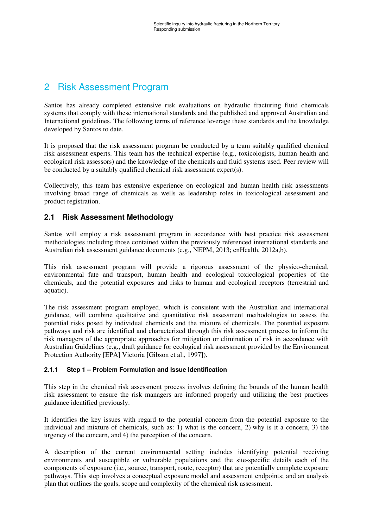# 2 Risk Assessment Program

Santos has already completed extensive risk evaluations on hydraulic fracturing fluid chemicals systems that comply with these international standards and the published and approved Australian and International guidelines. The following terms of reference leverage these standards and the knowledge developed by Santos to date.

It is proposed that the risk assessment program be conducted by a team suitably qualified chemical risk assessment experts. This team has the technical expertise (e.g., toxicologists, human health and ecological risk assessors) and the knowledge of the chemicals and fluid systems used. Peer review will be conducted by a suitably qualified chemical risk assessment expert(s).

Collectively, this team has extensive experience on ecological and human health risk assessments involving broad range of chemicals as wells as leadership roles in toxicological assessment and product registration.

# **2.1 Risk Assessment Methodology**

Santos will employ a risk assessment program in accordance with best practice risk assessment methodologies including those contained within the previously referenced international standards and Australian risk assessment guidance documents (e.g., NEPM, 2013; enHealth, 2012a,b).

This risk assessment program will provide a rigorous assessment of the physico-chemical, environmental fate and transport, human health and ecological toxicological properties of the chemicals, and the potential exposures and risks to human and ecological receptors (terrestrial and aquatic).

The risk assessment program employed, which is consistent with the Australian and international guidance, will combine qualitative and quantitative risk assessment methodologies to assess the potential risks posed by individual chemicals and the mixture of chemicals. The potential exposure pathways and risk are identified and characterized through this risk assessment process to inform the risk managers of the appropriate approaches for mitigation or elimination of risk in accordance with Australian Guidelines (e.g., draft guidance for ecological risk assessment provided by the Environment Protection Authority [EPA] Victoria [Gibson et al., 1997]).

#### **2.1.1 Step 1 – Problem Formulation and Issue Identification**

This step in the chemical risk assessment process involves defining the bounds of the human health risk assessment to ensure the risk managers are informed properly and utilizing the best practices guidance identified previously.

It identifies the key issues with regard to the potential concern from the potential exposure to the individual and mixture of chemicals, such as: 1) what is the concern, 2) why is it a concern, 3) the urgency of the concern, and 4) the perception of the concern.

A description of the current environmental setting includes identifying potential receiving environments and susceptible or vulnerable populations and the site-specific details each of the components of exposure (i.e., source, transport, route, receptor) that are potentially complete exposure pathways. This step involves a conceptual exposure model and assessment endpoints; and an analysis plan that outlines the goals, scope and complexity of the chemical risk assessment.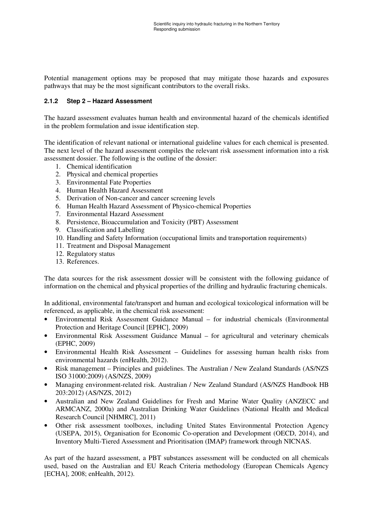Potential management options may be proposed that may mitigate those hazards and exposures pathways that may be the most significant contributors to the overall risks.

#### **2.1.2 Step 2 – Hazard Assessment**

The hazard assessment evaluates human health and environmental hazard of the chemicals identified in the problem formulation and issue identification step.

The identification of relevant national or international guideline values for each chemical is presented. The next level of the hazard assessment compiles the relevant risk assessment information into a risk assessment dossier. The following is the outline of the dossier:

- 1. Chemical identification
- 2. Physical and chemical properties
- 3. Environmental Fate Properties
- 4. Human Health Hazard Assessment
- 5. Derivation of Non-cancer and cancer screening levels
- 6. Human Health Hazard Assessment of Physico-chemical Properties
- 7. Environmental Hazard Assessment
- 8. Persistence, Bioaccumulation and Toxicity (PBT) Assessment
- 9. Classification and Labelling
- 10. Handling and Safety Information (occupational limits and transportation requirements)
- 11. Treatment and Disposal Management
- 12. Regulatory status
- 13. References.

The data sources for the risk assessment dossier will be consistent with the following guidance of information on the chemical and physical properties of the drilling and hydraulic fracturing chemicals.

In additional, environmental fate/transport and human and ecological toxicological information will be referenced, as applicable, in the chemical risk assessment:

- Environmental Risk Assessment Guidance Manual for industrial chemicals (Environmental Protection and Heritage Council [EPHC], 2009)
- Environmental Risk Assessment Guidance Manual for agricultural and veterinary chemicals (EPHC, 2009)
- Environmental Health Risk Assessment Guidelines for assessing human health risks from environmental hazards (enHealth, 2012).
- Risk management Principles and guidelines. The Australian / New Zealand Standards (AS/NZS) ISO 31000:2009) (AS/NZS, 2009)
- Managing environment-related risk. Australian / New Zealand Standard (AS/NZS Handbook HB 203:2012) (AS/NZS, 2012)
- Australian and New Zealand Guidelines for Fresh and Marine Water Quality (ANZECC and ARMCANZ, 2000a) and Australian Drinking Water Guidelines (National Health and Medical Research Council [NHMRC], 2011)
- Other risk assessment toolboxes, including United States Environmental Protection Agency (USEPA, 2015), Organisation for Economic Co-operation and Development (OECD, 2014), and Inventory Multi-Tiered Assessment and Prioritisation (IMAP) framework through NICNAS.

As part of the hazard assessment, a PBT substances assessment will be conducted on all chemicals used, based on the Australian and EU Reach Criteria methodology (European Chemicals Agency [ECHA], 2008; enHealth, 2012).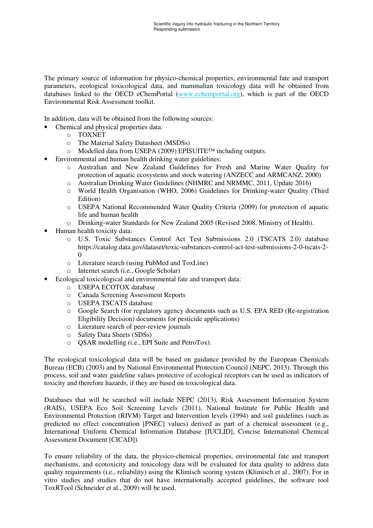The primary source of information for physico-chemical properties, environmental fate and transport parameters, ecological toxicological data, and mammalian toxicology data will be obtained from databases linked to the OECD eChemPortal (www.echemportal.org), which is part of the OECD Environmental Risk Assessment toolkit.

In addition, data will be obtained from the following sources:

- Chemical and physical properties data:
	- o TOXNET
	- o The Material Safety Datasheet (MSDSs)
	- o Modelled data from USEPA (2009) EPISUITE™ including outputs.
- Environmental and human health drinking water guidelines:
	- o Australian and New Zealand Guidelines for Fresh and Marine Water Quality for protection of aquatic ecosystems and stock watering (ANZECC and ARMCANZ, 2000)
	- o Australian Drinking Water Guidelines (NHMRC and NRMMC, 2011, Update 2016)
	- o World Health Organisation (WHO, 2006) Guidelines for Drinking-water Quality (Third Edition)
	- o USEPA National Recommended Water Quality Criteria (2009) for protection of aquatic life and human health
	- o Drinking-water Standards for New Zealand 2005 (Revised 2008, Ministry of Health).
- Human health toxicity data:
	- o U.S. Toxic Substances Control Act Test Submissions 2.0 (TSCATS 2.0) database https://catalog.data.gov/dataset/toxic-substances-control-act-test-submissions-2-0-tscats-2-  $\Omega$
	- o Literature search (using PubMed and ToxLine)
	- o Internet search (i.e., Google Scholar)
- Ecological toxicological and environmental fate and transport data:
	- o USEPA ECOTOX database
	- o Canada Screening Assessment Reports
	- o USEPA TSCATS database
	- o Google Search (for regulatory agency documents such as U.S. EPA RED (Re-registration Eligibility Decision) documents for pesticide applications)
	- o Literature search of peer-review journals
	- o Safety Data Sheets (SDSs)
	- o QSAR modelling (i.e., EPI Suite and PetroTox).

The ecological toxicological data will be based on guidance provided by the European Chemicals Bureau (ECB) (2003) and by National Environmental Protection Council (NEPC, 2013). Through this process, soil and water guideline values protective of ecological receptors can be used as indicators of toxicity and therefore hazards, if they are based on toxicological data.

Databases that will be searched will include NEPC (2013), Risk Assessment Information System (RAIS), USEPA Eco Soil Screening Levels (2011), National Institute for Public Health and Environmental Protection (RIVM) Target and Intervention levels (1994) and soil guidelines (such as predicted no effect concentration [PNEC] values) derived as part of a chemical assessment (e.g., International Uniform Chemical Information Database [IUCLID], Concise International Chemical Assessment Document [CICAD]).

To ensure reliability of the data, the physico-chemical properties, environmental fate and transport mechanisms, and ecotoxicity and toxicology data will be evaluated for data quality to address data quality requirements (i.e., reliability) using the Klimisch scoring system (Klimisch et al., 2007). For in vitro studies and studies that do not have internationally accepted guidelines, the software tool ToxRTool (Schneider et al., 2009) will be used.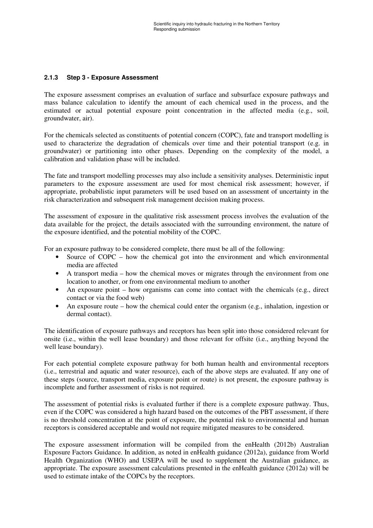#### **2.1.3 Step 3 - Exposure Assessment**

The exposure assessment comprises an evaluation of surface and subsurface exposure pathways and mass balance calculation to identify the amount of each chemical used in the process, and the estimated or actual potential exposure point concentration in the affected media (e.g., soil, groundwater, air).

For the chemicals selected as constituents of potential concern (COPC), fate and transport modelling is used to characterize the degradation of chemicals over time and their potential transport (e.g. in groundwater) or partitioning into other phases. Depending on the complexity of the model, a calibration and validation phase will be included.

The fate and transport modelling processes may also include a sensitivity analyses. Deterministic input parameters to the exposure assessment are used for most chemical risk assessment; however, if appropriate, probabilistic input parameters will be used based on an assessment of uncertainty in the risk characterization and subsequent risk management decision making process.

The assessment of exposure in the qualitative risk assessment process involves the evaluation of the data available for the project, the details associated with the surrounding environment, the nature of the exposure identified, and the potential mobility of the COPC.

For an exposure pathway to be considered complete, there must be all of the following:

- Source of COPC how the chemical got into the environment and which environmental media are affected
- A transport media how the chemical moves or migrates through the environment from one location to another, or from one environmental medium to another
- An exposure point how organisms can come into contact with the chemicals (e.g., direct contact or via the food web)
- An exposure route how the chemical could enter the organism (e.g., inhalation, ingestion or dermal contact).

The identification of exposure pathways and receptors has been split into those considered relevant for onsite (i.e., within the well lease boundary) and those relevant for offsite (i.e., anything beyond the well lease boundary).

For each potential complete exposure pathway for both human health and environmental receptors (i.e., terrestrial and aquatic and water resource), each of the above steps are evaluated. If any one of these steps (source, transport media, exposure point or route) is not present, the exposure pathway is incomplete and further assessment of risks is not required.

The assessment of potential risks is evaluated further if there is a complete exposure pathway. Thus, even if the COPC was considered a high hazard based on the outcomes of the PBT assessment, if there is no threshold concentration at the point of exposure, the potential risk to environmental and human receptors is considered acceptable and would not require mitigated measures to be considered.

The exposure assessment information will be compiled from the enHealth (2012b) Australian Exposure Factors Guidance. In addition, as noted in enHealth guidance (2012a), guidance from World Health Organization (WHO) and USEPA will be used to supplement the Australian guidance, as appropriate. The exposure assessment calculations presented in the enHealth guidance (2012a) will be used to estimate intake of the COPCs by the receptors.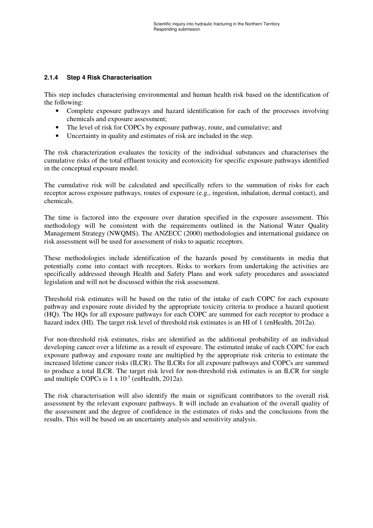#### **2.1.4 Step 4 Risk Characterisation**

This step includes characterising environmental and human health risk based on the identification of the following:

- Complete exposure pathways and hazard identification for each of the processes involving chemicals and exposure assessment;
- The level of risk for COPCs by exposure pathway, route, and cumulative; and
- Uncertainty in quality and estimates of risk are included in the step.

The risk characterization evaluates the toxicity of the individual substances and characterises the cumulative risks of the total effluent toxicity and ecotoxicity for specific exposure pathways identified in the conceptual exposure model.

The cumulative risk will be calculated and specifically refers to the summation of risks for each receptor across exposure pathways, routes of exposure (e.g., ingestion, inhalation, dermal contact), and chemicals.

The time is factored into the exposure over duration specified in the exposure assessment. This methodology will be consistent with the requirements outlined in the National Water Quality Management Strategy (NWQMS). The ANZECC (2000) methodologies and international guidance on risk assessment will be used for assessment of risks to aquatic receptors.

These methodologies include identification of the hazards posed by constituents in media that potentially come into contact with receptors. Risks to workers from undertaking the activities are specifically addressed through Health and Safety Plans and work safety procedures and associated legislation and will not be discussed within the risk assessment.

Threshold risk estimates will be based on the ratio of the intake of each COPC for each exposure pathway and exposure route divided by the appropriate toxicity criteria to produce a hazard quotient (HQ). The HQs for all exposure pathways for each COPC are summed for each receptor to produce a hazard index (HI). The target risk level of threshold risk estimates is an HI of 1 (enHealth, 2012a).

For non-threshold risk estimates, risks are identified as the additional probability of an individual developing cancer over a lifetime as a result of exposure. The estimated intake of each COPC for each exposure pathway and exposure route are multiplied by the appropriate risk criteria to estimate the increased lifetime cancer risks (ILCR). The ILCRs for all exposure pathways and COPCs are summed to produce a total ILCR. The target risk level for non-threshold risk estimates is an ILCR for single and multiple COPCs is  $1 \times 10^{-5}$  (enHealth, 2012a).

The risk characterisation will also identify the main or significant contributors to the overall risk assessment by the relevant exposure pathways. It will include an evaluation of the overall quality of the assessment and the degree of confidence in the estimates of risks and the conclusions from the results. This will be based on an uncertainty analysis and sensitivity analysis.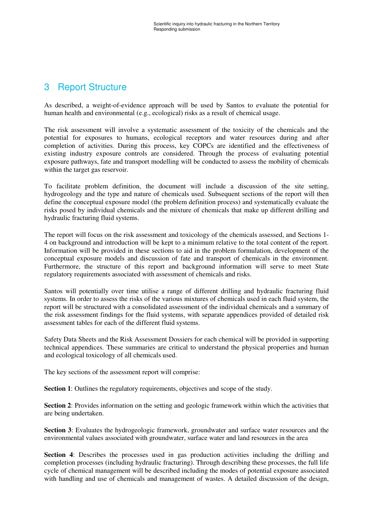## 3 Report Structure

As described, a weight-of-evidence approach will be used by Santos to evaluate the potential for human health and environmental (e.g., ecological) risks as a result of chemical usage.

The risk assessment will involve a systematic assessment of the toxicity of the chemicals and the potential for exposures to humans, ecological receptors and water resources during and after completion of activities. During this process, key COPCs are identified and the effectiveness of existing industry exposure controls are considered. Through the process of evaluating potential exposure pathways, fate and transport modelling will be conducted to assess the mobility of chemicals within the target gas reservoir.

To facilitate problem definition, the document will include a discussion of the site setting, hydrogeology and the type and nature of chemicals used. Subsequent sections of the report will then define the conceptual exposure model (the problem definition process) and systematically evaluate the risks posed by individual chemicals and the mixture of chemicals that make up different drilling and hydraulic fracturing fluid systems.

The report will focus on the risk assessment and toxicology of the chemicals assessed, and Sections 1- 4 on background and introduction will be kept to a minimum relative to the total content of the report. Information will be provided in these sections to aid in the problem formulation, development of the conceptual exposure models and discussion of fate and transport of chemicals in the environment. Furthermore, the structure of this report and background information will serve to meet State regulatory requirements associated with assessment of chemicals and risks.

Santos will potentially over time utilise a range of different drilling and hydraulic fracturing fluid systems. In order to assess the risks of the various mixtures of chemicals used in each fluid system, the report will be structured with a consolidated assessment of the individual chemicals and a summary of the risk assessment findings for the fluid systems, with separate appendices provided of detailed risk assessment tables for each of the different fluid systems.

Safety Data Sheets and the Risk Assessment Dossiers for each chemical will be provided in supporting technical appendices. These summaries are critical to understand the physical properties and human and ecological toxicology of all chemicals used.

The key sections of the assessment report will comprise:

**Section 1**: Outlines the regulatory requirements, objectives and scope of the study.

**Section 2**: Provides information on the setting and geologic framework within which the activities that are being undertaken.

Section 3: Evaluates the hydrogeologic framework, groundwater and surface water resources and the environmental values associated with groundwater, surface water and land resources in the area

**Section 4**: Describes the processes used in gas production activities including the drilling and completion processes (including hydraulic fracturing). Through describing these processes, the full life cycle of chemical management will be described including the modes of potential exposure associated with handling and use of chemicals and management of wastes. A detailed discussion of the design,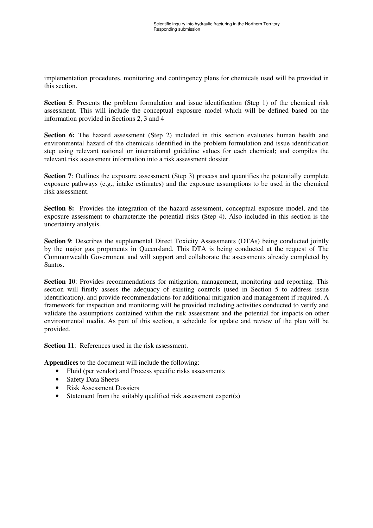implementation procedures, monitoring and contingency plans for chemicals used will be provided in this section.

**Section 5**: Presents the problem formulation and issue identification (Step 1) of the chemical risk assessment. This will include the conceptual exposure model which will be defined based on the information provided in Sections 2, 3 and 4

**Section 6:** The hazard assessment (Step 2) included in this section evaluates human health and environmental hazard of the chemicals identified in the problem formulation and issue identification step using relevant national or international guideline values for each chemical; and compiles the relevant risk assessment information into a risk assessment dossier.

**Section 7:** Outlines the exposure assessment (Step 3) process and quantifies the potentially complete exposure pathways (e.g., intake estimates) and the exposure assumptions to be used in the chemical risk assessment.

**Section 8:** Provides the integration of the hazard assessment, conceptual exposure model, and the exposure assessment to characterize the potential risks (Step 4). Also included in this section is the uncertainty analysis.

**Section 9:** Describes the supplemental Direct Toxicity Assessments (DTAs) being conducted jointly by the major gas proponents in Queensland. This DTA is being conducted at the request of The Commonwealth Government and will support and collaborate the assessments already completed by Santos.

**Section 10**: Provides recommendations for mitigation, management, monitoring and reporting. This section will firstly assess the adequacy of existing controls (used in Section 5 to address issue identification), and provide recommendations for additional mitigation and management if required. A framework for inspection and monitoring will be provided including activities conducted to verify and validate the assumptions contained within the risk assessment and the potential for impacts on other environmental media. As part of this section, a schedule for update and review of the plan will be provided.

**Section 11:** References used in the risk assessment.

**Appendices** to the document will include the following:

- Fluid (per vendor) and Process specific risks assessments
- Safety Data Sheets
- Risk Assessment Dossiers
- Statement from the suitably qualified risk assessment expert(s)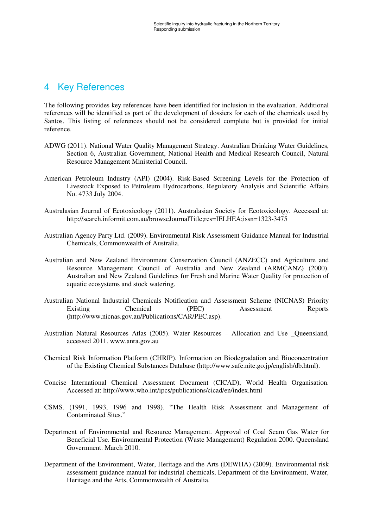## 4 Key References

The following provides key references have been identified for inclusion in the evaluation. Additional references will be identified as part of the development of dossiers for each of the chemicals used by Santos. This listing of references should not be considered complete but is provided for initial reference.

- ADWG (2011). National Water Quality Management Strategy. Australian Drinking Water Guidelines, Section 6, Australian Government, National Health and Medical Research Council, Natural Resource Management Ministerial Council.
- American Petroleum Industry (API) (2004). Risk-Based Screening Levels for the Protection of Livestock Exposed to Petroleum Hydrocarbons, Regulatory Analysis and Scientific Affairs No. 4733 July 2004.
- Australasian Journal of Ecotoxicology (2011). Australasian Society for Ecotoxicology. Accessed at: http://search.informit.com.au/browseJournalTitle;res=IELHEA;issn=1323-3475
- Australian Agency Party Ltd. (2009). Environmental Risk Assessment Guidance Manual for Industrial Chemicals, Commonwealth of Australia.
- Australian and New Zealand Environment Conservation Council (ANZECC) and Agriculture and Resource Management Council of Australia and New Zealand (ARMCANZ) (2000). Australian and New Zealand Guidelines for Fresh and Marine Water Quality for protection of aquatic ecosystems and stock watering.
- Australian National Industrial Chemicals Notification and Assessment Scheme (NICNAS) Priority Existing Chemical (PEC) Assessment Reports (http://www.nicnas.gov.au/Publications/CAR/PEC.asp).
- Australian Natural Resources Atlas (2005). Water Resources Allocation and Use \_Queensland, accessed 2011. www.anra.gov.au
- Chemical Risk Information Platform (CHRIP). Information on Biodegradation and Bioconcentration of the Existing Chemical Substances Database (http://www.safe.nite.go.jp/english/db.html).
- Concise International Chemical Assessment Document (CICAD), World Health Organisation. Accessed at: http://www.who.int/ipcs/publications/cicad/en/index.html
- CSMS. (1991, 1993, 1996 and 1998). "The Health Risk Assessment and Management of Contaminated Sites."
- Department of Environmental and Resource Management. Approval of Coal Seam Gas Water for Beneficial Use. Environmental Protection (Waste Management) Regulation 2000. Queensland Government. March 2010.
- Department of the Environment, Water, Heritage and the Arts (DEWHA) (2009). Environmental risk assessment guidance manual for industrial chemicals, Department of the Environment, Water, Heritage and the Arts, Commonwealth of Australia.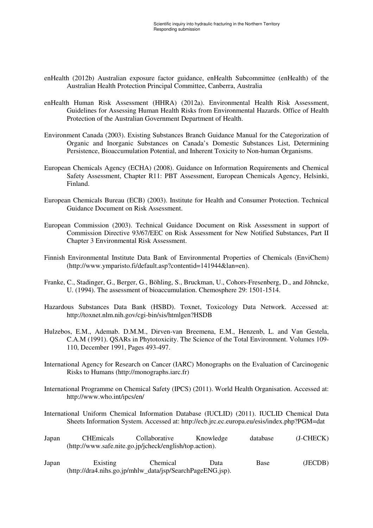- enHealth (2012b) Australian exposure factor guidance, enHealth Subcommittee (enHealth) of the Australian Health Protection Principal Committee, Canberra, Australia
- enHealth Human Risk Assessment (HHRA) (2012a). Environmental Health Risk Assessment, Guidelines for Assessing Human Health Risks from Environmental Hazards. Office of Health Protection of the Australian Government Department of Health.
- Environment Canada (2003). Existing Substances Branch Guidance Manual for the Categorization of Organic and Inorganic Substances on Canada's Domestic Substances List, Determining Persistence, Bioaccumulation Potential, and Inherent Toxicity to Non-human Organisms.
- European Chemicals Agency (ECHA) (2008). Guidance on Information Requirements and Chemical Safety Assessment, Chapter R11: PBT Assessment, European Chemicals Agency, Helsinki, Finland.
- European Chemicals Bureau (ECB) (2003). Institute for Health and Consumer Protection. Technical Guidance Document on Risk Assessment.
- European Commission (2003). Technical Guidance Document on Risk Assessment in support of Commission Directive 93/67/EEC on Risk Assessment for New Notified Substances, Part II Chapter 3 Environmental Risk Assessment.
- Finnish Environmental Institute Data Bank of Environmental Properties of Chemicals (EnviChem) (http://www.ymparisto.fi/default.asp?contentid=141944&lan=en).
- Franke, C., Stadinger, G., Berger, G., Böhling, S., Bruckman, U., Cohors-Fresenberg, D., and Jöhncke, U. (1994). The assessment of bioaccumulation. Chemosphere 29: 1501-1514.
- Hazardous Substances Data Bank (HSBD). Toxnet, Toxicology Data Network. Accessed at: http://toxnet.nlm.nih.gov/cgi-bin/sis/htmlgen?HSDB
- Hulzebos, E.M., Ademab. D.M.M., Dirven-van Breemena, E.M., Henzenb, L. and Van Gestela, C.A.M (1991). QSARs in Phytotoxicity. The Science of the Total Environment. Volumes 109- 110, December 1991, Pages 493-497.
- International Agency for Research on Cancer (IARC) Monographs on the Evaluation of Carcinogenic Risks to Humans (http://monographs.iarc.fr)
- International Programme on Chemical Safety (IPCS) (2011). World Health Organisation. Accessed at: http://www.who.int/ipcs/en/
- International Uniform Chemical Information Database (IUCLID) (2011). IUCLID Chemical Data Sheets Information System. Accessed at: http://ecb.jrc.ec.europa.eu/esis/index.php?PGM=dat

| Japan | <b>CHEmicals</b> | Collaborative                                           | Knowledge | database | $(J-CHECK)$ |
|-------|------------------|---------------------------------------------------------|-----------|----------|-------------|
|       |                  | (http://www.safe.nite.go.jp/jcheck/english/top.action). |           |          |             |

Japan Existing Chemical Data Base (JECDB) (http://dra4.nihs.go.jp/mhlw\_data/jsp/SearchPageENG.jsp).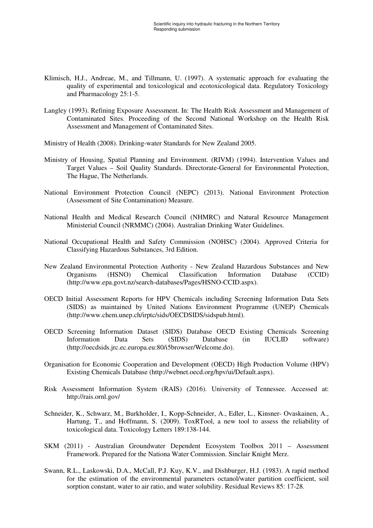- Klimisch, H.J., Andreae, M., and Tillmann, U. (1997). A systematic approach for evaluating the quality of experimental and toxicological and ecotoxicological data. Regulatory Toxicology and Pharmacology 25:1-5.
- Langley (1993). Refining Exposure Assessment. In: The Health Risk Assessment and Management of Contaminated Sites. Proceeding of the Second National Workshop on the Health Risk Assessment and Management of Contaminated Sites.
- Ministry of Health (2008). Drinking-water Standards for New Zealand 2005.
- Ministry of Housing, Spatial Planning and Environment. (RIVM) (1994). Intervention Values and Target Values – Soil Quality Standards. Directorate-General for Environmental Protection, The Hague, The Netherlands.
- National Environment Protection Council (NEPC) (2013). National Environment Protection (Assessment of Site Contamination) Measure.
- National Health and Medical Research Council (NHMRC) and Natural Resource Management Ministerial Council (NRMMC) (2004). Australian Drinking Water Guidelines.
- National Occupational Health and Safety Commission (NOHSC) (2004). Approved Criteria for Classifying Hazardous Substances, 3rd Edition.
- New Zealand Environmental Protection Authority New Zealand Hazardous Substances and New Organisms (HSNO) Chemical Classification Information Database (CCID) (http://www.epa.govt.nz/search-databases/Pages/HSNO-CCID.aspx).
- OECD Initial Assessment Reports for HPV Chemicals including Screening Information Data Sets (SIDS) as maintained by United Nations Environment Programme (UNEP) Chemicals (http://www.chem.unep.ch/irptc/sids/OECDSIDS/sidspub.html).
- OECD Screening Information Dataset (SIDS) Database OECD Existing Chemicals Screening Information Data Sets (SIDS) Database (in IUCLID software) (http://oecdsids.jrc.ec.europa.eu:80/i5browser/Welcome.do).
- Organisation for Economic Cooperation and Development (OECD) High Production Volume (HPV) Existing Chemicals Database (http://webnet.oecd.org/hpv/ui/Default.aspx).
- Risk Assessment Information System (RAIS) (2016). University of Tennessee. Accessed at: http://rais.ornl.gov/
- Schneider, K., Schwarz, M., Burkholder, I., Kopp-Schneider, A., Edler, L., Kinsner- Ovaskainen, A., Hartung, T., and Hoffmann, S. (2009). ToxRTool, a new tool to assess the reliability of toxicological data. Toxicology Letters 189:138-144.
- SKM (2011) Australian Groundwater Dependent Ecosystem Toolbox 2011 Assessment Framework. Prepared for the Nationa Water Commission. Sinclair Knight Merz.
- Swann, R.L., Laskowski, D.A., McCall, P.J. Kuy, K.V., and Dishburger, H.J. (1983). A rapid method for the estimation of the environmental parameters octanol/water partition coefficient, soil sorption constant, water to air ratio, and water solubility. Residual Reviews 85: 17-28.